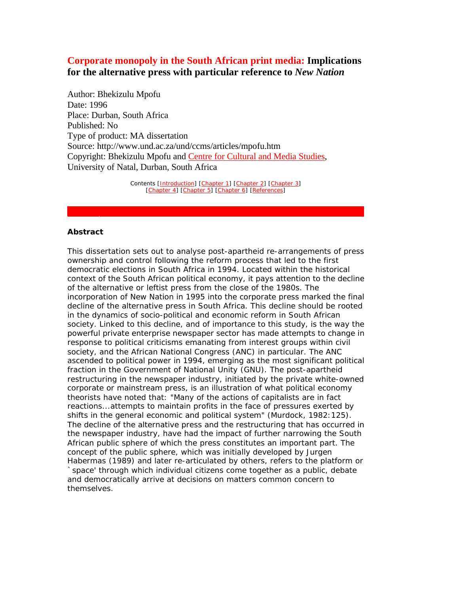# **Corporate monopoly in the South African print media: Implications for the alternative press with particular reference to** *New Nation*

Author: Bhekizulu Mpofu Date: 1996 Place: Durban, South Africa Published: No Type of product: MA dissertation Source: http://www.und.ac.za/und/ccms/articles/mpofu.htm Copyright: Bhekizulu Mpofu and Centre for Cultural and Media Studies, University of Natal, Durban, South Africa

> Contents [Introduction] [Chapter 1] [Chapter 2] [Chapter 3] [Chapter 4] [Chapter 5] [Chapter 6] [References]

#### **Abstract**

This dissertation sets out to analyse post-apartheid re-arrangements of press ownership and control following the reform process that led to the first democratic elections in South Africa in 1994. Located within the historical context of the South African political economy, it pays attention to the decline of the alternative or leftist press from the close of the 1980s. The incorporation of *New Nation* in 1995 into the corporate press marked the final decline of the alternative press in South Africa. This decline should be rooted in the dynamics of socio-political and economic reform in South African society. Linked to this decline, and of importance to this study, is the way the powerful private enterprise newspaper sector has made attempts to change in response to political criticisms emanating from interest groups within civil society, and the African National Congress (ANC) in particular. The ANC ascended to political power in 1994, emerging as the most significant political fraction in the Government of National Unity (GNU). The post-apartheid restructuring in the newspaper industry, initiated by the private white-owned corporate or mainstream press, is an illustration of what political economy theorists have noted that: "Many of the actions of capitalists are in fact reactions...attempts to maintain profits in the face of pressures exerted by shifts in the general economic and political system" (Murdock, 1982:125). The decline of the alternative press and the restructuring that has occurred in the newspaper industry, have had the impact of further narrowing the South African public sphere of which the press constitutes an important part. The concept of the public sphere, which was initially developed by Jurgen Habermas (1989) and later re-articulated by others, refers to the platform or space' through which individual citizens come together as a public, debate and democratically arrive at decisions on matters common concern to themselves.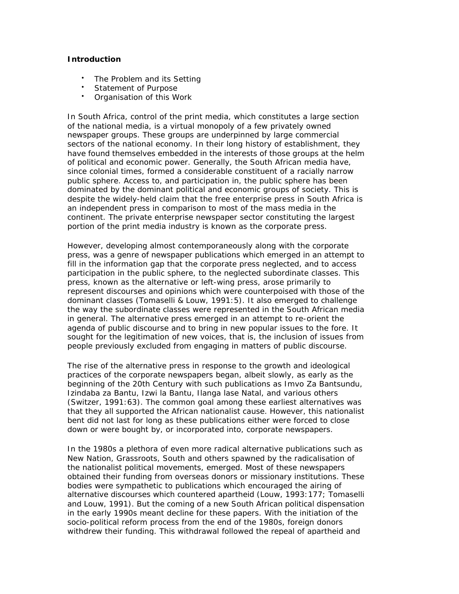### **Introduction**

- The Problem and its Setting
- Statement of Purpose
- Organisation of this Work

In South Africa, control of the print media, which constitutes a large section of the national media, is a virtual monopoly of a few privately owned newspaper groups. These groups are underpinned by large commercial sectors of the national economy. In their long history of establishment, they have found themselves embedded in the interests of those groups at the helm of political and economic power. Generally, the South African media have, since colonial times, formed a considerable constituent of a racially narrow public sphere. Access to, and participation in, the public sphere has been dominated by the dominant political and economic groups of society. This is despite the widely-held claim that the free enterprise press in South Africa is an independent press in comparison to most of the mass media in the continent. The private enterprise newspaper sector constituting the largest portion of the print media industry is known as the corporate press.

However, developing almost contemporaneously along with the corporate press, was a genre of newspaper publications which emerged in an attempt to fill in the information gap that the corporate press neglected, and to access participation in the public sphere, to the neglected subordinate classes. This press, known as the alternative or left-wing press, arose primarily to represent discourses and opinions which were counterpoised with those of the dominant classes (Tomaselli & Louw, 1991:5). It also emerged to challenge the way the subordinate classes were represented in the South African media in general. The alternative press emerged in an attempt to re-orient the agenda of public discourse and to bring in new popular issues to the fore. It sought for the legitimation of new voices, that is, the inclusion of issues from people previously excluded from engaging in matters of public discourse.

The rise of the alternative press in response to the growth and ideological practices of the corporate newspapers began, albeit slowly, as early as the beginning of the 20th Century with such publications as *Imvo Za Bantsundu, Izindaba za Bantu, Izwi la Bantu, Ilanga lase Natal*, and various others (Switzer, 1991:63). The common goal among these earliest alternatives was that they all supported the African nationalist cause. However, this nationalist bent did not last for long as these publications either were forced to close down or were bought by, or incorporated into, corporate newspapers.

In the 1980s a plethora of even more radical alternative publications such as *New Nation, Grassroots, South* and others spawned by the radicalisation of the nationalist political movements, emerged. Most of these newspapers obtained their funding from overseas donors or missionary institutions. These bodies were sympathetic to publications which encouraged the airing of alternative discourses which countered apartheid (Louw, 1993:177; Tomaselli and Louw, 1991). But the coming of a new South African political dispensation in the early 1990s meant decline for these papers. With the initiation of the socio-political reform process from the end of the 1980s, foreign donors withdrew their funding. This withdrawal followed the repeal of apartheid and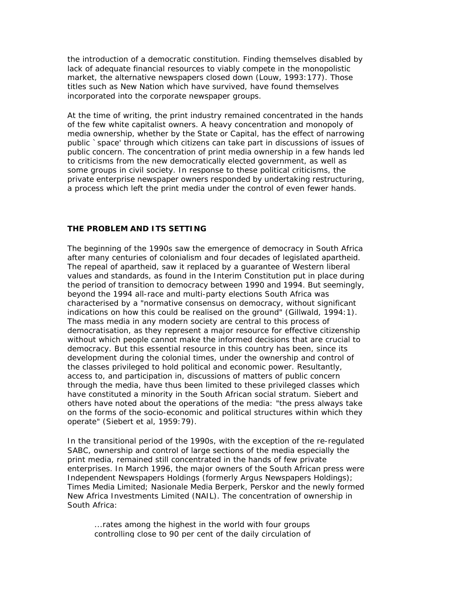the introduction of a democratic constitution. Finding themselves disabled by lack of adequate financial resources to viably compete in the monopolistic market, the alternative newspapers closed down (Louw, 1993:177). Those titles such as *New Nation* which have survived, have found themselves incorporated into the corporate newspaper groups.

At the time of writing, the print industry remained concentrated in the hands of the few white capitalist owners. A heavy concentration and monopoly of media ownership, whether by the State or Capital, has the effect of narrowing public `space' through which citizens can take part in discussions of issues of public concern. The concentration of print media ownership in a few hands led to criticisms from the new democratically elected government, as well as some groups in civil society. In response to these political criticisms, the private enterprise newspaper owners responded by undertaking restructuring, a process which left the print media under the control of even fewer hands.

### **THE PROBLEM AND ITS SETTING**

The beginning of the 1990s saw the emergence of democracy in South Africa after many centuries of colonialism and four decades of legislated apartheid. The repeal of apartheid, saw it replaced by a guarantee of Western liberal values and standards, as found in the Interim Constitution put in place during the period of transition to democracy between 1990 and 1994. But seemingly, beyond the 1994 all-race and multi-party elections South Africa was characterised by a "normative consensus on democracy, without significant indications on how this could be realised on the ground" (Gillwald, 1994:1). The mass media in any modern society are central to this process of democratisation, as they represent a major resource for effective citizenship without which people cannot make the informed decisions that are crucial to democracy. But this essential resource in this country has been, since its development during the colonial times, under the ownership and control of the classes privileged to hold political and economic power. Resultantly, access to, and participation in, discussions of matters of public concern through the media, have thus been limited to these privileged classes which have constituted a minority in the South African social stratum. Siebert and others have noted about the operations of the media: "the press always take on the forms of the socio-economic and political structures within which they operate" (Siebert et al, 1959:79).

In the transitional period of the 1990s, with the exception of the re-regulated SABC, ownership and control of large sections of the media especially the print media, remained still concentrated in the hands of few private enterprises. In March 1996, the major owners of the South African press were Independent Newspapers Holdings (formerly Argus Newspapers Holdings); Times Media Limited; Nasionale Media Berperk, Perskor and the newly formed New Africa Investments Limited (NAIL). The concentration of ownership in South Africa:

...rates among the highest in the world with four groups controlling close to 90 per cent of the daily circulation of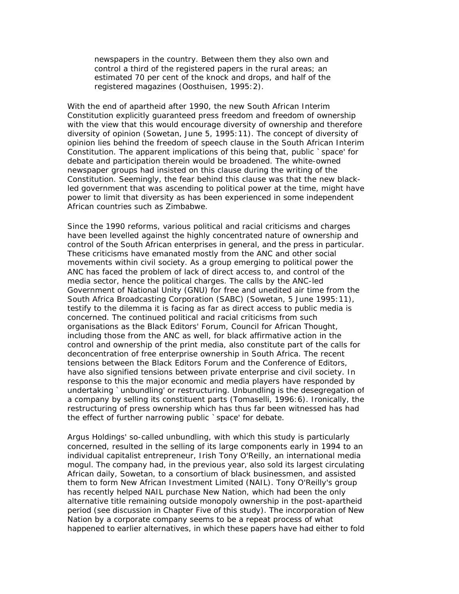newspapers in the country. Between them they also own and control a third of the registered papers in the rural areas; an estimated 70 per cent of the knock and drops, and half of the registered magazines (Oosthuisen, 1995:2).

With the end of apartheid after 1990, the new South African Interim Constitution explicitly guaranteed press freedom and freedom of ownership with the view that this would encourage diversity of ownership and therefore diversity of opinion (*Sowetan*, June 5, 1995:11). The concept of diversity of opinion lies behind the freedom of speech clause in the South African Interim Constitution. The apparent implications of this being that, public `space' for debate and participation therein would be broadened. The white-owned newspaper groups had insisted on this clause during the writing of the Constitution. Seemingly, the fear behind this clause was that the new blackled government that was ascending to political power at the time, might have power to limit that diversity as has been experienced in some independent African countries such as Zimbabwe.

Since the 1990 reforms, various political and racial criticisms and charges have been levelled against the highly concentrated nature of ownership and control of the South African enterprises in general, and the press in particular. These criticisms have emanated mostly from the ANC and other social movements within civil society. As a group emerging to political power the ANC has faced the problem of lack of direct access to, and control of the media sector, hence the political charges. The calls by the ANC-led Government of National Unity (GNU) for free and unedited air time from the South Africa Broadcasting Corporation (SABC) (*Sowetan*, 5 June 1995:11), testify to the dilemma it is facing as far as direct access to public media is concerned. The continued political and racial criticisms from such organisations as the Black Editors' Forum, Council for African Thought, including those from the ANC as well, for black affirmative action in the control and ownership of the print media, also constitute part of the calls for deconcentration of free enterprise ownership in South Africa. The recent tensions between the Black Editors Forum and the Conference of Editors, have also signified tensions between private enterprise and civil society. In response to this the major economic and media players have responded by undertaking `unbundling' or restructuring. Unbundling is the desegregation of a company by selling its constituent parts (Tomaselli, 1996:6). Ironically, the restructuring of press ownership which has thus far been witnessed has had the effect of further narrowing public `space' for debate.

Argus Holdings' so-called unbundling, with which this study is particularly concerned, resulted in the selling of its large components early in 1994 to an individual capitalist entrepreneur, Irish Tony O'Reilly, an international media mogul. The company had, in the previous year, also sold its largest circulating African daily, *Sowetan*, to a consortium of black businessmen, and assisted them to form New African Investment Limited (NAIL). Tony O'Reilly's group has recently helped NAIL purchase *New Nation*, which had been the only alternative title remaining outside monopoly ownership in the post-apartheid period (see discussion in Chapter Five of this study). The incorporation of *New Nation* by a corporate company seems to be a repeat process of what happened to earlier alternatives, in which these papers have had either to fold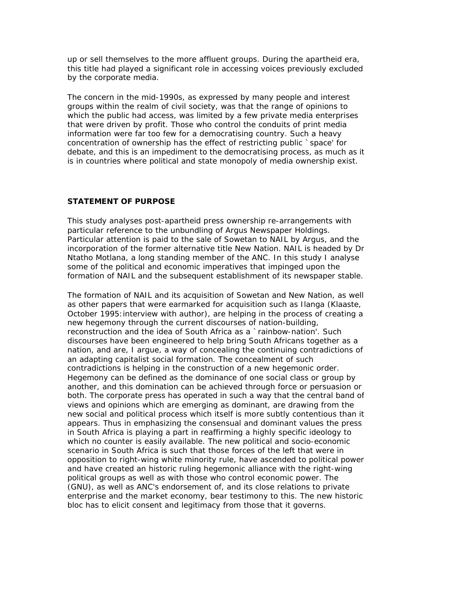up or sell themselves to the more affluent groups. During the apartheid era, this title had played a significant role in accessing voices previously excluded by the corporate media.

The concern in the mid-1990s, as expressed by many people and interest groups within the realm of civil society, was that the range of opinions to which the public had access, was limited by a few private media enterprises that were driven by profit. Those who control the conduits of print media information were far too few for a democratising country. Such a heavy concentration of ownership has the effect of restricting public `space' for debate, and this is an impediment to the democratising process, as much as it is in countries where political and state monopoly of media ownership exist.

### **STATEMENT OF PURPOSE**

This study analyses post-apartheid press ownership re-arrangements with particular reference to the unbundling of Argus Newspaper Holdings. Particular attention is paid to the sale of *Sowetan* to NAIL by Argus, and the incorporation of the former alternative title *New Nation*. NAIL is headed by Dr Ntatho Motlana, a long standing member of the ANC. In this study I analyse some of the political and economic imperatives that impinged upon the formation of NAIL and the subsequent establishment of its newspaper stable.

The formation of NAIL and its acquisition of *Sowetan* and *New Nation*, as well as other papers that were earmarked for acquisition such as *Ilanga* (Klaaste, October 1995:interview with author), are helping in the process of creating a new hegemony through the current discourses of nation-building, reconstruction and the idea of South Africa as a `rainbow-nation'. Such discourses have been engineered to help bring South Africans together as a nation, and are, I argue, a way of concealing the continuing contradictions of an adapting capitalist social formation. The concealment of such contradictions is helping in the construction of a new hegemonic order. Hegemony can be defined as the dominance of one social class or group by another, and this domination can be achieved through force or persuasion or both. The corporate press has operated in such a way that the central band of views and opinions which are emerging as dominant, are drawing from the new social and political process which itself is more subtly contentious than it appears. Thus in emphasizing the consensual and dominant values the press in South Africa is playing a part in reaffirming a highly specific ideology to which no counter is easily available. The new political and socio-economic scenario in South Africa is such that those forces of the left that were in opposition to right-wing white minority rule, have ascended to political power and have created an historic ruling hegemonic alliance with the right-wing political groups as well as with those who control economic power. The (GNU), as well as ANC's endorsement of, and its close relations to private enterprise and the market economy, bear testimony to this. The new historic bloc has to elicit consent and legitimacy from those that it governs.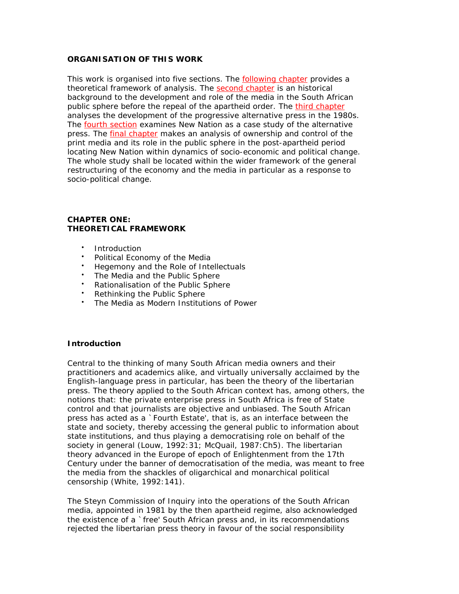# **ORGANISATION OF THIS WORK**

This work is organised into five sections. The following chapter provides a theoretical framework of analysis. The second chapter is an historical background to the development and role of the media in the South African public sphere before the repeal of the apartheid order. The third chapter analyses the development of the progressive alternative press in the 1980s. The fourth section examines *New Nation* as a case study of the alternative press. The *final chapter* makes an analysis of ownership and control of the print media and its role in the public sphere in the post-apartheid period locating *New Nation* within dynamics of socio-economic and political change. The whole study shall be located within the wider framework of the general restructuring of the economy and the media in particular as a response to socio-political change.

### **CHAPTER ONE: THEORETICAL FRAMEWORK**

- Introduction
- Political Economy of the Media
- Hegemony and the Role of Intellectuals
- The Media and the Public Sphere
- Rationalisation of the Public Sphere
- Rethinking the Public Sphere
- The Media as Modern Institutions of Power

### **Introduction**

Central to the thinking of many South African media owners and their practitioners and academics alike, and virtually universally acclaimed by the English-language press in particular, has been the theory of the libertarian press. The theory applied to the South African context has, among others, the notions that: the private enterprise press in South Africa is free of State control and that journalists are objective and unbiased. The South African press has acted as a `Fourth Estate', that is, as an interface between the state and society, thereby accessing the general public to information about state institutions, and thus playing a democratising role on behalf of the society in general (Louw, 1992:31; McQuail, 1987:Ch5). The libertarian theory advanced in the Europe of epoch of Enlightenment from the 17th Century under the banner of democratisation of the media, was meant to free the media from the shackles of oligarchical and monarchical political censorship (White, 1992:141).

The Steyn Commission of Inquiry into the operations of the South African media, appointed in 1981 by the then apartheid regime, also acknowledged the existence of a `free' South African press and, in its recommendations rejected the libertarian press theory in favour of the social responsibility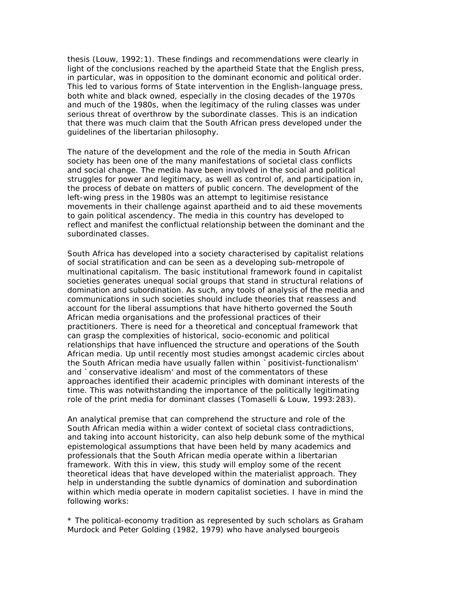thesis (Louw, 1992:1). These findings and recommendations were clearly in light of the conclusions reached by the apartheid State that the English press, in particular, was in opposition to the dominant economic and political order. This led to various forms of State intervention in the English-language press, both white and black owned, especially in the closing decades of the 1970s and much of the 1980s, when the legitimacy of the ruling classes was under serious threat of overthrow by the subordinate classes. This is an indication that there was much claim that the South African press developed under the guidelines of the libertarian philosophy.

The nature of the development and the role of the media in South African society has been one of the many manifestations of societal class conflicts and social change. The media have been involved in the social and political struggles for power and legitimacy, as well as control of, and participation in, the process of debate on matters of public concern. The development of the left-wing press in the 1980s was an attempt to legitimise resistance movements in their challenge against apartheid and to aid these movements to gain political ascendency. The media in this country has developed to reflect and manifest the conflictual relationship between the dominant and the subordinated classes.

South Africa has developed into a society characterised by capitalist relations of social stratification and can be seen as a developing sub-metropole of multinational capitalism. The basic institutional framework found in capitalist societies generates unequal social groups that stand in structural relations of domination and subordination. As such, any tools of analysis of the media and communications in such societies should include theories that reassess and account for the liberal assumptions that have hitherto governed the South African media organisations and the professional practices of their practitioners. There is need for a theoretical and conceptual framework that can grasp the complexities of historical, socio-economic and political relationships that have influenced the structure and operations of the South African media. Up until recently most studies amongst academic circles about the South African media have usually fallen within `positivist-functionalism' and `conservative idealism' and most of the commentators of these approaches identified their academic principles with dominant interests of the time. This was notwithstanding the importance of the politically legitimating role of the print media for dominant classes (Tomaselli & Louw, 1993:283).

An analytical premise that can comprehend the structure and role of the South African media within a wider context of societal class contradictions, and taking into account historicity, can also help debunk some of the mythical epistemological assumptions that have been held by many academics and professionals that the South African media operate within a libertarian framework. With this in view, this study will employ some of the recent theoretical ideas that have developed within the materialist approach. They help in understanding the subtle dynamics of domination and subordination within which media operate in modern capitalist societies. I have in mind the following works:

*\** The *political-economy* tradition as represented by such scholars as Graham Murdock and Peter Golding (1982, 1979) who have analysed bourgeois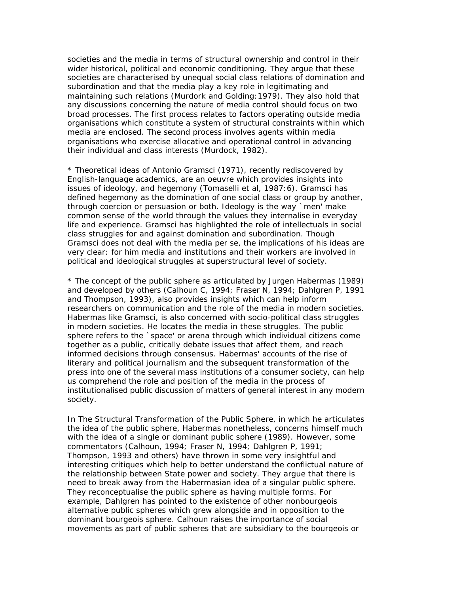societies and the media in terms of structural ownership and control in their wider historical, political and economic conditioning. They argue that these societies are characterised by unequal social class relations of domination and subordination and that the media play a key role in legitimating and maintaining such relations (Murdork and Golding:1979). They also hold that any discussions concerning the nature of media control should focus on two broad processes. The first process relates to factors operating outside media organisations which constitute a system of structural constraints within which media are enclosed. The second process involves agents within media organisations who exercise allocative and operational control in advancing their individual and class interests (Murdock, 1982).

*\** Theoretical ideas of Antonio Gramsci (1971), recently rediscovered by English-language academics, are an *oeuvre* which provides insights into issues of *ideology*, and *hegemony* (Tomaselli et al, 1987:6). Gramsci has defined hegemony as the domination of one social class or group by another, through coercion or persuasion or both. Ideology is the way `men' make common sense of the world through the values they internalise in everyday life and experience. Gramsci has highlighted the role of intellectuals in social class struggles for and against domination and subordination. Though Gramsci does not deal with the media *per se*, the implications of his ideas are very clear: for him media and institutions and their workers are involved in political and ideological struggles at superstructural level of society.

*\** The concept of the *public sphere* as articulated by Jurgen Habermas (1989) and developed by others (Calhoun C, 1994; Fraser N, 1994; Dahlgren P, 1991 and Thompson, 1993), also provides insights which can help inform researchers on communication and the role of the media in modern societies. Habermas like Gramsci, is also concerned with socio-political class struggles in modern societies. He locates the media in these struggles. The public sphere refers to the `space' or arena through which individual citizens come together as a public, critically debate issues that affect them, and reach informed decisions through consensus. Habermas' accounts of the rise of literary and political journalism and the subsequent transformation of the press into one of the several mass institutions of a consumer society, can help us comprehend the role and position of the media in the process of institutionalised public discussion of matters of general interest in any modern society.

In *The Structural Transformation of the Public Sphere*, in which he articulates the idea of the public sphere, Habermas nonetheless, concerns himself much with the idea of a single or dominant public sphere (1989). However, some commentators (Calhoun, 1994; Fraser N, 1994; Dahlgren P, 1991; Thompson, 1993 and others) have thrown in some very insightful and interesting critiques which help to better understand the conflictual nature of the relationship between State power and society. They argue that there is need to break away from the Habermasian idea of a singular public sphere. They reconceptualise the public sphere as having multiple forms. For example, Dahlgren has pointed to the existence of other nonbourgeois alternative public spheres which grew alongside and in opposition to the dominant bourgeois sphere. Calhoun raises the importance of social movements as part of public spheres that are subsidiary to the bourgeois or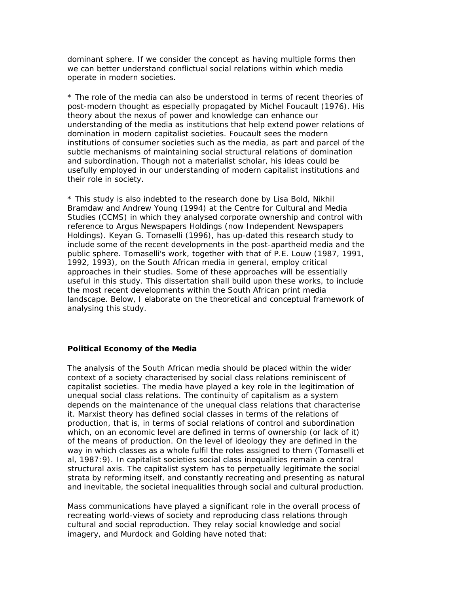dominant sphere. If we consider the concept as having multiple forms then we can better understand conflictual social relations within which media operate in modern societies.

*\** The role of the media can also be understood in terms of recent theories of post-modern thought as especially propagated by Michel Foucault (1976). His theory about the nexus of power and knowledge can enhance our understanding of the media as institutions that help extend power relations of domination in modern capitalist societies. Foucault sees the modern institutions of consumer societies such as the media, as part and parcel of the subtle mechanisms of maintaining social structural relations of domination and subordination. Though not a materialist scholar, his ideas could be usefully employed in our understanding of modern capitalist institutions and their role in society.

*\** This study is also indebted to the research done by Lisa Bold, Nikhil Bramdaw and Andrew Young (1994) at the Centre for Cultural and Media Studies (CCMS) in which they analysed corporate ownership and control with reference to Argus Newspapers Holdings (now Independent Newspapers Holdings). Keyan G. Tomaselli (1996), has up-dated this research study to include some of the recent developments in the post-apartheid media and the public sphere. Tomaselli's work, together with that of P.E. Louw (1987, 1991, 1992, 1993), on the South African media in general, employ critical approaches in their studies. Some of these approaches will be essentially useful in this study. This dissertation shall build upon these works, to include the most recent developments within the South African print media landscape. Below, I elaborate on the theoretical and conceptual framework of analysing this study.

#### **Political Economy of the Media**

The analysis of the South African media should be placed within the wider context of a society characterised by social class relations reminiscent of capitalist societies. The media have played a key role in the legitimation of unequal social class relations. The continuity of capitalism as a system depends on the maintenance of the unequal class relations that characterise it. Marxist theory has defined social classes in terms of the relations of production, that is, in terms of social relations of control and subordination which, on an economic level are defined in terms of ownership (or lack of it) of the means of production. On the level of ideology they are defined in the way in which classes as a whole fulfil the roles assigned to them (Tomaselli et al, 1987:9). In capitalist societies social class inequalities remain a central structural axis. The capitalist system has to perpetually legitimate the social strata by reforming itself, and constantly recreating and presenting as natural and inevitable, the societal inequalities through social and cultural production.

Mass communications have played a significant role in the overall process of recreating world-views of society and reproducing class relations through cultural and social reproduction. They relay social knowledge and social imagery, and Murdock and Golding have noted that: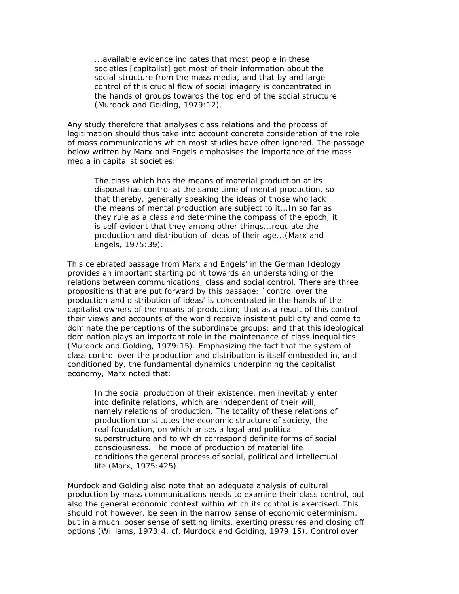...available evidence indicates that most people in these societies [capitalist] get most of their information about the social structure from the mass media, and that by and large control of this crucial flow of social imagery is concentrated in the hands of groups towards the top end of the social structure (Murdock and Golding, 1979:12).

Any study therefore that analyses class relations and the process of legitimation should thus take into account concrete consideration of the role of mass communications which most studies have often ignored. The passage below written by Marx and Engels emphasises the importance of the mass media in capitalist societies:

The class which has the means of material production at its disposal has control at the same time of mental production, so that thereby, generally speaking the ideas of those who lack the means of mental production are subject to it...In so far as they rule as a class and determine the compass of the epoch, it is self-evident that they among other things...regulate the production and distribution of ideas of their age...(Marx and Engels, 1975:39).

This celebrated passage from Marx and Engels' in the *German Ideology* provides an important starting point towards an understanding of the relations between communications, class and social control. There are three propositions that are put forward by this passage: `control over the production and distribution of ideas' is concentrated in the hands of the capitalist owners of the means of production; that as a result of this control their views and accounts of the world receive insistent publicity and come to dominate the perceptions of the subordinate groups; and that this ideological domination plays an important role in the maintenance of class inequalities (Murdock and Golding, 1979:15). Emphasizing the fact that the system of class control over the production and distribution is itself embedded in, and conditioned by, the fundamental dynamics underpinning the capitalist economy, Marx noted that:

In the social production of their existence, men inevitably enter into definite relations, which are independent of their will, namely relations of production. The totality of these relations of production constitutes the economic structure of society, the real foundation, on which arises a legal and political superstructure and to which correspond definite forms of social consciousness. The mode of production of material life conditions the general process of social, political and intellectual life (Marx, 1975:425).

Murdock and Golding also note that an adequate analysis of cultural production by mass communications needs to examine their class control, but also the general economic context within which its control is exercised. This should not however, be seen in the narrow sense of economic determinism, but in a much looser sense of setting limits, exerting pressures and closing off options (Williams, 1973:4, cf. Murdock and Golding, 1979:15). Control over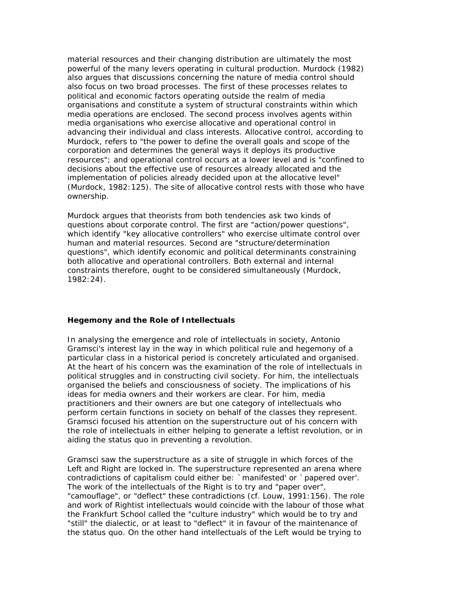material resources and their changing distribution are ultimately the most powerful of the many levers operating in cultural production. Murdock (1982) also argues that discussions concerning the nature of media control should also focus on two broad processes. The first of these processes relates to political and economic factors operating outside the realm of media organisations and constitute a system of structural constraints within which media operations are enclosed. The second process involves agents within media organisations who exercise allocative and operational control in advancing their individual and class interests. Allocative control, according to Murdock, refers to "the power to define the overall goals and scope of the corporation and determines the general ways it deploys its productive resources"; and operational control occurs at a lower level and is "confined to decisions about the effective use of resources already allocated and the implementation of policies already decided upon at the allocative level" (Murdock, 1982:125). The site of allocative control rests with those who have ownership.

Murdock argues that theorists from both tendencies ask two kinds of questions about corporate control. The first are "action/power questions", which identify "key allocative controllers" who exercise ultimate control over human and material resources. Second are "structure/determination questions", which identify economic and political determinants constraining both allocative and operational controllers. Both external and internal constraints therefore, ought to be considered simultaneously (Murdock, 1982:24).

### **Hegemony and the Role of Intellectuals**

In analysing the emergence and role of intellectuals in society, Antonio Gramsci's interest lay in the way in which political rule and hegemony of a particular class in a historical period is concretely articulated and organised. At the heart of his concern was the examination of the role of intellectuals in political struggles and in constructing civil society. For him, the intellectuals organised the beliefs and consciousness of society. The implications of his ideas for media owners and their workers are clear. For him, media practitioners and their owners are but one category of intellectuals who perform certain functions in society on behalf of the classes they represent. Gramsci focused his attention on the superstructure out of his concern with the role of intellectuals in either helping to generate a leftist revolution, or in aiding the *status quo* in preventing a revolution.

Gramsci saw the superstructure as a site of struggle in which forces of the Left and Right are locked in. The superstructure represented an arena where contradictions of capitalism could either be: `manifested' or `papered over'. The work of the intellectuals of the Right is to try and "paper over", "camouflage", or "deflect" these contradictions (cf. Louw, 1991:156). The role and work of Rightist intellectuals would coincide with the labour of those what the Frankfurt School called the "culture industry" which would be to try and "still" the dialectic, or at least to "deflect" it in favour of the maintenance of the status quo. On the other hand intellectuals of the Left would be trying to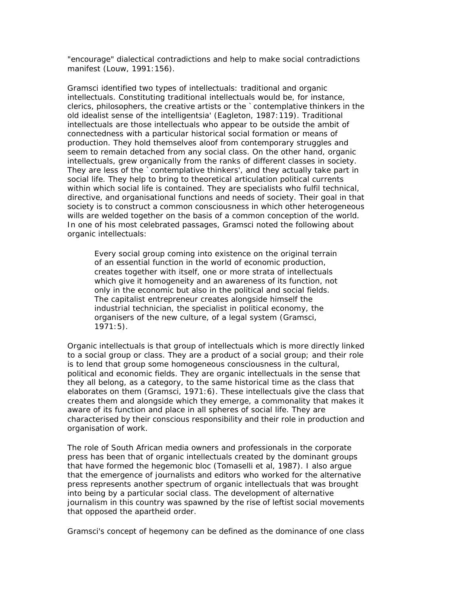"encourage" dialectical contradictions and help to make social contradictions manifest (Louw, 1991:156).

Gramsci identified two types of intellectuals: traditional and organic intellectuals. Constituting traditional intellectuals would be, for instance, clerics, philosophers, the creative artists or the `contemplative thinkers in the old idealist sense of the intelligentsia' (Eagleton, 1987:119). Traditional intellectuals are those intellectuals who appear to be outside the ambit of connectedness with a particular historical social formation or means of production. They hold themselves aloof from contemporary struggles and seem to remain detached from any social class. On the other hand, organic intellectuals, grew organically from the ranks of different classes in society. They are less of the `contemplative thinkers', and they actually take part in social life. They help to bring to theoretical articulation political currents within which social life is contained. They are specialists who fulfil technical, directive, and organisational functions and needs of society. Their goal in that society is to construct a common consciousness in which other heterogeneous wills are welded together on the basis of a common conception of the world. In one of his most celebrated passages, Gramsci noted the following about organic intellectuals:

Every social group coming into existence on the original terrain of an essential function in the world of economic production, creates together with itself, one or more strata of intellectuals which give it homogeneity and an awareness of its function, not only in the economic but also in the political and social fields. The capitalist entrepreneur creates alongside himself the industrial technician, the specialist in political economy, the organisers of the new culture, of a legal system (Gramsci, 1971:5).

Organic intellectuals is that group of intellectuals which is more directly linked to a social group or class. They are a product of a social group; and their role is to lend that group some homogeneous consciousness in the cultural, political and economic fields. They are organic intellectuals in the sense that they all belong, as a category, to the same historical time as the class that elaborates on them (Gramsci, 1971:6). These intellectuals give the class that creates them and alongside which they emerge, a commonality that makes it aware of its function and place in all spheres of social life. They are characterised by their conscious responsibility and their role in production and organisation of work.

The role of South African media owners and professionals in the corporate press has been that of organic intellectuals created by the dominant groups that have formed the hegemonic bloc (Tomaselli et al, 1987). I also argue that the emergence of journalists and editors who worked for the alternative press represents another spectrum of organic intellectuals that was brought into being by a particular social class. The development of alternative journalism in this country was spawned by the rise of leftist social movements that opposed the apartheid order.

Gramsci's concept of hegemony can be defined as the dominance of one class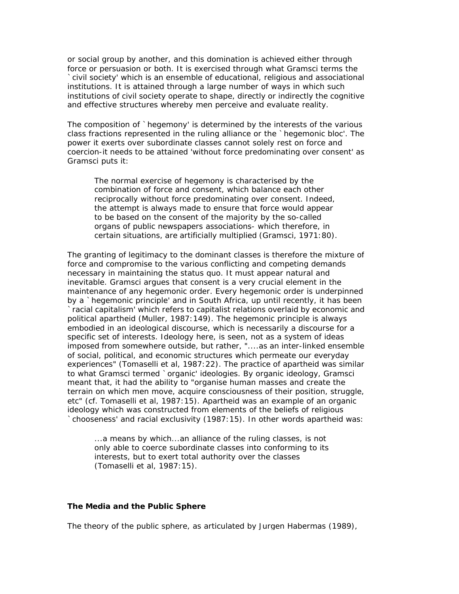or social group by another, and this domination is achieved either through force or persuasion or both. It is exercised through what Gramsci terms the `civil society' which is an ensemble of educational, religious and associational institutions. It is attained through a large number of ways in which such institutions of civil society operate to shape, directly or indirectly the cognitive and effective structures whereby men perceive and evaluate reality.

The composition of `hegemony' is determined by the interests of the various class fractions represented in the ruling alliance or the `hegemonic bloc'. The power it exerts over subordinate classes cannot solely rest on force and coercion-it needs to be attained 'without force predominating over consent' as Gramsci puts it:

The normal exercise of hegemony is characterised by the combination of force and consent, which balance each other reciprocally without force predominating over consent. Indeed, the attempt is always made to ensure that force would appear to be based on the consent of the majority by the so-called organs of public newspapers associations- which therefore, in certain situations, are artificially multiplied (Gramsci, 1971:80).

The granting of legitimacy to the dominant classes is therefore the mixture of force and compromise to the various conflicting and competing demands necessary in maintaining the status quo. It must appear natural and inevitable. Gramsci argues that consent is a very crucial element in the maintenance of any hegemonic order. Every hegemonic order is underpinned by a `hegemonic principle' and in South Africa, up until recently, it has been `racial capitalism' which refers to capitalist relations overlaid by economic and political apartheid (Muller, 1987:149). The hegemonic principle is always embodied in an ideological discourse, which is necessarily a discourse for a specific set of interests. Ideology here, is seen, not as a system of ideas imposed from somewhere outside, but rather, "....as an inter-linked ensemble of social, political, and economic structures which permeate our everyday experiences" (Tomaselli et al, 1987:22). The practice of apartheid was similar to what Gramsci termed `organic' ideologies. By organic ideology, Gramsci meant that, it had the ability to "organise human masses and create the terrain on which men move, acquire consciousness of their position, struggle, etc" (cf. Tomaselli et al, 1987:15). Apartheid was an example of an organic ideology which was constructed from elements of the beliefs of religious `chooseness' and racial exclusivity (1987:15). In other words apartheid was:

...a means by which...an alliance of the ruling classes, is not only able to coerce subordinate classes into conforming to its interests, but to exert total authority over the classes (Tomaselli et al, 1987:15).

### **The Media and the Public Sphere**

The theory of the public sphere, as articulated by Jurgen Habermas (1989),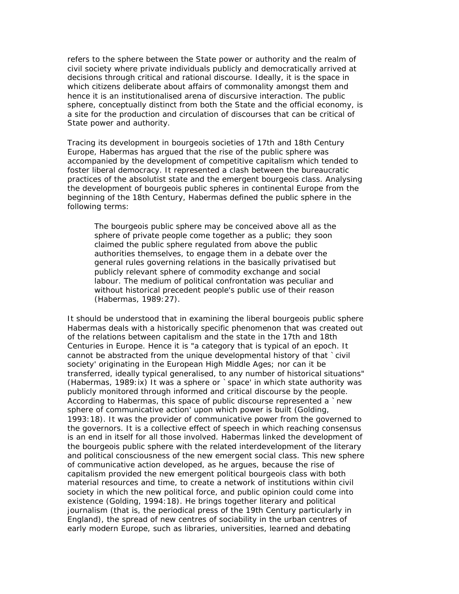refers to the sphere between the State power or authority and the realm of civil society where private individuals publicly and democratically arrived at decisions through critical and rational discourse. Ideally, it is the space in which citizens deliberate about affairs of commonality amongst them and hence it is an institutionalised arena of discursive interaction. The public sphere, conceptually distinct from both the State and the official economy, is a site for the production and circulation of discourses that can be critical of State power and authority.

Tracing its development in bourgeois societies of 17th and 18th Century Europe, Habermas has argued that the rise of the public sphere was accompanied by the development of competitive capitalism which tended to foster liberal democracy. It represented a clash between the bureaucratic practices of the absolutist state and the emergent bourgeois class. Analysing the development of bourgeois public spheres in continental Europe from the beginning of the 18th Century, Habermas defined the public sphere in the following terms:

The bourgeois public sphere may be conceived above all as the sphere of private people come together as a public; they soon claimed the public sphere regulated from above the public authorities themselves, to engage them in a debate over the general rules governing relations in the basically privatised but publicly relevant sphere of commodity exchange and social labour. The medium of political confrontation was peculiar and without historical precedent people's public use of their reason (Habermas, 1989:27).

It should be understood that in examining the liberal bourgeois public sphere Habermas deals with a historically specific phenomenon that was created out of the relations between capitalism and the state in the 17th and 18th Centuries in Europe. Hence it is "a category that is typical of an epoch. It cannot be abstracted from the unique developmental history of that `civil society' originating in the European High Middle Ages; nor can it be transferred, ideally typical generalised, to any number of historical situations" (Habermas, 1989:ix) It was a sphere or `space' in which state authority was publicly monitored through informed and critical discourse by the people. According to Habermas, this space of public discourse represented a `new sphere of communicative action' upon which power is built (Golding, 1993:18). It was the provider of communicative power from the governed to the governors. It is a collective effect of speech in which reaching consensus is an end in itself for all those involved. Habermas linked the development of the bourgeois public sphere with the related interdevelopment of the literary and political consciousness of the new emergent social class. This new sphere of communicative action developed, as he argues, because the rise of capitalism provided the new emergent political bourgeois class with both material resources and time, to create a network of institutions within civil society in which the new political force, and public opinion could come into existence (Golding, 1994:18). He brings together literary and political journalism (that is, the periodical press of the 19th Century particularly in England), the spread of new centres of sociability in the urban centres of early modern Europe, such as libraries, universities, learned and debating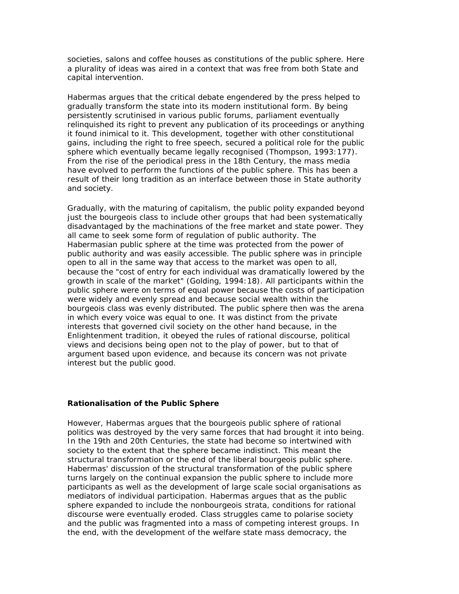societies, salons and coffee houses as constitutions of the public sphere. Here a plurality of ideas was aired in a context that was free from both State and capital intervention.

Habermas argues that the critical debate engendered by the press helped to gradually transform the state into its modern institutional form. By being persistently scrutinised in various public forums, parliament eventually relinquished its right to prevent any publication of its proceedings or anything it found inimical to it. This development, together with other constitutional gains, including the right to free speech, secured a political role for the public sphere which eventually became legally recognised (Thompson, 1993:177). From the rise of the periodical press in the 18th Century, the mass media have evolved to perform the functions of the public sphere. This has been a result of their long tradition as an interface between those in State authority and society.

Gradually, with the maturing of capitalism, the public polity expanded beyond just the bourgeois class to include other groups that had been systematically disadvantaged by the machinations of the free market and state power. They all came to seek some form of regulation of public authority. The Habermasian public sphere at the time was protected from the power of public authority and was easily accessible. The public sphere was in principle open to all in the same way that access to the market was open to all, because the "cost of entry for each individual was dramatically lowered by the growth in scale of the market" (Golding, 1994:18). All participants within the public sphere were on terms of equal power because the costs of participation were widely and evenly spread and because social wealth within the bourgeois class was evenly distributed. The public sphere then was the arena in which every voice was equal to one. It was distinct from the private interests that governed civil society on the other hand because, in the Enlightenment tradition, it obeyed the rules of rational discourse, political views and decisions being open not to the play of power, but to that of argument based upon evidence, and because its concern was not private interest but the public good.

### **Rationalisation of the Public Sphere**

However, Habermas argues that the bourgeois public sphere of rational politics was destroyed by the very same forces that had brought it into being. In the 19th and 20th Centuries, the state had become so intertwined with society to the extent that the sphere became indistinct. This meant the structural transformation or the end of the liberal bourgeois public sphere. Habermas' discussion of the structural transformation of the public sphere turns largely on the continual expansion the public sphere to include more participants as well as the development of large scale social organisations as mediators of individual participation. Habermas argues that as the public sphere expanded to include the nonbourgeois strata, conditions for rational discourse were eventually eroded. Class struggles came to polarise society and the public was fragmented into a mass of competing interest groups. In the end, with the development of the welfare state mass democracy, the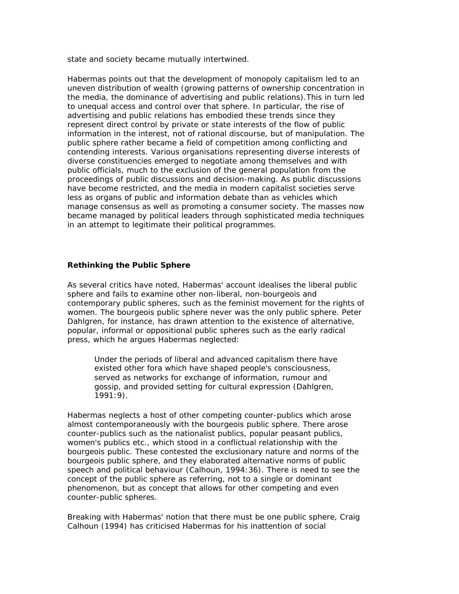state and society became mutually intertwined.

Habermas points out that the development of monopoly capitalism led to an uneven distribution of wealth (growing patterns of ownership concentration in the media, the dominance of advertising and public relations).This in turn led to unequal access and control over that sphere. In particular, the rise of advertising and public relations has embodied these trends since they represent direct control by private or state interests of the flow of public information in the interest, not of rational discourse, but of manipulation. The public sphere rather became a field of competition among conflicting and contending interests. Various organisations representing diverse interests of diverse constituencies emerged to negotiate among themselves and with public officials, much to the exclusion of the general population from the proceedings of public discussions and decision-making. As public discussions have become restricted, and the media in modern capitalist societies serve less as organs of public and information debate than as vehicles which manage consensus as well as promoting a consumer society. The masses now became managed by political leaders through sophisticated media techniques in an attempt to legitimate their political programmes.

### **Rethinking the Public Sphere**

As several critics have noted, Habermas' account idealises the liberal public sphere and fails to examine other non-liberal, non-bourgeois and contemporary public spheres, such as the feminist movement for the rights of women. The bourgeois public sphere never was the only public sphere. Peter Dahlgren, for instance, has drawn attention to the existence of alternative, popular, informal or oppositional public spheres such as the early radical press, which he argues Habermas neglected:

Under the periods of liberal and advanced capitalism there have existed other fora which have shaped people's consciousness, served as networks for exchange of information, rumour and gossip, and provided setting for cultural expression (Dahlgren, 1991:9).

Habermas neglects a host of other competing counter-publics which arose almost contemporaneously with the bourgeois public sphere. There arose counter-publics such as the nationalist publics, popular peasant publics, women's publics etc., which stood in a conflictual relationship with the bourgeois public. These contested the exclusionary nature and norms of the bourgeois public sphere, and they elaborated alternative norms of public speech and political behaviour (Calhoun, 1994:36). There is need to see the concept of the public sphere as referring, not to a single or dominant phenomenon, but as concept that allows for other competing and even counter-public spheres.

Breaking with Habermas' notion that there must be one public sphere, Craig Calhoun (1994) has criticised Habermas for his inattention of social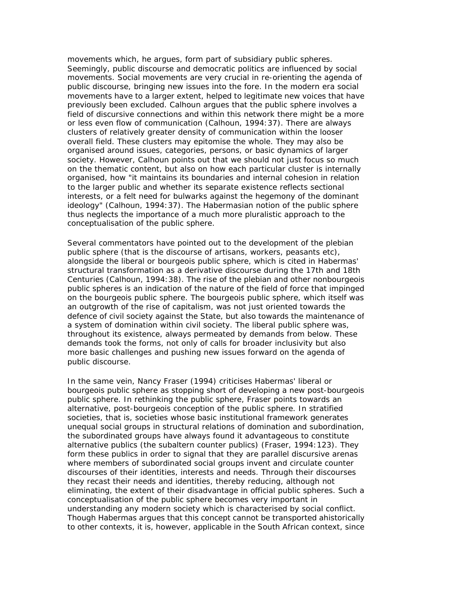movements which, he argues, form part of subsidiary public spheres. Seemingly, public discourse and democratic politics are influenced by social movements. Social movements are very crucial in re-orienting the agenda of public discourse, bringing new issues into the fore. In the modern era social movements have to a larger extent, helped to legitimate new voices that have previously been excluded. Calhoun argues that the public sphere involves a field of discursive connections and within this network there might be a more or less even flow of communication (Calhoun, 1994:37). There are always clusters of relatively greater density of communication within the looser overall field. These clusters may epitomise the whole. They may also be organised around issues, categories, persons, or basic dynamics of larger society. However, Calhoun points out that we should not just focus so much on the thematic content, but also on how each particular cluster is internally organised, how "it maintains its boundaries and internal cohesion in relation to the larger public and whether its separate existence reflects sectional interests, or a felt need for bulwarks against the hegemony of the dominant ideology" (Calhoun, 1994:37). The Habermasian notion of the public sphere thus neglects the importance of a much more pluralistic approach to the conceptualisation of the public sphere.

Several commentators have pointed out to the development of the plebian public sphere (that is the discourse of artisans, workers, peasants etc), alongside the liberal or bourgeois public sphere, which is cited in Habermas' structural transformation as a derivative discourse during the 17th and 18th Centuries (Calhoun, 1994:38). The rise of the plebian and other nonbourgeois public spheres is an indication of the nature of the field of force that impinged on the bourgeois public sphere. The bourgeois public sphere, which itself was an outgrowth of the rise of capitalism, was not just oriented towards the defence of civil society against the State, but also towards the maintenance of a system of domination within civil society. The liberal public sphere was, throughout its existence, always permeated by demands from below. These demands took the forms, not only of calls for broader inclusivity but also more basic challenges and pushing new issues forward on the agenda of public discourse.

In the same vein, Nancy Fraser (1994) criticises Habermas' liberal or bourgeois public sphere as stopping short of developing a new post-bourgeois public sphere. In rethinking the public sphere, Fraser points towards an alternative, post-bourgeois conception of the public sphere. In stratified societies, that is, societies whose basic institutional framework generates unequal social groups in structural relations of domination and subordination, the subordinated groups have always found it advantageous to constitute alternative publics (the subaltern counter publics) (Fraser, 1994:123). They form these publics in order to signal that they are parallel discursive arenas where members of subordinated social groups invent and circulate counter discourses of their identities, interests and needs. Through their discourses they recast their needs and identities, thereby reducing, although not eliminating, the extent of their disadvantage in official public spheres. Such a conceptualisation of the public sphere becomes very important in understanding any modern society which is characterised by social conflict. Though Habermas argues that this concept cannot be transported ahistorically to other contexts, it is, however, applicable in the South African context, since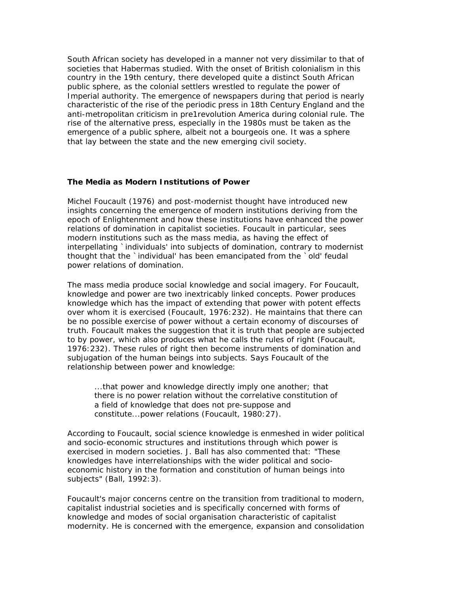South African society has developed in a manner not very dissimilar to that of societies that Habermas studied. With the onset of British colonialism in this country in the 19th century, there developed quite a distinct South African public sphere, as the colonial settlers wrestled to regulate the power of Imperial authority. The emergence of newspapers during that period is nearly characteristic of the rise of the periodic press in 18th Century England and the anti-metropolitan criticism in pre1revolution America during colonial rule. The rise of the alternative press, especially in the 1980s must be taken as the emergence of a public sphere, albeit not a bourgeois one. It was a sphere that lay between the state and the new emerging civil society.

### **The Media as Modern Institutions of Power**

Michel Foucault (1976) and post-modernist thought have introduced new insights concerning the emergence of modern institutions deriving from the epoch of Enlightenment and how these institutions have enhanced the power relations of domination in capitalist societies. Foucault in particular, sees modern institutions such as the mass media, as having the effect of interpellating `individuals' into subjects of domination, contrary to modernist thought that the `individual' has been emancipated from the `old' feudal power relations of domination.

The mass media produce social knowledge and social imagery. For Foucault, knowledge and power are two inextricably linked concepts. Power produces knowledge which has the impact of extending that power with potent effects over whom it is exercised (Foucault, 1976:232). He maintains that there can be no possible exercise of power without a certain economy of discourses of truth. Foucault makes the suggestion that it is truth that people are subjected to by power, which also produces what he calls the rules of right (Foucault, 1976:232). These rules of right then become instruments of domination and subjugation of the human beings into subjects. Says Foucault of the relationship between power and knowledge:

...that power and knowledge directly imply one another; that there is no power relation without the correlative constitution of a field of knowledge that does not pre-suppose and constitute...power relations (Foucault, 1980:27).

According to Foucault, social science knowledge is enmeshed in wider political and socio-economic structures and institutions through which power is exercised in modern societies. J. Ball has also commented that: "These knowledges have interrelationships with the wider political and socioeconomic history in the formation and constitution of human beings into subjects" (Ball, 1992:3).

Foucault's major concerns centre on the transition from traditional to modern, capitalist industrial societies and is specifically concerned with forms of knowledge and modes of social organisation characteristic of capitalist modernity. He is concerned with the emergence, expansion and consolidation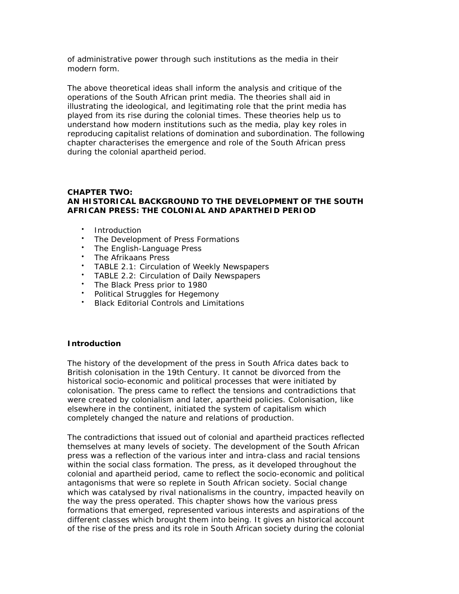of administrative power through such institutions as the media in their modern form.

The above theoretical ideas shall inform the analysis and critique of the operations of the South African print media. The theories shall aid in illustrating the ideological, and legitimating role that the print media has played from its rise during the colonial times. These theories help us to understand how modern institutions such as the media, play key roles in reproducing capitalist relations of domination and subordination. The following chapter characterises the emergence and role of the South African press during the colonial apartheid period.

### **CHAPTER TWO: AN HISTORICAL BACKGROUND TO THE DEVELOPMENT OF THE SOUTH AFRICAN PRESS: THE COLONIAL AND APARTHEID PERIOD**

- Introduction
- The Development of Press Formations
- The English-Language Press
- The Afrikaans Press
- TABLE 2.1: Circulation of Weekly Newspapers
- TABLE 2.2: Circulation of Daily Newspapers
- The Black Press prior to 1980
- Political Struggles for Hegemony
- Black Editorial Controls and Limitations

### **Introduction**

The history of the development of the press in South Africa dates back to British colonisation in the 19th Century. It cannot be divorced from the historical socio-economic and political processes that were initiated by colonisation. The press came to reflect the tensions and contradictions that were created by colonialism and later, apartheid policies. Colonisation, like elsewhere in the continent, initiated the system of capitalism which completely changed the nature and relations of production.

The contradictions that issued out of colonial and apartheid practices reflected themselves at many levels of society. The development of the South African press was a reflection of the various inter and intra-class and racial tensions within the social class formation. The press, as it developed throughout the colonial and apartheid period, came to reflect the socio-economic and political antagonisms that were so replete in South African society. Social change which was catalysed by rival nationalisms in the country, impacted heavily on the way the press operated. This chapter shows how the various press formations that emerged, represented various interests and aspirations of the different classes which brought them into being. It gives an historical account of the rise of the press and its role in South African society during the colonial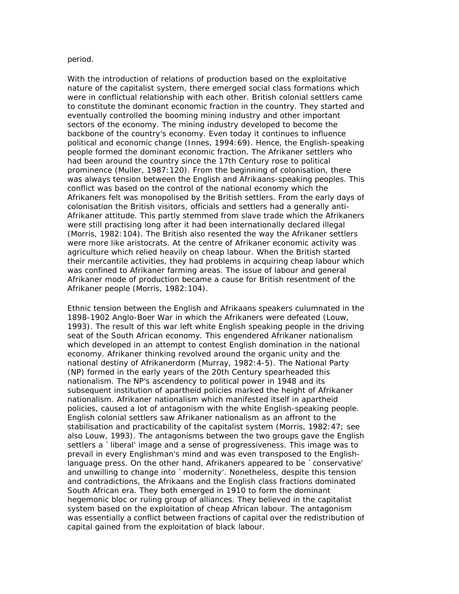#### period.

With the introduction of relations of production based on the exploitative nature of the capitalist system, there emerged social class formations which were in conflictual relationship with each other. British colonial settlers came to constitute the dominant economic fraction in the country. They started and eventually controlled the booming mining industry and other important sectors of the economy. The mining industry developed to become the backbone of the country's economy. Even today it continues to influence political and economic change (Innes, 1994:69). Hence, the English-speaking people formed the dominant economic fraction. The Afrikaner settlers who had been around the country since the 17th Century rose to political prominence (Muller, 1987:120). From the beginning of colonisation, there was always tension between the English and Afrikaans-speaking peoples. This conflict was based on the control of the national economy which the Afrikaners felt was monopolised by the British settlers. From the early days of colonisation the British visitors, officials and settlers had a generally anti-Afrikaner attitude. This partly stemmed from slave trade which the Afrikaners were still practising long after it had been internationally declared illegal (Morris, 1982:104). The British also resented the way the Afrikaner settlers were more like aristocrats. At the centre of Afrikaner economic activity was agriculture which relied heavily on cheap labour. When the British started their mercantile activities, they had problems in acquiring cheap labour which was confined to Afrikaner farming areas. The issue of labour and general Afrikaner mode of production became a cause for British resentment of the Afrikaner people (Morris, 1982:104).

Ethnic tension between the English and Afrikaans speakers culumnated in the 1898-1902 Anglo-Boer War in which the Afrikaners were defeated (Louw, 1993). The result of this war left white English speaking people in the driving seat of the South African economy. This engendered Afrikaner nationalism which developed in an attempt to contest English domination in the national economy. Afrikaner thinking revolved around the organic unity and the national destiny of Afrikanerdorm (Murray, 1982:4-5). The National Party (NP) formed in the early years of the 20th Century spearheaded this nationalism. The NP's ascendency to political power in 1948 and its subsequent institution of apartheid policies marked the height of Afrikaner nationalism. Afrikaner nationalism which manifested itself in apartheid policies, caused a lot of antagonism with the white English-speaking people. English colonial settlers saw Afrikaner nationalism as an affront to the stabilisation and practicability of the capitalist system (Morris, 1982:47; see also Louw, 1993). The antagonisms between the two groups gave the English settlers a `liberal' image and a sense of progressiveness. This image was to prevail in every Englishman's mind and was even transposed to the Englishlanguage press. On the other hand, Afrikaners appeared to be `conservative' and unwilling to change into `modernity'. Nonetheless, despite this tension and contradictions, the Afrikaans and the English class fractions dominated South African era. They both emerged in 1910 to form the dominant hegemonic bloc or ruling group of alliances. They believed in the capitalist system based on the exploitation of cheap African labour. The antagonism was essentially a conflict between fractions of capital over the redistribution of capital gained from the exploitation of black labour.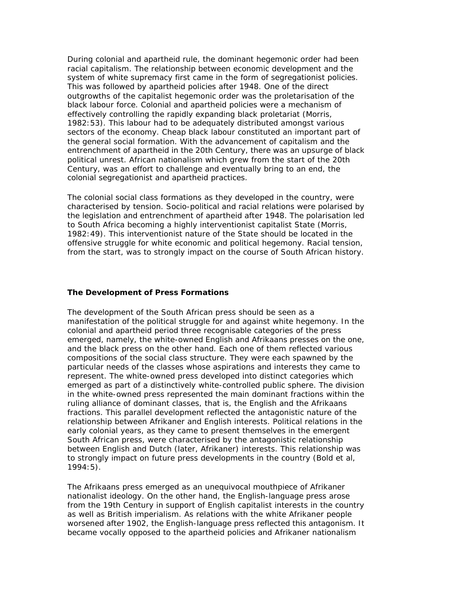During colonial and apartheid rule, the dominant hegemonic order had been racial capitalism. The relationship between economic development and the system of white supremacy first came in the form of segregationist policies. This was followed by apartheid policies after 1948. One of the direct outgrowths of the capitalist hegemonic order was the proletarisation of the black labour force. Colonial and apartheid policies were a mechanism of effectively controlling the rapidly expanding black proletariat (Morris, 1982:53). This labour had to be adequately distributed amongst various sectors of the economy. Cheap black labour constituted an important part of the general social formation. With the advancement of capitalism and the entrenchment of apartheid in the 20th Century, there was an upsurge of black political unrest. African nationalism which grew from the start of the 20th Century, was an effort to challenge and eventually bring to an end, the colonial segregationist and apartheid practices.

The colonial social class formations as they developed in the country, were characterised by tension. Socio-political and racial relations were polarised by the legislation and entrenchment of apartheid after 1948. The polarisation led to South Africa becoming a highly interventionist capitalist State (Morris, 1982:49). This interventionist nature of the State should be located in the offensive struggle for white economic and political hegemony. Racial tension, from the start, was to strongly impact on the course of South African history.

#### **The Development of Press Formations**

The development of the South African press should be seen as a manifestation of the political struggle for and against white hegemony. In the colonial and apartheid period three recognisable categories of the press emerged, namely, the white-owned English and Afrikaans presses on the one, and the black press on the other hand. Each one of them reflected various compositions of the social class structure. They were each spawned by the particular needs of the classes whose aspirations and interests they came to represent. The white-owned press developed into distinct categories which emerged as part of a distinctively white-controlled public sphere. The division in the white-owned press represented the main dominant fractions within the ruling alliance of dominant classes, that is, the English and the Afrikaans fractions. This parallel development reflected the antagonistic nature of the relationship between Afrikaner and English interests. Political relations in the early colonial years, as they came to present themselves in the emergent South African press, were characterised by the antagonistic relationship between English and Dutch (later, Afrikaner) interests. This relationship was to strongly impact on future press developments in the country (Bold et al, 1994:5).

The Afrikaans press emerged as an unequivocal mouthpiece of Afrikaner nationalist ideology. On the other hand, the English-language press arose from the 19th Century in support of English capitalist interests in the country as well as British imperialism. As relations with the white Afrikaner people worsened after 1902, the English-language press reflected this antagonism. It became vocally opposed to the apartheid policies and Afrikaner nationalism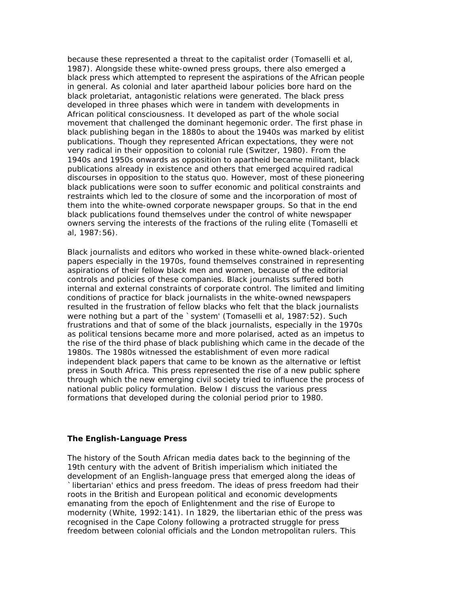because these represented a threat to the capitalist order (Tomaselli et al, 1987). Alongside these white-owned press groups, there also emerged a black press which attempted to represent the aspirations of the African people in general. As colonial and later apartheid labour policies bore hard on the black proletariat, antagonistic relations were generated. The black press developed in three phases which were in tandem with developments in African political consciousness. It developed as part of the whole social movement that challenged the dominant hegemonic order. The first phase in black publishing began in the 1880s to about the 1940s was marked by elitist publications. Though they represented African expectations, they were not very radical in their opposition to colonial rule (Switzer, 1980). From the 1940s and 1950s onwards as opposition to apartheid became militant, black publications already in existence and others that emerged acquired radical discourses in opposition to the status quo. However, most of these pioneering black publications were soon to suffer economic and political constraints and restraints which led to the closure of some and the incorporation of most of them into the white-owned corporate newspaper groups. So that in the end black publications found themselves under the control of white newspaper owners serving the interests of the fractions of the ruling elite (Tomaselli et al, 1987:56).

Black journalists and editors who worked in these white-owned black-oriented papers especially in the 1970s, found themselves constrained in representing aspirations of their fellow black men and women, because of the editorial controls and policies of these companies. Black journalists suffered both internal and external constraints of corporate control. The limited and limiting conditions of practice for black journalists in the white-owned newspapers resulted in the frustration of fellow blacks who felt that the black journalists were nothing but a part of the `system' (Tomaselli et al, 1987:52). Such frustrations and that of some of the black journalists, especially in the 1970s as political tensions became more and more polarised, acted as an impetus to the rise of the third phase of black publishing which came in the decade of the 1980s. The 1980s witnessed the establishment of even more radical independent black papers that came to be known as the alternative or leftist press in South Africa. This press represented the rise of a new public sphere through which the new emerging civil society tried to influence the process of national public policy formulation. Below I discuss the various press formations that developed during the colonial period prior to 1980.

#### **The English-Language Press**

The history of the South African media dates back to the beginning of the 19th century with the advent of British imperialism which initiated the development of an English-language press that emerged along the ideas of `libertarian' ethics and press freedom. The ideas of press freedom had their roots in the British and European political and economic developments emanating from the epoch of Enlightenment and the rise of Europe to modernity (White, 1992:141). In 1829, the libertarian ethic of the press was recognised in the Cape Colony following a protracted struggle for press freedom between colonial officials and the London metropolitan rulers. This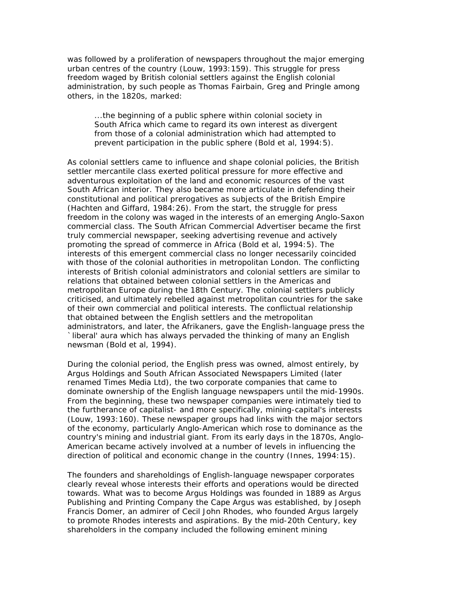was followed by a proliferation of newspapers throughout the major emerging urban centres of the country (Louw, 1993:159). This struggle for press freedom waged by British colonial settlers against the English colonial administration, by such people as Thomas Fairbain, Greg and Pringle among others, in the 1820s, marked:

...the beginning of a public sphere within colonial society in South Africa which came to regard its own interest as divergent from those of a colonial administration which had attempted to prevent participation in the public sphere (Bold et al, 1994:5).

As colonial settlers came to influence and shape colonial policies, the British settler mercantile class exerted political pressure for more effective and adventurous exploitation of the land and economic resources of the vast South African interior. They also became more articulate in defending their constitutional and political prerogatives as subjects of the British Empire (Hachten and Giffard, 1984:26). From the start, the struggle for press freedom in the colony was waged in the interests of an emerging Anglo-Saxon commercial class. The South African Commercial Advertiser became the first truly commercial newspaper, seeking advertising revenue and actively promoting the spread of commerce in Africa (Bold et al, 1994:5). The interests of this emergent commercial class no longer necessarily coincided with those of the colonial authorities in metropolitan London. The conflicting interests of British colonial administrators and colonial settlers are similar to relations that obtained between colonial settlers in the Americas and metropolitan Europe during the 18th Century. The colonial settlers publicly criticised, and ultimately rebelled against metropolitan countries for the sake of their own commercial and political interests. The conflictual relationship that obtained between the English settlers and the metropolitan administrators, and later, the Afrikaners, gave the English-language press the `liberal' aura which has always pervaded the thinking of many an English newsman (Bold et al, 1994).

During the colonial period, the English press was owned, almost entirely, by Argus Holdings and South African Associated Newspapers Limited (later renamed Times Media Ltd), the two corporate companies that came to dominate ownership of the English language newspapers until the mid-1990s. From the beginning, these two newspaper companies were intimately tied to the furtherance of capitalist- and more specifically, mining-capital's interests (Louw, 1993:160). These newspaper groups had links with the major sectors of the economy, particularly Anglo-American which rose to dominance as the country's mining and industrial giant. From its early days in the 1870s, Anglo-American became actively involved at a number of levels in influencing the direction of political and economic change in the country (Innes, 1994:15).

The founders and shareholdings of English-language newspaper corporates clearly reveal whose interests their efforts and operations would be directed towards. What was to become Argus Holdings was founded in 1889 as Argus Publishing and Printing Company the Cape Argus was established, by Joseph Francis Domer, an admirer of Cecil John Rhodes, who founded Argus largely to promote Rhodes interests and aspirations. By the mid-20th Century, key shareholders in the company included the following eminent mining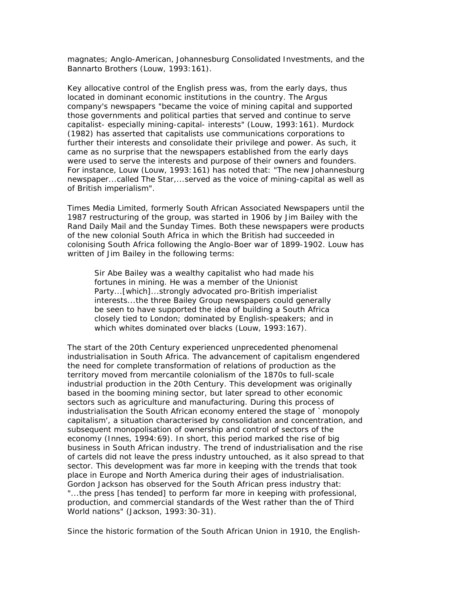magnates; Anglo-American, Johannesburg Consolidated Investments, and the Bannarto Brothers (Louw, 1993:161).

Key allocative control of the English press was, from the early days, thus located in dominant economic institutions in the country. The Argus company's newspapers "became the voice of mining capital and supported those governments and political parties that served and continue to serve capitalist- especially mining-capital- interests" (Louw, 1993:161). Murdock (1982) has asserted that capitalists use communications corporations to further their interests and consolidate their privilege and power. As such, it came as no surprise that the newspapers established from the early days were used to serve the interests and purpose of their owners and founders. For instance, Louw (Louw, 1993:161) has noted that: "The new Johannesburg newspaper...called The Star,...served as the voice of mining-capital as well as of British imperialism".

Times Media Limited, formerly South African Associated Newspapers until the 1987 restructuring of the group, was started in 1906 by Jim Bailey with the Rand Daily Mail and the Sunday Times. Both these newspapers were products of the new colonial South Africa in which the British had succeeded in colonising South Africa following the Anglo-Boer war of 1899-1902. Louw has written of Jim Bailey in the following terms:

Sir Abe Bailey was a wealthy capitalist who had made his fortunes in mining. He was a member of the Unionist Party...[which]...strongly advocated pro-British imperialist interests...the three Bailey Group newspapers could generally be seen to have supported the idea of building a South Africa closely tied to London; dominated by English-speakers; and in which whites dominated over blacks (Louw, 1993:167).

The start of the 20th Century experienced unprecedented phenomenal industrialisation in South Africa. The advancement of capitalism engendered the need for complete transformation of relations of production as the territory moved from mercantile colonialism of the 1870s to full-scale industrial production in the 20th Century. This development was originally based in the booming mining sector, but later spread to other economic sectors such as agriculture and manufacturing. During this process of industrialisation the South African economy entered the stage of `monopoly capitalism', a situation characterised by consolidation and concentration, and subsequent monopolisation of ownership and control of sectors of the economy (Innes, 1994:69). In short, this period marked the rise of big business in South African industry. The trend of industrialisation and the rise of cartels did not leave the press industry untouched, as it also spread to that sector. This development was far more in keeping with the trends that took place in Europe and North America during their ages of industrialisation. Gordon Jackson has observed for the South African press industry that: "...the press [has tended] to perform far more in keeping with professional, production, and commercial standards of the West rather than the of Third World nations" (Jackson, 1993: 30-31).

Since the historic formation of the South African Union in 1910, the English-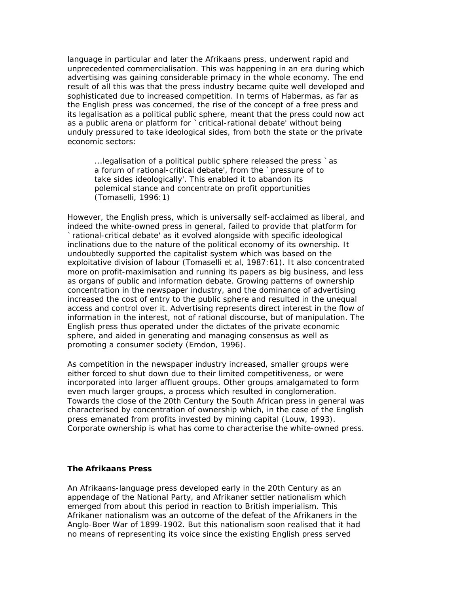language in particular and later the Afrikaans press, underwent rapid and unprecedented commercialisation. This was happening in an era during which advertising was gaining considerable primacy in the whole economy. The end result of all this was that the press industry became quite well developed and sophisticated due to increased competition. In terms of Habermas, as far as the English press was concerned, the rise of the concept of a free press and its legalisation as a political public sphere, meant that the press could now act as a public arena or platform for `critical-rational debate' without being unduly pressured to take ideological sides, from both the state or the private economic sectors:

...legalisation of a political public sphere released the press `as a forum of rational-critical debate', from the `pressure of to take sides ideologically'. This enabled it to abandon its polemical stance and concentrate on profit opportunities (Tomaselli, 1996:1)

However, the English press, which is universally self-acclaimed as liberal, and indeed the white-owned press in general, failed to provide that platform for `rational-critical debate' as it evolved alongside with specific ideological inclinations due to the nature of the political economy of its ownership. It undoubtedly supported the capitalist system which was based on the exploitative division of labour (Tomaselli et al, 1987:61). It also concentrated more on profit-maximisation and running its papers as big business, and less as organs of public and information debate. Growing patterns of ownership concentration in the newspaper industry, and the dominance of advertising increased the cost of entry to the public sphere and resulted in the unequal access and control over it. Advertising represents direct interest in the flow of information in the interest, not of rational discourse, but of manipulation. The English press thus operated under the dictates of the private economic sphere, and aided in generating and managing consensus as well as promoting a consumer society (Emdon, 1996).

As competition in the newspaper industry increased, smaller groups were either forced to shut down due to their limited competitiveness, or were incorporated into larger affluent groups. Other groups amalgamated to form even much larger groups, a process which resulted in conglomeration. Towards the close of the 20th Century the South African press in general was characterised by concentration of ownership which, in the case of the English press emanated from profits invested by mining capital (Louw, 1993). Corporate ownership is what has come to characterise the white-owned press.

### **The Afrikaans Press**

An Afrikaans-language press developed early in the 20th Century as an appendage of the National Party, and Afrikaner settler nationalism which emerged from about this period in reaction to British imperialism. This Afrikaner nationalism was an outcome of the defeat of the Afrikaners in the Anglo-Boer War of 1899-1902. But this nationalism soon realised that it had no means of representing its voice since the existing English press served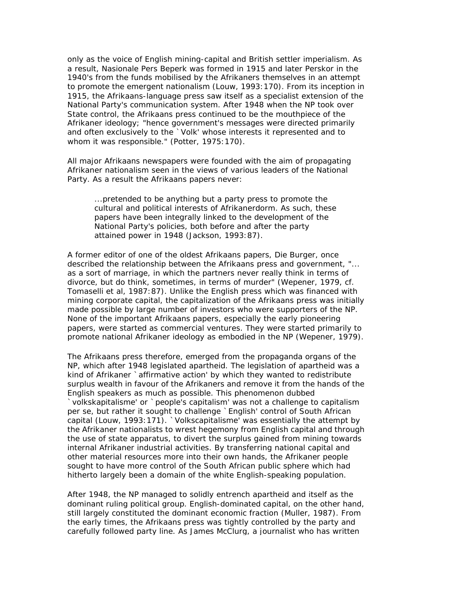only as the voice of English mining-capital and British settler imperialism. As a result, Nasionale Pers Beperk was formed in 1915 and later Perskor in the 1940's from the funds mobilised by the Afrikaners themselves in an attempt to promote the emergent nationalism (Louw, 1993:170). From its inception in 1915, the Afrikaans-language press saw itself as a specialist extension of the National Party's communication system. After 1948 when the NP took over State control, the Afrikaans press continued to be the mouthpiece of the Afrikaner ideology; "hence government's messages were directed primarily and often exclusively to the `Volk' whose interests it represented and to whom it was responsible." (Potter, 1975:170).

All major Afrikaans newspapers were founded with the aim of propagating Afrikaner nationalism seen in the views of various leaders of the National Party. As a result the Afrikaans papers never:

...pretended to be anything but a party press to promote the cultural and political interests of Afrikanerdorm. As such, these papers have been integrally linked to the development of the National Party's policies, both before and after the party attained power in 1948 (Jackson, 1993:87).

A former editor of one of the oldest Afrikaans papers, Die Burger, once described the relationship between the Afrikaans press and government, "... as a sort of marriage, in which the partners never really think in terms of divorce, but do think, sometimes, in terms of murder" (Wepener, 1979, cf. Tomaselli et al, 1987:87). Unlike the English press which was financed with mining corporate capital, the capitalization of the Afrikaans press was initially made possible by large number of investors who were supporters of the NP. None of the important Afrikaans papers, especially the early pioneering papers, were started as commercial ventures. They were started primarily to promote national Afrikaner ideology as embodied in the NP (Wepener, 1979).

The Afrikaans press therefore, emerged from the propaganda organs of the NP, which after 1948 legislated apartheid. The legislation of apartheid was a kind of Afrikaner `affirmative action' by which they wanted to redistribute surplus wealth in favour of the Afrikaners and remove it from the hands of the English speakers as much as possible. This phenomenon dubbed `volkskapitalisme' or `people's capitalism' was not a challenge to capitalism per se, but rather it sought to challenge `English' control of South African capital (Louw, 1993:171). `Volkscapitalisme' was essentially the attempt by the Afrikaner nationalists to wrest hegemony from English capital and through the use of state apparatus, to divert the surplus gained from mining towards internal Afrikaner industrial activities. By transferring national capital and other material resources more into their own hands, the Afrikaner people sought to have more control of the South African public sphere which had hitherto largely been a domain of the white English-speaking population.

After 1948, the NP managed to solidly entrench apartheid and itself as the dominant ruling political group. English-dominated capital, on the other hand, still largely constituted the dominant economic fraction (Muller, 1987). From the early times, the Afrikaans press was tightly controlled by the party and carefully followed party line. As James McClurg, a journalist who has written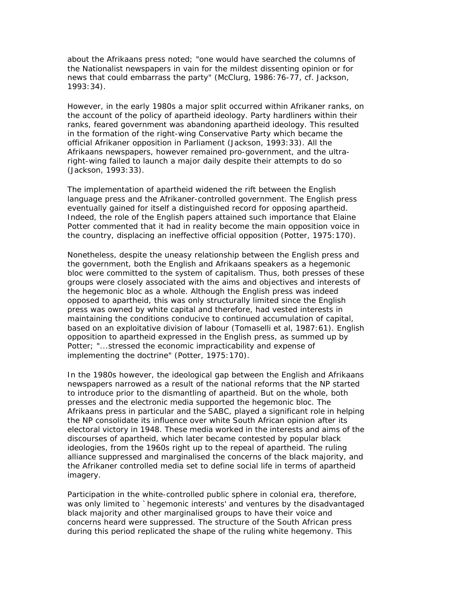about the Afrikaans press noted; "one would have searched the columns of the Nationalist newspapers in vain for the mildest dissenting opinion or for news that could embarrass the party" (McClurg, 1986:76-77, cf. Jackson, 1993:34).

However, in the early 1980s a major split occurred within Afrikaner ranks, on the account of the policy of apartheid ideology. Party hardliners within their ranks, feared government was abandoning apartheid ideology. This resulted in the formation of the right-wing Conservative Party which became the official Afrikaner opposition in Parliament (Jackson, 1993:33). All the Afrikaans newspapers, however remained pro-government, and the ultraright-wing failed to launch a major daily despite their attempts to do so (Jackson, 1993:33).

The implementation of apartheid widened the rift between the English language press and the Afrikaner-controlled government. The English press eventually gained for itself a distinguished record for opposing apartheid. Indeed, the role of the English papers attained such importance that Elaine Potter commented that it had in reality become the main opposition voice in the country, displacing an ineffective official opposition (Potter, 1975:170).

Nonetheless, despite the uneasy relationship between the English press and the government, both the English and Afrikaans speakers as a hegemonic bloc were committed to the system of capitalism. Thus, both presses of these groups were closely associated with the aims and objectives and interests of the hegemonic bloc as a whole. Although the English press was indeed opposed to apartheid, this was only structurally limited since the English press was owned by white capital and therefore, had vested interests in maintaining the conditions conducive to continued accumulation of capital, based on an exploitative division of labour (Tomaselli et al, 1987:61). English opposition to apartheid expressed in the English press, as summed up by Potter; "...stressed the economic impracticability and expense of implementing the doctrine" (Potter, 1975:170).

In the 1980s however, the ideological gap between the English and Afrikaans newspapers narrowed as a result of the national reforms that the NP started to introduce prior to the dismantling of apartheid. But on the whole, both presses and the electronic media supported the hegemonic bloc. The Afrikaans press in particular and the SABC, played a significant role in helping the NP consolidate its influence over white South African opinion after its electoral victory in 1948. These media worked in the interests and aims of the discourses of apartheid, which later became contested by popular black ideologies, from the 1960s right up to the repeal of apartheid. The ruling alliance suppressed and marginalised the concerns of the black majority, and the Afrikaner controlled media set to define social life in terms of apartheid imagery.

Participation in the white-controlled public sphere in colonial era, therefore, was only limited to `hegemonic interests' and ventures by the disadvantaged black majority and other marginalised groups to have their voice and concerns heard were suppressed. The structure of the South African press during this period replicated the shape of the ruling white hegemony. This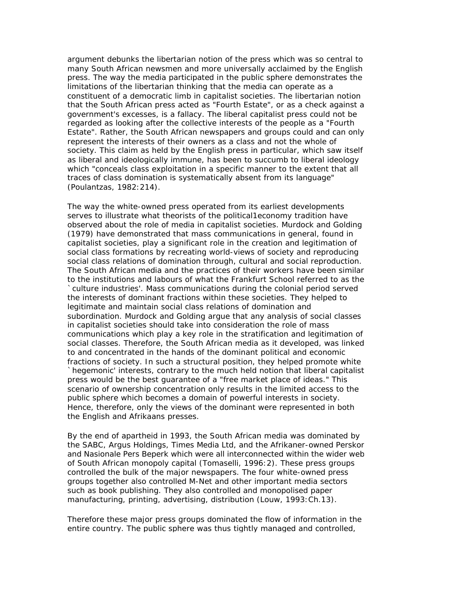argument debunks the libertarian notion of the press which was so central to many South African newsmen and more universally acclaimed by the English press. The way the media participated in the public sphere demonstrates the limitations of the libertarian thinking that the media can operate as a constituent of a democratic limb in capitalist societies. The libertarian notion that the South African press acted as "Fourth Estate", or as a check against a government's excesses, is a fallacy. The liberal capitalist press could not be regarded as looking after the collective interests of the people as a "Fourth Estate". Rather, the South African newspapers and groups could and can only represent the interests of their owners as a class and not the whole of society. This claim as held by the English press in particular, which saw itself as liberal and ideologically immune, has been to succumb to liberal ideology which "conceals class exploitation in a specific manner to the extent that all traces of class domination is systematically absent from its language" (Poulantzas, 1982:214).

The way the white-owned press operated from its earliest developments serves to illustrate what theorists of the political1economy tradition have observed about the role of media in capitalist societies. Murdock and Golding (1979) have demonstrated that mass communications in general, found in capitalist societies, play a significant role in the creation and legitimation of social class formations by recreating world-views of society and reproducing social class relations of domination through, cultural and social reproduction. The South African media and the practices of their workers have been similar to the institutions and labours of what the Frankfurt School referred to as the `culture industries'. Mass communications during the colonial period served the interests of dominant fractions within these societies. They helped to legitimate and maintain social class relations of domination and subordination. Murdock and Golding argue that any analysis of social classes in capitalist societies should take into consideration the role of mass communications which play a key role in the stratification and legitimation of social classes. Therefore, the South African media as it developed, was linked to and concentrated in the hands of the dominant political and economic fractions of society. In such a structural position, they helped promote white `hegemonic' interests, contrary to the much held notion that liberal capitalist press would be the best guarantee of a "free market place of ideas." This scenario of ownership concentration only results in the limited access to the public sphere which becomes a domain of powerful interests in society. Hence, therefore, only the views of the dominant were represented in both the English and Afrikaans presses.

By the end of apartheid in 1993, the South African media was dominated by the SABC, Argus Holdings, Times Media Ltd, and the Afrikaner-owned Perskor and Nasionale Pers Beperk which were all interconnected within the wider web of South African monopoly capital (Tomaselli, 1996:2). These press groups controlled the bulk of the major newspapers. The four white-owned press groups together also controlled M-Net and other important media sectors such as book publishing. They also controlled and monopolised paper manufacturing, printing, advertising, distribution (Louw, 1993:Ch.13).

Therefore these major press groups dominated the flow of information in the entire country. The public sphere was thus tightly managed and controlled,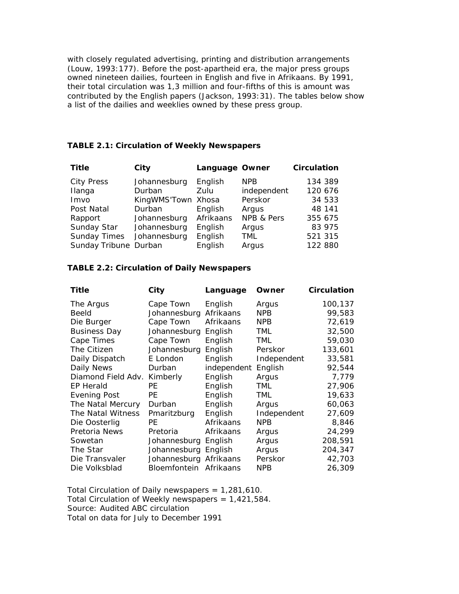with closely regulated advertising, printing and distribution arrangements (Louw, 1993:177). Before the post-apartheid era, the major press groups owned nineteen dailies, fourteen in English and five in Afrikaans. By 1991, their total circulation was 1,3 million and four-fifths of this is amount was contributed by the English papers (Jackson, 1993:31). The tables below show a list of the dailies and weeklies owned by these press group.

# **TABLE 2.1: Circulation of Weekly Newspapers**

| <b>Title</b>          | City               | Language Owner |             | <b>Circulation</b> |
|-----------------------|--------------------|----------------|-------------|--------------------|
| <b>City Press</b>     | Johannesburg       | English        | <b>NPR</b>  | 134 389            |
| Ilanga                | Durban             | Zulu           | independent | 120 676            |
| Imvo                  | KingWMS'Town Xhosa |                | Perskor     | 34 533             |
| Post Natal            | Durban             | English        | Argus       | 48 141             |
| Rapport               | Johannesburg       | Afrikaans      | NPB & Pers  | 355 675            |
| Sunday Star           | Johannesburg       | English        | Argus       | 83 975             |
| <b>Sunday Times</b>   | Johannesburg       | English        | <b>TML</b>  | 521 315            |
| Sunday Tribune Durban |                    | English        | Argus       | 122 880            |

# **TABLE 2.2: Circulation of Daily Newspapers**

| Title               | City                   | Language    | Owner       | <b>Circulation</b> |
|---------------------|------------------------|-------------|-------------|--------------------|
| The Argus           | Cape Town              | English     | Argus       | 100,137            |
| Beeld               | Johannesburg           | Afrikaans   | NPB.        | 99,583             |
| Die Burger          | Cape Town              | Afrikaans   | <b>NPB</b>  | 72,619             |
| <b>Business Day</b> | Johannesburg           | English     | <b>TML</b>  | 32,500             |
| Cape Times          | Cape Town              | English     | <b>TML</b>  | 59,030             |
| The Citizen         | Johannesburg           | English     | Perskor     | 133,601            |
| Daily Dispatch      | E London               | English     | Independent | 33,581             |
| Daily News          | Durban                 | independent | English     | 92,544             |
| Diamond Field Adv.  | Kimberly               | English     | Argus       | 7,779              |
| EP Herald           | РE                     | English     | TML         | 27,906             |
| <b>Evening Post</b> | РE                     | English     | TML         | 19,633             |
| The Natal Mercury   | Durban                 | English     | Argus       | 60,063             |
| The Natal Witness   | Pmaritzburg            | English     | Independent | 27,609             |
| Die Oosterlig       | PE                     | Afrikaans   | <b>NPB</b>  | 8,846              |
| Pretoria News       | Pretoria               | Afrikaans   | Argus       | 24,299             |
| Sowetan             | Johannesburg           | English     | Argus       | 208,591            |
| The Star            | Johannesburg           | English     | Argus       | 204,347            |
| Die Transvaler      | Johannesburg Afrikaans |             | Perskor     | 42,703             |
| Die Volksblad       | Bloemfontein           | Afrikaans   | NPB         | 26,309             |

Total Circulation of Daily newspapers = 1,281,610. Total Circulation of Weekly newspapers =  $1,421,584$ . Source: Audited ABC circulation Total on data for July to December 1991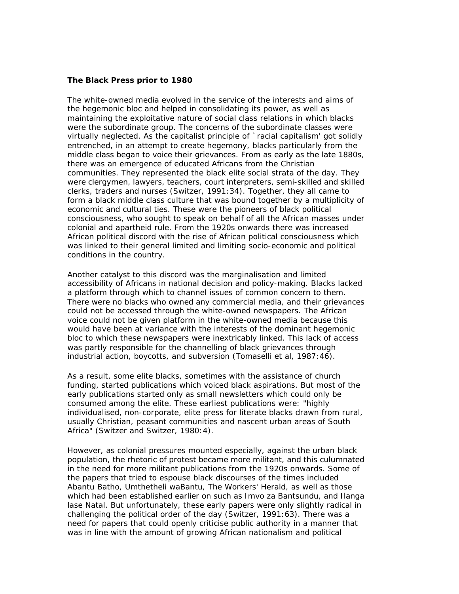### **The Black Press prior to 1980**

The white-owned media evolved in the service of the interests and aims of the hegemonic bloc and helped in consolidating its power, as well as maintaining the exploitative nature of social class relations in which blacks were the subordinate group. The concerns of the subordinate classes were virtually neglected. As the capitalist principle of `racial capitalism' got solidly entrenched, in an attempt to create hegemony, blacks particularly from the middle class began to voice their grievances. From as early as the late 1880s, there was an emergence of educated Africans from the Christian communities. They represented the black elite social strata of the day. They were clergymen, lawyers, teachers, court interpreters, semi-skilled and skilled clerks, traders and nurses (Switzer, 1991:34). Together, they all came to form a black middle class culture that was bound together by a multiplicity of economic and cultural ties. These were the pioneers of black political consciousness, who sought to speak on behalf of all the African masses under colonial and apartheid rule. From the 1920s onwards there was increased African political discord with the rise of African political consciousness which was linked to their general limited and limiting socio-economic and political conditions in the country.

Another catalyst to this discord was the marginalisation and limited accessibility of Africans in national decision and policy-making. Blacks lacked a platform through which to channel issues of common concern to them. There were no blacks who owned any commercial media, and their grievances could not be accessed through the white-owned newspapers. The African voice could not be given platform in the white-owned media because this would have been at variance with the interests of the dominant hegemonic bloc to which these newspapers were inextricably linked. This lack of access was partly responsible for the channelling of black grievances through industrial action, boycotts, and subversion (Tomaselli et al, 1987:46).

As a result, some elite blacks, sometimes with the assistance of church funding, started publications which voiced black aspirations. But most of the early publications started only as small newsletters which could only be consumed among the elite. These earliest publications were: "highly individualised, non-corporate, elite press for literate blacks drawn from rural, usually Christian, peasant communities and nascent urban areas of South Africa" (Switzer and Switzer, 1980:4).

However, as colonial pressures mounted especially, against the urban black population, the rhetoric of protest became more militant, and this culumnated in the need for more militant publications from the 1920s onwards. Some of the papers that tried to espouse black discourses of the times included Abantu Batho, Umthetheli waBantu, The Workers' Herald, as well as those which had been established earlier on such as Imvo za Bantsundu, and Ilanga lase Natal. But unfortunately, these early papers were only slightly radical in challenging the political order of the day (Switzer, 1991:63). There was a need for papers that could openly criticise public authority in a manner that was in line with the amount of growing African nationalism and political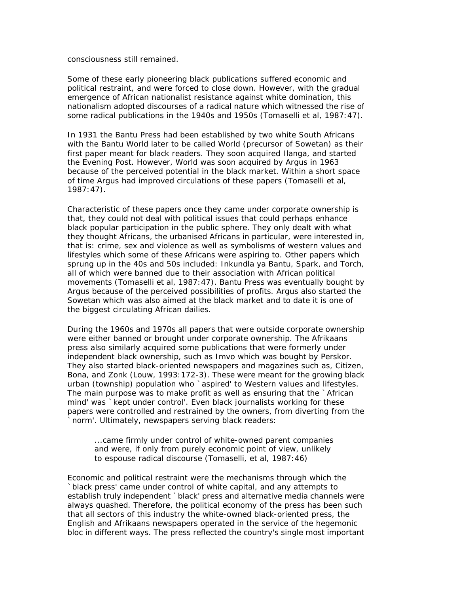#### consciousness still remained.

Some of these early pioneering black publications suffered economic and political restraint, and were forced to close down. However, with the gradual emergence of African nationalist resistance against white domination, this nationalism adopted discourses of a radical nature which witnessed the rise of some radical publications in the 1940s and 1950s (Tomaselli et al, 1987:47).

In 1931 the Bantu Press had been established by two white South Africans with the Bantu World later to be called World (precursor of Sowetan) as their first paper meant for black readers. They soon acquired Ilanga, and started the Evening Post. However, World was soon acquired by Argus in 1963 because of the perceived potential in the black market. Within a short space of time Argus had improved circulations of these papers (Tomaselli et al, 1987:47).

Characteristic of these papers once they came under corporate ownership is that, they could not deal with political issues that could perhaps enhance black popular participation in the public sphere. They only dealt with what they thought Africans, the urbanised Africans in particular, were interested in, that is: crime, sex and violence as well as symbolisms of western values and lifestyles which some of these Africans were aspiring to. Other papers which sprung up in the 40s and 50s included: Inkundla ya Bantu, Spark, and Torch, all of which were banned due to their association with African political movements (Tomaselli et al, 1987:47). Bantu Press was eventually bought by Argus because of the perceived possibilities of profits. Argus also started the Sowetan which was also aimed at the black market and to date it is one of the biggest circulating African dailies.

During the 1960s and 1970s all papers that were outside corporate ownership were either banned or brought under corporate ownership. The Afrikaans press also similarly acquired some publications that were formerly under independent black ownership, such as Imvo which was bought by Perskor. They also started black-oriented newspapers and magazines such as, Citizen, Bona, and Zonk (Louw, 1993:172-3). These were meant for the growing black urban (township) population who `aspired' to Western values and lifestyles. The main purpose was to make profit as well as ensuring that the `African mind' was `kept under control'. Even black journalists working for these papers were controlled and restrained by the owners, from diverting from the `norm'. Ultimately, newspapers serving black readers:

...came firmly under control of white-owned parent companies and were, if only from purely economic point of view, unlikely to espouse radical discourse (Tomaselli, et al, 1987:46)

Economic and political restraint were the mechanisms through which the `black press' came under control of white capital, and any attempts to establish truly independent `black' press and alternative media channels were always quashed. Therefore, the political economy of the press has been such that all sectors of this industry the white-owned black-oriented press, the English and Afrikaans newspapers operated in the service of the hegemonic bloc in different ways. The press reflected the country's single most important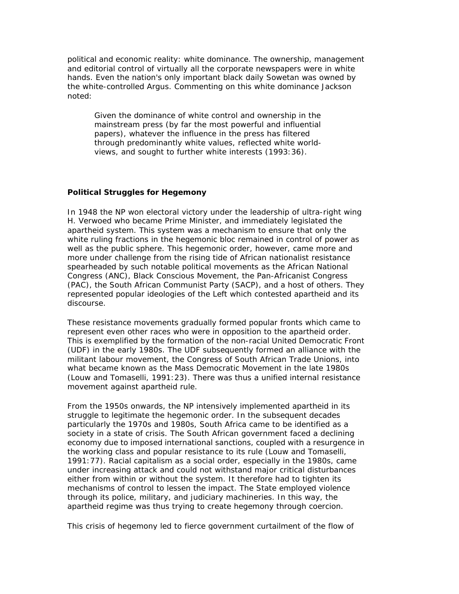political and economic reality: white dominance. The ownership, management and editorial control of virtually all the corporate newspapers were in white hands. Even the nation's only important black daily Sowetan was owned by the white-controlled Argus. Commenting on this white dominance Jackson noted:

Given the dominance of white control and ownership in the mainstream press (by far the most powerful and influential papers), whatever the influence in the press has filtered through predominantly white values, reflected white worldviews, and sought to further white interests (1993:36).

# **Political Struggles for Hegemony**

In 1948 the NP won electoral victory under the leadership of ultra-right wing H. Verwoed who became Prime Minister, and immediately legislated the apartheid system. This system was a mechanism to ensure that only the white ruling fractions in the hegemonic bloc remained in control of power as well as the public sphere. This hegemonic order, however, came more and more under challenge from the rising tide of African nationalist resistance spearheaded by such notable political movements as the African National Congress (ANC), Black Conscious Movement, the Pan-Africanist Congress (PAC), the South African Communist Party (SACP), and a host of others. They represented popular ideologies of the Left which contested apartheid and its discourse.

These resistance movements gradually formed popular fronts which came to represent even other races who were in opposition to the apartheid order. This is exemplified by the formation of the non-racial United Democratic Front (UDF) in the early 1980s. The UDF subsequently formed an alliance with the militant labour movement, the Congress of South African Trade Unions, into what became known as the Mass Democratic Movement in the late 1980s (Louw and Tomaselli, 1991:23). There was thus a unified internal resistance movement against apartheid rule.

From the 1950s onwards, the NP intensively implemented apartheid in its struggle to legitimate the hegemonic order. In the subsequent decades particularly the 1970s and 1980s, South Africa came to be identified as a society in a state of crisis. The South African government faced a declining economy due to imposed international sanctions, coupled with a resurgence in the working class and popular resistance to its rule (Louw and Tomaselli, 1991:77). Racial capitalism as a social order, especially in the 1980s, came under increasing attack and could not withstand major critical disturbances either from within or without the system. It therefore had to tighten its mechanisms of control to lessen the impact. The State employed violence through its police, military, and judiciary machineries. In this way, the apartheid regime was thus trying to create hegemony through coercion.

This crisis of hegemony led to fierce government curtailment of the flow of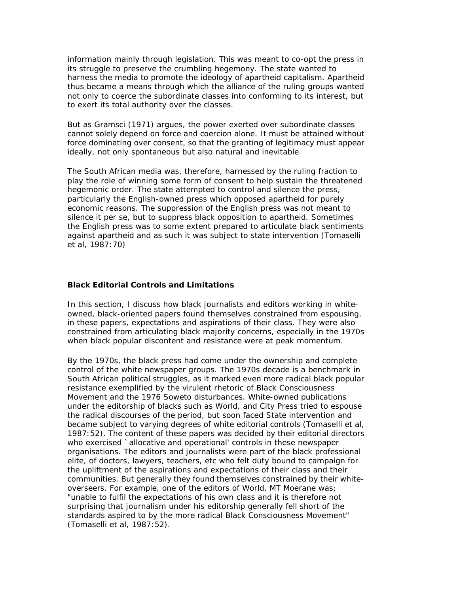information mainly through legislation. This was meant to co-opt the press in its struggle to preserve the crumbling hegemony. The state wanted to harness the media to promote the ideology of apartheid capitalism. Apartheid thus became a means through which the alliance of the ruling groups wanted not only to coerce the subordinate classes into conforming to its interest, but to exert its total authority over the classes.

But as Gramsci (1971) argues, the power exerted over subordinate classes cannot solely depend on force and coercion alone. It must be attained without force dominating over consent, so that the granting of legitimacy must appear ideally, not only spontaneous but also natural and inevitable.

The South African media was, therefore, harnessed by the ruling fraction to play the role of winning some form of consent to help sustain the threatened hegemonic order. The state attempted to control and silence the press, particularly the English-owned press which opposed apartheid for purely economic reasons. The suppression of the English press was not meant to silence it per se, but to suppress black opposition to apartheid. Sometimes the English press was to some extent prepared to articulate black sentiments against apartheid and as such it was subject to state intervention (Tomaselli et al, 1987:70)

# **Black Editorial Controls and Limitations**

In this section, I discuss how black journalists and editors working in whiteowned, black-oriented papers found themselves constrained from espousing, in these papers, expectations and aspirations of their class. They were also constrained from articulating black majority concerns, especially in the 1970s when black popular discontent and resistance were at peak momentum.

By the 1970s, the black press had come under the ownership and complete control of the white newspaper groups. The 1970s decade is a benchmark in South African political struggles, as it marked even more radical black popular resistance exemplified by the virulent rhetoric of Black Consciousness Movement and the 1976 Soweto disturbances. White-owned publications under the editorship of blacks such as World, and City Press tried to espouse the radical discourses of the period, but soon faced State intervention and became subject to varying degrees of white editorial controls (Tomaselli et al, 1987:52). The content of these papers was decided by their editorial directors who exercised `allocative and operational' controls in these newspaper organisations. The editors and journalists were part of the black professional elite, of doctors, lawyers, teachers, etc who felt duty bound to campaign for the upliftment of the aspirations and expectations of their class and their communities. But generally they found themselves constrained by their whiteoverseers. For example, one of the editors of World, MT Moerane was: "unable to fulfil the expectations of his own class and it is therefore not surprising that journalism under his editorship generally fell short of the standards aspired to by the more radical Black Consciousness Movement" (Tomaselli et al, 1987:52).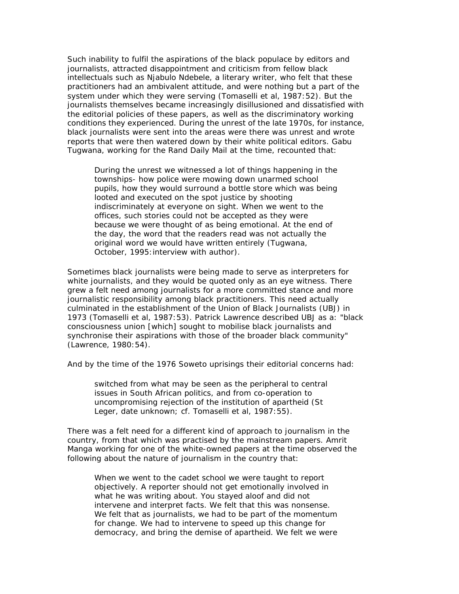Such inability to fulfil the aspirations of the black populace by editors and journalists, attracted disappointment and criticism from fellow black intellectuals such as Njabulo Ndebele, a literary writer, who felt that these practitioners had an ambivalent attitude, and were nothing but a part of the system under which they were serving (Tomaselli et al, 1987:52). But the journalists themselves became increasingly disillusioned and dissatisfied with the editorial policies of these papers, as well as the discriminatory working conditions they experienced. During the unrest of the late 1970s, for instance, black journalists were sent into the areas were there was unrest and wrote reports that were then watered down by their white political editors. Gabu Tugwana, working for the Rand Daily Mail at the time, recounted that:

During the unrest we witnessed a lot of things happening in the townships- how police were mowing down unarmed school pupils, how they would surround a bottle store which was being looted and executed on the spot justice by shooting indiscriminately at everyone on sight. When we went to the offices, such stories could not be accepted as they were because we were thought of as being emotional. At the end of the day, the word that the readers read was not actually the original word we would have written entirely (Tugwana, October, 1995: interview with author).

Sometimes black journalists were being made to serve as interpreters for white journalists, and they would be quoted only as an eye witness. There grew a felt need among journalists for a more committed stance and more journalistic responsibility among black practitioners. This need actually culminated in the establishment of the Union of Black Journalists (UBJ) in 1973 (Tomaselli et al, 1987:53). Patrick Lawrence described UBJ as a: "black consciousness union [which] sought to mobilise black journalists and synchronise their aspirations with those of the broader black community" (Lawrence, 1980:54).

And by the time of the 1976 Soweto uprisings their editorial concerns had:

switched from what may be seen as the peripheral to central issues in South African politics, and from co-operation to uncompromising rejection of the institution of apartheid (St Leger, date unknown; cf. Tomaselli et al, 1987:55).

There was a felt need for a different kind of approach to journalism in the country, from that which was practised by the mainstream papers. Amrit Manga working for one of the white-owned papers at the time observed the following about the nature of journalism in the country that:

When we went to the cadet school we were taught to report objectively. A reporter should not get emotionally involved in what he was writing about. You stayed aloof and did not intervene and interpret facts. We felt that this was nonsense. We felt that as journalists, we had to be part of the momentum for change. We had to intervene to speed up this change for democracy, and bring the demise of apartheid. We felt we were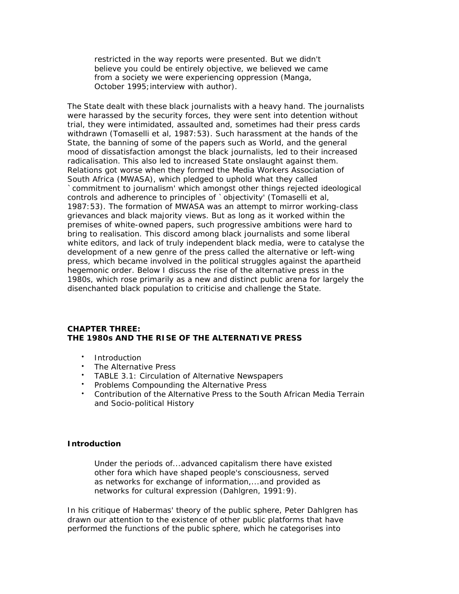restricted in the way reports were presented. But we didn't believe you could be entirely objective, we believed we came from a society we were experiencing oppression (Manga, October 1995; interview with author).

The State dealt with these black journalists with a heavy hand. The journalists were harassed by the security forces, they were sent into detention without trial, they were intimidated, assaulted and, sometimes had their press cards withdrawn (Tomaselli et al, 1987:53). Such harassment at the hands of the State, the banning of some of the papers such as World, and the general mood of dissatisfaction amongst the black journalists, led to their increased radicalisation. This also led to increased State onslaught against them. Relations got worse when they formed the Media Workers Association of South Africa (MWASA), which pledged to uphold what they called `commitment to journalism' which amongst other things rejected ideological controls and adherence to principles of `objectivity' (Tomaselli et al, 1987:53). The formation of MWASA was an attempt to mirror working-class grievances and black majority views. But as long as it worked within the premises of white-owned papers, such progressive ambitions were hard to bring to realisation. This discord among black journalists and some liberal white editors, and lack of truly independent black media, were to catalyse the development of a new genre of the press called the alternative or left-wing press, which became involved in the political struggles against the apartheid hegemonic order. Below I discuss the rise of the alternative press in the 1980s, which rose primarily as a new and distinct public arena for largely the disenchanted black population to criticise and challenge the State.

# **CHAPTER THREE: THE 1980s AND THE RISE OF THE ALTERNATIVE PRESS**

- Introduction
- The Alternative Press
- TABLE 3.1: Circulation of Alternative Newspapers
- Problems Compounding the Alternative Press
- Contribution of the Alternative Press to the South African Media Terrain and Socio-political History

# **Introduction**

Under the periods of...advanced capitalism there have existed other fora which have shaped people's consciousness, served as networks for exchange of information,...and provided as networks for cultural expression (Dahlgren, 1991:9).

In his critique of Habermas' theory of the public sphere, Peter Dahlgren has drawn our attention to the existence of other public platforms that have performed the functions of the public sphere, which he categorises into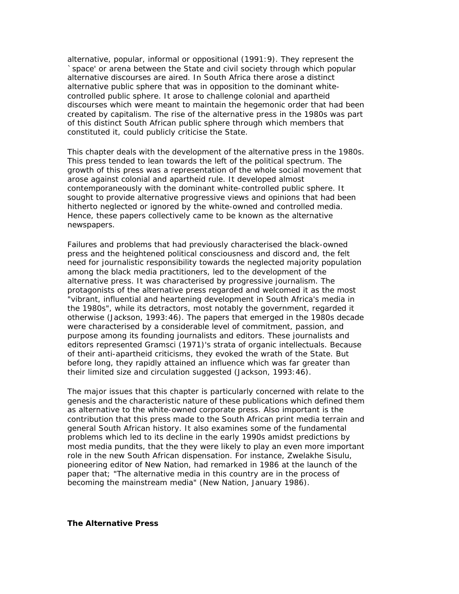alternative, popular, informal or oppositional (1991:9). They represent the `space' or arena between the State and civil society through which popular alternative discourses are aired. In South Africa there arose a distinct alternative public sphere that was in opposition to the dominant whitecontrolled public sphere. It arose to challenge colonial and apartheid discourses which were meant to maintain the hegemonic order that had been created by capitalism. The rise of the alternative press in the 1980s was part of this distinct South African public sphere through which members that constituted it, could publicly criticise the State.

This chapter deals with the development of the alternative press in the 1980s. This press tended to lean towards the left of the political spectrum. The growth of this press was a representation of the whole social movement that arose against colonial and apartheid rule. It developed almost contemporaneously with the dominant white-controlled public sphere. It sought to provide alternative progressive views and opinions that had been hitherto neglected or ignored by the white-owned and controlled media. Hence, these papers collectively came to be known as the alternative newspapers.

Failures and problems that had previously characterised the black-owned press and the heightened political consciousness and discord and, the felt need for journalistic responsibility towards the neglected majority population among the black media practitioners, led to the development of the alternative press. It was characterised by progressive journalism. The protagonists of the alternative press regarded and welcomed it as the most "vibrant, influential and heartening development in South Africa's media in the 1980s", while its detractors, most notably the government, regarded it otherwise (Jackson, 1993:46). The papers that emerged in the 1980s decade were characterised by a considerable level of commitment, passion, and purpose among its founding journalists and editors. These journalists and editors represented Gramsci (1971)'s strata of organic intellectuals. Because of their anti-apartheid criticisms, they evoked the wrath of the State. But before long, they rapidly attained an influence which was far greater than their limited size and circulation suggested (Jackson, 1993:46).

The major issues that this chapter is particularly concerned with relate to the genesis and the characteristic nature of these publications which defined them as alternative to the white-owned corporate press. Also important is the contribution that this press made to the South African print media terrain and general South African history. It also examines some of the fundamental problems which led to its decline in the early 1990s amidst predictions by most media pundits, that the they were likely to play an even more important role in the new South African dispensation. For instance, Zwelakhe Sisulu, pioneering editor of *New Nation*, had remarked in 1986 at the launch of the paper that; "The alternative media in this country are in the process of becoming the mainstream media" (*New Nation*, January 1986).

#### **The Alternative Press**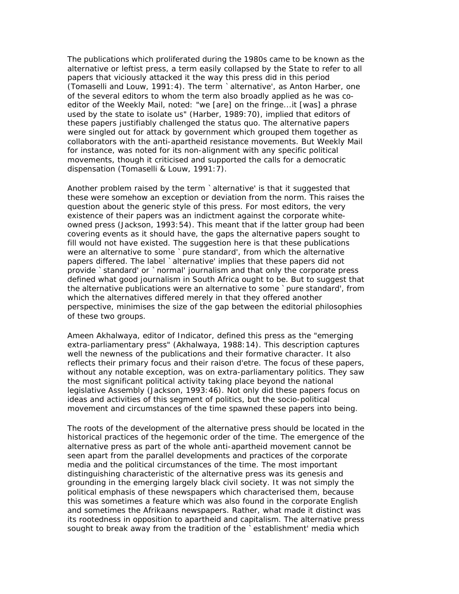The publications which proliferated during the 1980s came to be known as the alternative or leftist press, a term easily collapsed by the State to refer to all papers that viciously attacked it the way this press did in this period (Tomaselli and Louw, 1991:4). The term `alternative', as Anton Harber, one of the several editors to whom the term also broadly applied as he was coeditor of the *Weekly Mail*, noted: "we [are] on the fringe...it [was] a phrase used by the state to isolate us" (Harber, 1989:70), implied that editors of these papers justifiably challenged the status quo. The alternative papers were singled out for attack by government which grouped them together as collaborators with the anti-apartheid resistance movements. But *Weekly Mail* for instance, was noted for its non-alignment with any specific political movements, though it criticised and supported the calls for a democratic dispensation (Tomaselli & Louw, 1991:7).

Another problem raised by the term `alternative' is that it suggested that these were somehow an exception or deviation from the norm. This raises the question about the generic style of this press. For most editors, the very existence of their papers was an indictment against the corporate whiteowned press (Jackson, 1993:54). This meant that if the latter group had been covering events as it should have, the gaps the alternative papers sought to fill would not have existed. The suggestion here is that these publications were an alternative to some `pure standard', from which the alternative papers differed. The label `alternative' implies that these papers did not provide `standard' or `normal' journalism and that only the corporate press defined what good journalism in South Africa ought to be. But to suggest that the alternative publications were an alternative to some `pure standard', from which the alternatives differed merely in that they offered another perspective, minimises the size of the gap between the editorial philosophies of these two groups.

Ameen Akhalwaya, editor of *Indicator*, defined this press as the "emerging extra-parliamentary press" (Akhalwaya, 1988:14). This description captures well the newness of the publications and their formative character. It also reflects their primary focus and their *raison d'etre*. The focus of these papers, without any notable exception, was on extra-parliamentary politics. They saw the most significant political activity taking place beyond the national legislative Assembly (Jackson, 1993:46). Not only did these papers focus on ideas and activities of this segment of politics, but the socio-political movement and circumstances of the time spawned these papers into being.

The roots of the development of the alternative press should be located in the historical practices of the hegemonic order of the time. The emergence of the alternative press as part of the whole anti-apartheid movement cannot be seen apart from the parallel developments and practices of the corporate media and the political circumstances of the time. The most important distinguishing characteristic of the alternative press was its genesis and grounding in the emerging largely black civil society. It was not simply the political emphasis of these newspapers which characterised them, because this was sometimes a feature which was also found in the corporate English and sometimes the Afrikaans newspapers. Rather, what made it distinct was its rootedness in opposition to apartheid and capitalism. The alternative press sought to break away from the tradition of the `establishment' media which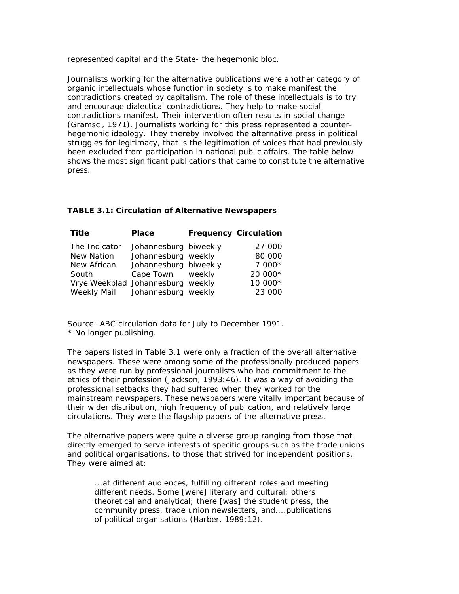represented capital and the State- the hegemonic bloc.

Journalists working for the alternative publications were another category of organic intellectuals whose function in society is to make manifest the contradictions created by capitalism. The role of these intellectuals is to try and encourage dialectical contradictions. They help to make social contradictions manifest. Their intervention often results in social change (Gramsci, 1971). Journalists working for this press represented a counterhegemonic ideology. They thereby involved the alternative press in political struggles for legitimacy, that is the legitimation of voices that had previously been excluded from participation in national public affairs. The table below shows the most significant publications that came to constitute the alternative press.

# **TABLE 3.1: Circulation of Alternative Newspapers**

| <b>Title</b>                      | <b>Place</b>          | <b>Frequency Circulation</b> |
|-----------------------------------|-----------------------|------------------------------|
| The Indicator                     | Johannesburg biweekly | 27 000                       |
| <b>New Nation</b>                 | Johannesburg weekly   | 80 000                       |
| New African                       | Johannesburg biweekly | $7000*$                      |
| South                             | Cape Town weekly      | 20 000*                      |
| Vrye Weekblad Johannesburg weekly |                       | 10 000*                      |
| Weekly Mail Johannesburg weekly   |                       | 23 000                       |

*Source: ABC circulation data for July to December 1991. \* No longer publishing.*

The papers listed in Table 3.1 were only a fraction of the overall alternative newspapers. These were among some of the professionally produced papers as they were run by professional journalists who had commitment to the ethics of their profession (Jackson, 1993:46). It was a way of avoiding the professional setbacks they had suffered when they worked for the mainstream newspapers. These newspapers were vitally important because of their wider distribution, high frequency of publication, and relatively large circulations. They were the flagship papers of the alternative press.

The alternative papers were quite a diverse group ranging from those that directly emerged to serve interests of specific groups such as the trade unions and political organisations, to those that strived for independent positions. They were aimed at:

...at different audiences, fulfilling different roles and meeting different needs. Some [were] literary and cultural; others theoretical and analytical; there [was] the student press, the community press, trade union newsletters, and....publications of political organisations (Harber, 1989:12).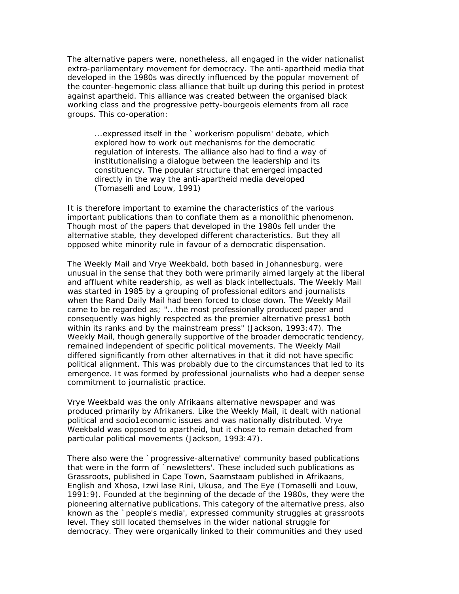The alternative papers were, nonetheless, all engaged in the wider nationalist extra-parliamentary movement for democracy. The anti-apartheid media that developed in the 1980s was directly influenced by the popular movement of the counter-hegemonic class alliance that built up during this period in protest against apartheid. This alliance was created between the organised black working class and the progressive petty-bourgeois elements from all race groups. This co-operation:

...expressed itself in the `workerism populism' debate, which explored how to work out mechanisms for the democratic regulation of interests. The alliance also had to find a way of institutionalising a dialogue between the leadership and its constituency. The popular structure that emerged impacted directly in the way the anti-apartheid media developed (Tomaselli and Louw, 1991)

It is therefore important to examine the characteristics of the various important publications than to conflate them as a monolithic phenomenon. Though most of the papers that developed in the 1980s fell under the alternative stable, they developed different characteristics. But they all opposed white minority rule in favour of a democratic dispensation.

The *Weekly Mail* and *Vrye Weekbald*, both based in Johannesburg, were unusual in the sense that they both were primarily aimed largely at the liberal and affluent white readership, as well as black intellectuals. The *Weekly Mail* was started in 1985 by a grouping of professional editors and journalists when the *Rand Daily Mail* had been forced to close down. The *Weekly Mail* came to be regarded as; "...the most professionally produced paper and consequently was highly respected as the premier alternative press1 both within its ranks and by the mainstream press" (Jackson, 1993:47). The *Weekly Mail*, though generally supportive of the broader democratic tendency, remained independent of specific political movements. The *Weekly Mail* differed significantly from other alternatives in that it did not have specific political alignment. This was probably due to the circumstances that led to its emergence. It was formed by professional journalists who had a deeper sense commitment to journalistic practice.

*Vrye Weekbald* was the only Afrikaans alternative newspaper and was produced primarily by Afrikaners. Like the *Weekly Mail*, it dealt with national political and socio1economic issues and was nationally distributed. *Vrye Weekbald* was opposed to apartheid, but it chose to remain detached from particular political movements (Jackson, 1993:47).

There also were the `progressive-alternative' community based publications that were in the form of `newsletters'. These included such publications as *Grassroots*, published in Cape Town, *Saamstaam* published in Afrikaans, English and Xhosa, *Izwi lase Rini*, *Ukusa*, and *The Eye* (Tomaselli and Louw, 1991:9). Founded at the beginning of the decade of the 1980s, they were the pioneering alternative publications. This category of the alternative press, also known as the `people's media', expressed community struggles at grassroots level. They still located themselves in the wider national struggle for democracy. They were organically linked to their communities and they used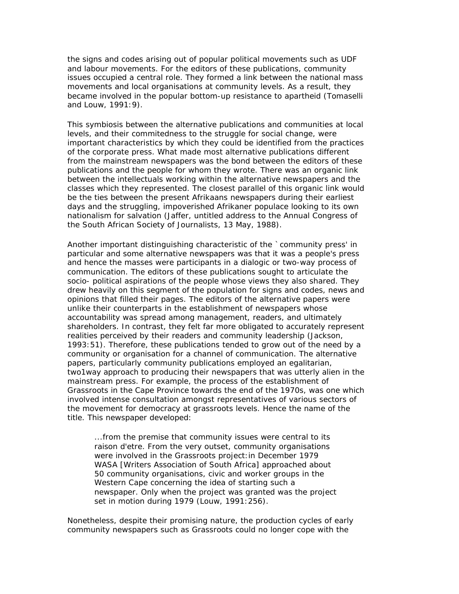the signs and codes arising out of popular political movements such as UDF and labour movements. For the editors of these publications, community issues occupied a central role. They formed a link between the national mass movements and local organisations at community levels. As a result, they became involved in the popular bottom-up resistance to apartheid (Tomaselli and Louw, 1991:9).

This symbiosis between the alternative publications and communities at local levels, and their commitedness to the struggle for social change, were important characteristics by which they could be identified from the practices of the corporate press. What made most alternative publications different from the mainstream newspapers was the bond between the editors of these publications and the people for whom they wrote. There was an organic link between the intellectuals working within the alternative newspapers and the classes which they represented. The closest parallel of this organic link would be the ties between the present Afrikaans newspapers during their earliest days and the struggling, impoverished Afrikaner populace looking to its own nationalism for salvation (Jaffer, untitled address to the Annual Congress of the South African Society of Journalists, 13 May, 1988).

Another important distinguishing characteristic of the `community press' in particular and some alternative newspapers was that it was a people's press and hence the masses were participants in a dialogic or two-way process of communication. The editors of these publications sought to articulate the socio- political aspirations of the people whose views they also shared. They drew heavily on this segment of the population for signs and codes, news and opinions that filled their pages. The editors of the alternative papers were unlike their counterparts in the establishment of newspapers whose accountability was spread among management, readers, and ultimately shareholders. In contrast, they felt far more obligated to accurately represent realities perceived by their readers and community leadership (Jackson, 1993:51). Therefore, these publications tended to grow out of the need by a community or organisation for a channel of communication. The alternative papers, particularly community publications employed an egalitarian, two1way approach to producing their newspapers that was utterly alien in the mainstream press. For example, the process of the establishment of *Grassroots* in the Cape Province towards the end of the 1970s, was one which involved intense consultation amongst representatives of various sectors of the movement for democracy at grassroots levels. Hence the name of the title. This newspaper developed:

...from the premise that community issues were central to its *raison d'etre*. From the very outset, community organisations were involved in the *Grassroots* project:in December 1979 WASA [Writers Association of South Africa] approached about 50 community organisations, civic and worker groups in the Western Cape concerning the idea of starting such a newspaper. Only when the project was granted was the project set in motion during 1979 (Louw, 1991:256).

Nonetheless, despite their promising nature, the production cycles of early community newspapers such as *Grassroots* could no longer cope with the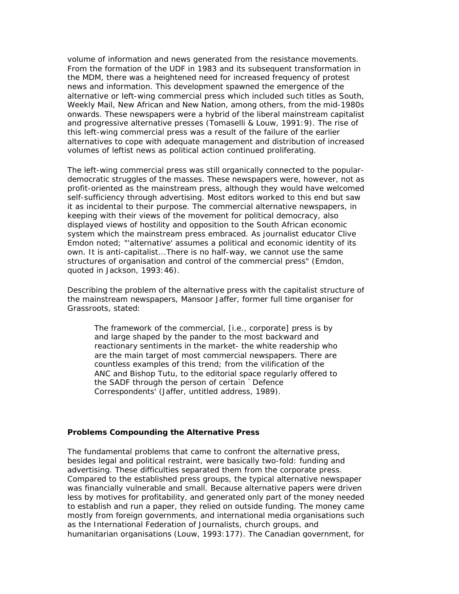volume of information and news generated from the resistance movements. From the formation of the UDF in 1983 and its subsequent transformation in the MDM, there was a heightened need for increased frequency of protest news and information. This development spawned the emergence of the alternative or left-wing commercial press which included such titles as *South, Weekly Mail, New African* and *New Nation*, among others, from the mid-1980s onwards. These newspapers were a hybrid of the liberal mainstream capitalist and progressive alternative presses (Tomaselli & Louw, 1991:9). The rise of this left-wing commercial press was a result of the failure of the earlier alternatives to cope with adequate management and distribution of increased volumes of leftist news as political action continued proliferating.

The left-wing commercial press was still organically connected to the populardemocratic struggles of the masses. These newspapers were, however, not as profit-oriented as the mainstream press, although they would have welcomed self-sufficiency through advertising. Most editors worked to this end but saw it as incidental to their purpose. The commercial alternative newspapers, in keeping with their views of the movement for political democracy, also displayed views of hostility and opposition to the South African economic system which the mainstream press embraced. As journalist educator Clive Emdon noted; "'alternative' assumes a political and economic identity of its own. It is anti-capitalist...There is no half-way, we cannot use the same structures of organisation and control of the commercial press" (Emdon, quoted in Jackson, 1993:46).

Describing the problem of the alternative press with the capitalist structure of the mainstream newspapers, Mansoor Jaffer, former full time organiser for *Grassroots*, stated:

The framework of the commercial, [i.e., corporate] press is by and large shaped by the pander to the most backward and reactionary sentiments in the market- the white readership who are the main target of most commercial newspapers. There are countless examples of this trend; from the vilification of the ANC and Bishop Tutu, to the editorial space regularly offered to the SADF through the person of certain `Defence Correspondents' (Jaffer, untitled address, 1989).

#### **Problems Compounding the Alternative Press**

The fundamental problems that came to confront the alternative press, besides legal and political restraint, were basically two-fold: funding and advertising. These difficulties separated them from the corporate press. Compared to the established press groups, the typical alternative newspaper was financially vulnerable and small. Because alternative papers were driven less by motives for profitability, and generated only part of the money needed to establish and run a paper, they relied on outside funding. The money came mostly from foreign governments, and international media organisations such as the International Federation of Journalists, church groups, and humanitarian organisations (Louw, 1993:177). The Canadian government, for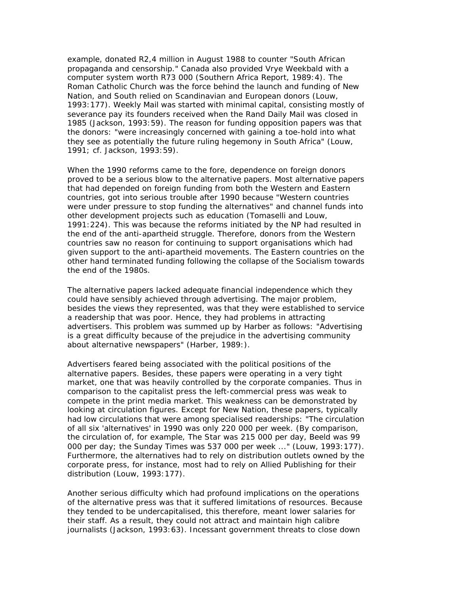example, donated R2,4 million in August 1988 to counter "South African propaganda and censorship." Canada also provided *Vrye Weekbald* with a computer system worth R73 000 (Southern Africa Report, 1989:4). The Roman Catholic Church was the force behind the launch and funding of *New Nation*, and *South* relied on Scandinavian and European donors (Louw, 1993:177). *Weekly Mail* was started with minimal capital, consisting mostly of severance pay its founders received when the *Rand Daily Mail* was closed in 1985 (Jackson, 1993:59). The reason for funding opposition papers was that the donors: "were increasingly concerned with gaining a toe-hold into what they see as potentially the future ruling hegemony in South Africa" (Louw, 1991; cf. Jackson, 1993:59).

When the 1990 reforms came to the fore, dependence on foreign donors proved to be a serious blow to the alternative papers. Most alternative papers that had depended on foreign funding from both the Western and Eastern countries, got into serious trouble after 1990 because "Western countries were under pressure to stop funding the alternatives" and channel funds into other development projects such as education (Tomaselli and Louw, 1991:224). This was because the reforms initiated by the NP had resulted in the end of the anti-apartheid struggle. Therefore, donors from the Western countries saw no reason for continuing to support organisations which had given support to the anti-apartheid movements. The Eastern countries on the other hand terminated funding following the collapse of the Socialism towards the end of the 1980s.

The alternative papers lacked adequate financial independence which they could have sensibly achieved through advertising. The major problem, besides the views they represented, was that they were established to service a readership that was poor. Hence, they had problems in attracting advertisers. This problem was summed up by Harber as follows: "Advertising is a great difficulty because of the prejudice in the advertising community about alternative newspapers" (Harber, 1989:).

Advertisers feared being associated with the political positions of the alternative papers. Besides, these papers were operating in a very tight market, one that was heavily controlled by the corporate companies. Thus in comparison to the capitalist press the left-commercial press was weak to compete in the print media market. This weakness can be demonstrated by looking at circulation figures. Except for *New Nation*, these papers, typically had low circulations that were among specialised readerships: "The circulation of all six 'alternatives' in 1990 was only 220 000 per week. (By comparison, the circulation of, for example, *The Star* was 215 000 per day, *Beeld* was 99 000 per day; the *Sunday Times* was 537 000 per week ..." (Louw, 1993:177). Furthermore, the alternatives had to rely on distribution outlets owned by the corporate press, for instance, most had to rely on Allied Publishing for their distribution (Louw, 1993:177).

Another serious difficulty which had profound implications on the operations of the alternative press was that it suffered limitations of resources. Because they tended to be undercapitalised, this therefore, meant lower salaries for their staff. As a result, they could not attract and maintain high calibre journalists (Jackson, 1993:63). Incessant government threats to close down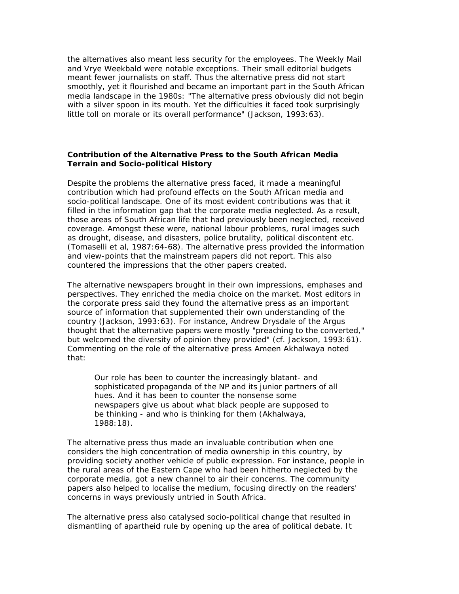the alternatives also meant less security for the employees. The *Weekly Mail* and *Vrye Weekbald* were notable exceptions. Their small editorial budgets meant fewer journalists on staff. Thus the alternative press did not start smoothly, yet it flourished and became an important part in the South African media landscape in the 1980s: "The alternative press obviously did not begin with a silver spoon in its mouth. Yet the difficulties it faced took surprisingly little toll on morale or its overall performance" (Jackson, 1993:63).

# **Contribution of the Alternative Press to the South African Media Terrain and Socio-political History**

Despite the problems the alternative press faced, it made a meaningful contribution which had profound effects on the South African media and socio-political landscape. One of its most evident contributions was that it filled in the information gap that the corporate media neglected. As a result, those areas of South African life that had previously been neglected, received coverage. Amongst these were, national labour problems, rural images such as drought, disease, and disasters, police brutality, political discontent etc. (Tomaselli et al, 1987:64-68). The alternative press provided the information and view-points that the mainstream papers did not report. This also countered the impressions that the other papers created.

The alternative newspapers brought in their own impressions, emphases and perspectives. They enriched the media choice on the market. Most editors in the corporate press said they found the alternative press as an important source of information that supplemented their own understanding of the country (Jackson, 1993:63). For instance, Andrew Drysdale of the *Argus* thought that the alternative papers were mostly "preaching to the converted," but welcomed the diversity of opinion they provided" (cf. Jackson, 1993:61). Commenting on the role of the alternative press Ameen Akhalwaya noted that:

Our role has been to counter the increasingly blatant- and sophisticated propaganda of the NP and its junior partners of all hues. And it has been to counter the nonsense some newspapers give us about what black people are supposed to be thinking - and who is thinking for them (Akhalwaya, 1988:18).

The alternative press thus made an invaluable contribution when one considers the high concentration of media ownership in this country, by providing society another vehicle of public expression. For instance, people in the rural areas of the Eastern Cape who had been hitherto neglected by the corporate media, got a new channel to air their concerns. The community papers also helped to localise the medium, focusing directly on the readers' concerns in ways previously untried in South Africa.

The alternative press also catalysed socio-political change that resulted in dismantling of apartheid rule by opening up the area of political debate. It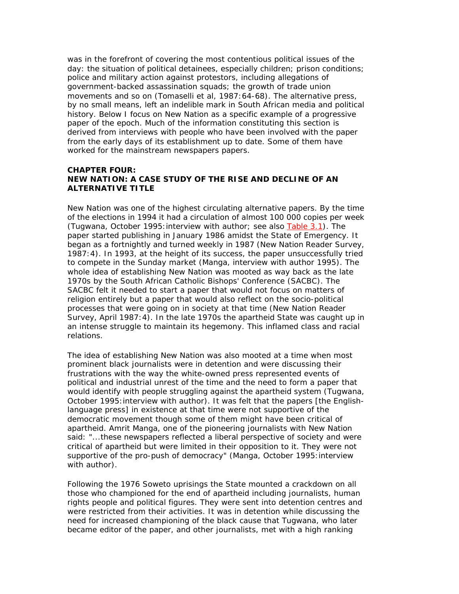was in the forefront of covering the most contentious political issues of the day: the situation of political detainees, especially children; prison conditions; police and military action against protestors, including allegations of government-backed assassination squads; the growth of trade union movements and so on (Tomaselli et al, 1987:64-68). The alternative press, by no small means, left an indelible mark in South African media and political history. Below I focus on *New Nation* as a specific example of a progressive paper of the epoch. Much of the information constituting this section is derived from interviews with people who have been involved with the paper from the early days of its establishment up to date. Some of them have worked for the mainstream newspapers papers.

# **CHAPTER FOUR:**  *NEW NATION***: A CASE STUDY OF THE RISE AND DECLINE OF AN ALTERNATIVE TITLE**

*New Nation* was one of the highest circulating alternative papers. By the time of the elections in 1994 it had a circulation of almost 100 000 copies per week (Tugwana, October 1995: interview with author; see also Table 3.1). The paper started publishing in January 1986 amidst the State of Emergency. It began as a fortnightly and turned weekly in 1987 (*New Nation* Reader Survey, 1987:4). In 1993, at the height of its success, the paper unsuccessfully tried to compete in the Sunday market (Manga, interview with author 1995). The whole idea of establishing *New Nation* was mooted as way back as the late 1970s by the South African Catholic Bishops' Conference (SACBC). The SACBC felt it needed to start a paper that would not focus on matters of religion entirely but a paper that would also reflect on the socio-political processes that were going on in society at that time (*New Nation* Reader Survey, April 1987:4). In the late 1970s the apartheid State was caught up in an intense struggle to maintain its hegemony. This inflamed class and racial relations.

The idea of establishing *New Nation* was also mooted at a time when most prominent black journalists were in detention and were discussing their frustrations with the way the white-owned press represented events of political and industrial unrest of the time and the need to form a paper that would identify with people struggling against the apartheid system (Tugwana, October 1995:interview with author). It was felt that the papers [the Englishlanguage press] in existence at that time were not supportive of the democratic movement though some of them might have been critical of apartheid. Amrit Manga, one of the pioneering journalists with *New Nation* said: "...these newspapers reflected a liberal perspective of society and were critical of apartheid but were limited in their opposition to it. They were not supportive of the pro-push of democracy" (Manga, October 1995:interview with author).

Following the 1976 Soweto uprisings the State mounted a crackdown on all those who championed for the end of apartheid including journalists, human rights people and political figures. They were sent into detention centres and were restricted from their activities. It was in detention while discussing the need for increased championing of the black cause that Tugwana, who later became editor of the paper, and other journalists, met with a high ranking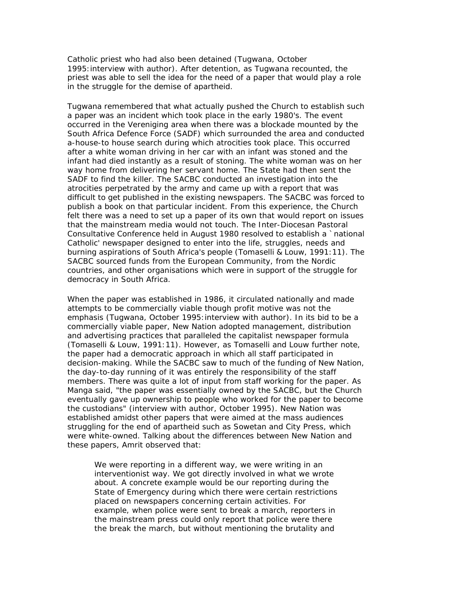Catholic priest who had also been detained (Tugwana, October 1995:interview with author). After detention, as Tugwana recounted, the priest was able to sell the idea for the need of a paper that would play a role in the struggle for the demise of apartheid.

Tugwana remembered that what actually pushed the Church to establish such a paper was an incident which took place in the early 1980's. The event occurred in the Vereniging area when there was a blockade mounted by the South Africa Defence Force (SADF) which surrounded the area and conducted a-house-to house search during which atrocities took place. This occurred after a white woman driving in her car with an infant was stoned and the infant had died instantly as a result of stoning. The white woman was on her way home from delivering her servant home. The State had then sent the SADF to find the killer. The SACBC conducted an investigation into the atrocities perpetrated by the army and came up with a report that was difficult to get published in the existing newspapers. The SACBC was forced to publish a book on that particular incident. From this experience, the Church felt there was a need to set up a paper of its own that would report on issues that the mainstream media would not touch. The Inter-Diocesan Pastoral Consultative Conference held in August 1980 resolved to establish a `national Catholic' newspaper designed to enter into the life, struggles, needs and burning aspirations of South Africa's people (Tomaselli & Louw, 1991:11). The SACBC sourced funds from the European Community, from the Nordic countries, and other organisations which were in support of the struggle for democracy in South Africa.

When the paper was established in 1986, it circulated nationally and made attempts to be commercially viable though profit motive was not the emphasis (Tugwana, October 1995:interview with author). In its bid to be a commercially viable paper, *New Nation* adopted management, distribution and advertising practices that paralleled the capitalist newspaper formula (Tomaselli & Louw, 1991:11). However, as Tomaselli and Louw further note, the paper had a democratic approach in which all staff participated in decision-making. While the SACBC saw to much of the funding of *New Nation*, the day-to-day running of it was entirely the responsibility of the staff members. There was quite a lot of input from staff working for the paper. As Manga said, "the paper was essentially owned by the SACBC, but the Church eventually gave up ownership to people who worked for the paper to become the custodians" (interview with author, October 1995). *New Nation* was established amidst other papers that were aimed at the mass audiences struggling for the end of apartheid such as *Sowetan* and *City Press*, which were white-owned. Talking about the differences between *New Nation* and these papers, Amrit observed that:

We were reporting in a different way, we were writing in an interventionist way. We got directly involved in what we wrote about. A concrete example would be our reporting during the State of Emergency during which there were certain restrictions placed on newspapers concerning certain activities. For example, when police were sent to break a march, reporters in the mainstream press could only report that police were there the break the march, but without mentioning the brutality and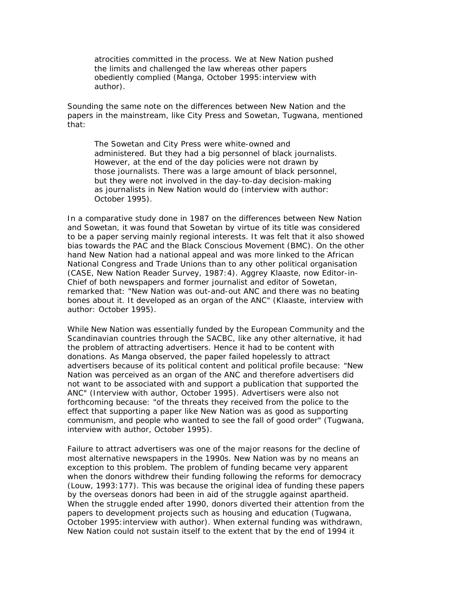atrocities committed in the process. We at *New Nation* pushed the limits and challenged the law whereas other papers obediently complied (Manga, October 1995:interview with author).

Sounding the same note on the differences between *New Nation* and the papers in the mainstream, like *City Press* and *Sowetan*, Tugwana, mentioned that:

The *Sowetan* and *City Press* were white-owned and administered. But they had a big personnel of black journalists. However, at the end of the day policies were not drawn by those journalists. There was a large amount of black personnel, but they were not involved in the day-to-day decision-making as journalists in *New Nation* would do (interview with author: October 1995).

In a comparative study done in 1987 on the differences between *New Nation* and *Sowetan*, it was found that *Sowetan* by virtue of its title was considered to be a paper serving mainly regional interests. It was felt that it also showed bias towards the PAC and the Black Conscious Movement (BMC). On the other hand *New Nation* had a national appeal and was more linked to the African National Congress and Trade Unions than to any other political organisation (CASE, *New Nation* Reader Survey, 1987:4). Aggrey Klaaste, now Editor-in-Chief of both newspapers and former journalist and editor of Sowetan, remarked that: "*New Nation* was out-and-out ANC and there was no beating bones about it. It developed as an organ of the ANC" (Klaaste, interview with author: October 1995).

While *New Nation* was essentially funded by the European Community and the Scandinavian countries through the SACBC, like any other alternative, it had the problem of attracting advertisers. Hence it had to be content with donations. As Manga observed, the paper failed hopelessly to attract advertisers because of its political content and political profile because: "*New Nation* was perceived as an organ of the ANC and therefore advertisers did not want to be associated with and support a publication that supported the ANC" (Interview with author, October 1995). Advertisers were also not forthcoming because: "of the threats they received from the police to the effect that supporting a paper like *New Nation* was as good as supporting communism, and people who wanted to see the fall of good order" (Tugwana, interview with author, October 1995).

Failure to attract advertisers was one of the major reasons for the decline of most alternative newspapers in the 1990s*. New Nation* was by no means an exception to this problem. The problem of funding became very apparent when the donors withdrew their funding following the reforms for democracy (Louw, 1993:177). This was because the original idea of funding these papers by the overseas donors had been in aid of the struggle against apartheid. When the struggle ended after 1990, donors diverted their attention from the papers to development projects such as housing and education (Tugwana, October 1995: interview with author). When external funding was withdrawn, *New Nation* could not sustain itself to the extent that by the end of 1994 it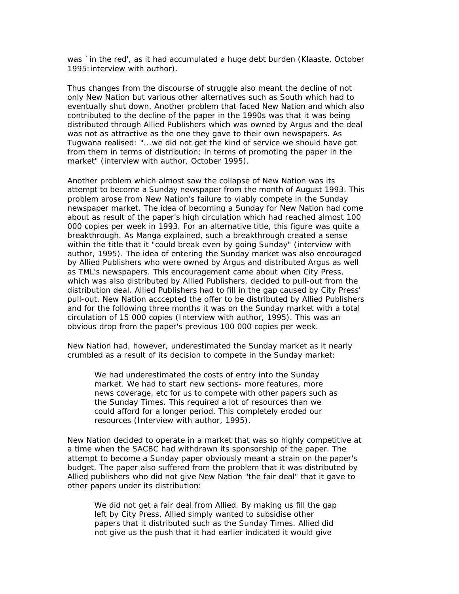was `in the red', as it had accumulated a huge debt burden (Klaaste, October 1995:interview with author).

Thus changes from the discourse of struggle also meant the decline of not only *New Nation* but various other alternatives such as *South* which had to eventually shut down. Another problem that faced *New Nation* and which also contributed to the decline of the paper in the 1990s was that it was being distributed through Allied Publishers which was owned by Argus and the deal was not as attractive as the one they gave to their own newspapers. As Tugwana realised: "...we did not get the kind of service we should have got from them in terms of distribution; in terms of promoting the paper in the market" (interview with author, October 1995).

Another problem which almost saw the collapse of *New Nation* was its attempt to become a Sunday newspaper from the month of August 1993. This problem arose from *New Nation*'s failure to viably compete in the Sunday newspaper market. The idea of becoming a Sunday for *New Nation* had come about as result of the paper's high circulation which had reached almost 100 000 copies per week in 1993. For an alternative title, this figure was quite a breakthrough. As Manga explained, such a breakthrough created a sense within the title that it "could break even by going Sunday" (interview with author, 1995). The idea of entering the Sunday market was also encouraged by Allied Publishers who were owned by Argus and distributed Argus as well as TML's newspapers. This encouragement came about when *City Press,*  which was also distributed by Allied Publishers, decided to pull-out from the distribution deal. Allied Publishers had to fill in the gap caused by *City Press'*  pull-out. *New Nation* acccepted the offer to be distributed by Allied Publishers and for the following three months it was on the Sunday market with a total circulation of 15 000 copies (Interview with author, 1995). This was an obvious drop from the paper's previous 100 000 copies per week.

*New Nation* had, however, underestimated the Sunday market as it nearly crumbled as a result of its decision to compete in the Sunday market:

We had underestimated the costs of entry into the Sunday market. We had to start new sections- more features, more news coverage, etc for us to compete with other papers such as the *Sunday Times*. This required a lot of resources than we could afford for a longer period. This completely eroded our resources (Interview with author, 1995).

*New Nation* decided to operate in a market that was so highly competitive at a time when the SACBC had withdrawn its sponsorship of the paper. The attempt to become a Sunday paper obviously meant a strain on the paper's budget. The paper also suffered from the problem that it was distributed by Allied publishers who did not give *New Nation* "the fair deal" that it gave to other papers under its distribution:

We did not get a fair deal from Allied. By making us fill the gap left by *City Press*, Allied simply wanted to subsidise other papers that it distributed such as the *Sunday Times.* Allied did not give us the push that it had earlier indicated it would give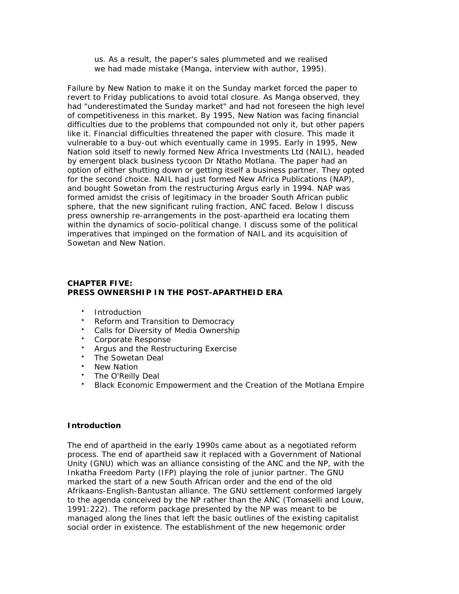us. As a result, the paper's sales plummeted and we realised we had made mistake (Manga, interview with author, 1995).

Failure by *New Nation* to make it on the Sunday market forced the paper to revert to Friday publications to avoid total closure. As Manga observed, they had "underestimated the Sunday market" and had not foreseen the high level of competitiveness in this market. By 1995, *New Nation* was facing financial difficulties due to the problems that compounded not only it, but other papers like it. Financial difficulties threatened the paper with closure. This made it vulnerable to a buy-out which eventually came in 1995. Early in 1995, *New Nation* sold itself to newly formed New Africa Investments Ltd (NAIL), headed by emergent black business tycoon Dr Ntatho Motlana. The paper had an option of either shutting down or getting itself a business partner. They opted for the second choice. NAIL had just formed New Africa Publications (NAP), and bought *Sowetan* from the restructuring Argus early in 1994. NAP was formed amidst the crisis of legitimacy in the broader South African public sphere, that the new significant ruling fraction, ANC faced. Below I discuss press ownership re-arrangements in the post-apartheid era locating them within the dynamics of socio-political change. I discuss some of the political imperatives that impinged on the formation of NAIL and its acquisition of *Sowetan* and *New Nation*.

# **CHAPTER FIVE: PRESS OWNERSHIP IN THE POST-APARTHEID ERA**

- Introduction
- Reform and Transition to Democracy
- Calls for Diversity of Media Ownership
- Corporate Response
- Argus and the Restructuring Exercise
- The Sowetan Deal
- New Nation
- The O'Reilly Deal
- Black Economic Empowerment and the Creation of the Motlana Empire

### **Introduction**

The end of apartheid in the early 1990s came about as a negotiated reform process. The end of apartheid saw it replaced with a Government of National Unity (GNU) which was an alliance consisting of the ANC and the NP, with the Inkatha Freedom Party (IFP) playing the role of junior partner. The GNU marked the start of a new South African order and the end of the old Afrikaans-English-Bantustan alliance. The GNU settlement conformed largely to the agenda conceived by the NP rather than the ANC (Tomaselli and Louw, 1991:222). The reform package presented by the NP was meant to be managed along the lines that left the basic outlines of the existing capitalist social order in existence. The establishment of the new hegemonic order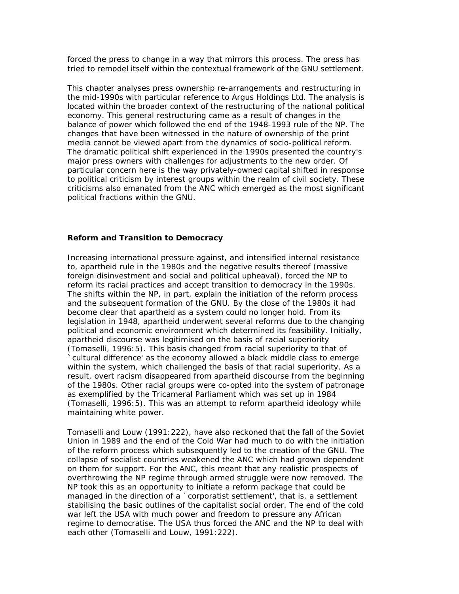forced the press to change in a way that mirrors this process. The press has tried to remodel itself within the contextual framework of the GNU settlement.

This chapter analyses press ownership re-arrangements and restructuring in the mid-1990s with particular reference to Argus Holdings Ltd. The analysis is located within the broader context of the restructuring of the national political economy. This general restructuring came as a result of changes in the balance of power which followed the end of the 1948-1993 rule of the NP. The changes that have been witnessed in the nature of ownership of the print media cannot be viewed apart from the dynamics of socio-political reform. The dramatic political shift experienced in the 1990s presented the country's major press owners with challenges for adjustments to the new order. Of particular concern here is the way privately-owned capital shifted in response to political criticism by interest groups within the realm of civil society. These criticisms also emanated from the ANC which emerged as the most significant political fractions within the GNU.

#### **Reform and Transition to Democracy**

Increasing international pressure against, and intensified internal resistance to, apartheid rule in the 1980s and the negative results thereof (massive foreign disinvestment and social and political upheaval), forced the NP to reform its racial practices and accept transition to democracy in the 1990s. The shifts within the NP, in part, explain the initiation of the reform process and the subsequent formation of the GNU. By the close of the 1980s it had become clear that apartheid as a system could no longer hold. From its legislation in 1948, apartheid underwent several reforms due to the changing political and economic environment which determined its feasibility. Initially, apartheid discourse was legitimised on the basis of racial superiority (Tomaselli, 1996:5). This basis changed from racial superiority to that of `cultural difference' as the economy allowed a black middle class to emerge within the system, which challenged the basis of that racial superiority. As a result, overt racism disappeared from apartheid discourse from the beginning of the 1980s. Other racial groups were co-opted into the system of patronage as exemplified by the Tricameral Parliament which was set up in 1984 (Tomaselli, 1996:5). This was an attempt to reform apartheid ideology while maintaining white power.

Tomaselli and Louw (1991:222), have also reckoned that the fall of the Soviet Union in 1989 and the end of the Cold War had much to do with the initiation of the reform process which subsequently led to the creation of the GNU. The collapse of socialist countries weakened the ANC which had grown dependent on them for support. For the ANC, this meant that any realistic prospects of overthrowing the NP regime through armed struggle were now removed. The NP took this as an opportunity to initiate a reform package that could be managed in the direction of a `corporatist settlement', that is, a settlement stabilising the basic outlines of the capitalist social order. The end of the cold war left the USA with much power and freedom to pressure any African regime to democratise. The USA thus forced the ANC and the NP to deal with each other (Tomaselli and Louw, 1991:222).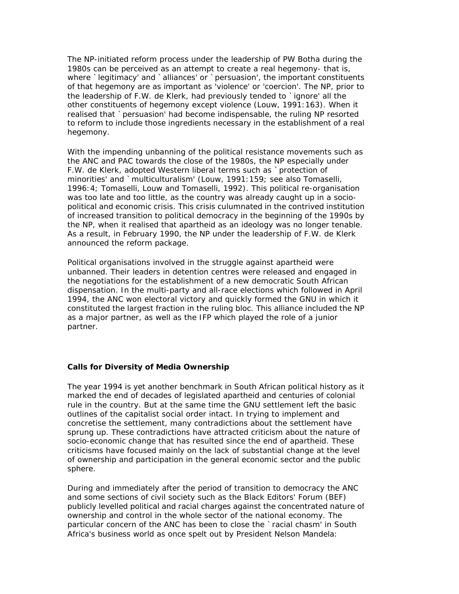The NP-initiated reform process under the leadership of PW Botha during the 1980s can be perceived as an attempt to create a real hegemony- that is, where `legitimacy' and `alliances' or `persuasion', the important constituents of that hegemony are as important as 'violence' or 'coercion'. The NP, prior to the leadership of F.W. de Klerk, had previously tended to `ignore' all the other constituents of hegemony except violence (Louw, 1991:163). When it realised that `persuasion' had become indispensable, the ruling NP resorted to reform to include those ingredients necessary in the establishment of a real hegemony.

With the impending unbanning of the political resistance movements such as the ANC and PAC towards the close of the 1980s, the NP especially under F.W. de Klerk, adopted Western liberal terms such as `protection of minorities' and `multiculturalism' (Louw, 1991:159; see also Tomaselli, 1996:4; Tomaselli, Louw and Tomaselli, 1992). This political re-organisation was too late and too little, as the country was already caught up in a sociopolitical and economic crisis. This crisis culumnated in the contrived institution of increased transition to political democracy in the beginning of the 1990s by the NP, when it realised that apartheid as an ideology was no longer tenable. As a result, in February 1990, the NP under the leadership of F.W. de Klerk announced the reform package.

Political organisations involved in the struggle against apartheid were unbanned. Their leaders in detention centres were released and engaged in the negotiations for the establishment of a new democratic South African dispensation. In the multi-party and all-race elections which followed in April 1994, the ANC won electoral victory and quickly formed the GNU in which it constituted the largest fraction in the ruling bloc. This alliance included the NP as a major partner, as well as the IFP which played the role of a junior partner.

# **Calls for Diversity of Media Ownership**

The year 1994 is yet another benchmark in South African political history as it marked the end of decades of legislated apartheid and centuries of colonial rule in the country. But at the same time the GNU settlement left the basic outlines of the capitalist social order intact. In trying to implement and concretise the settlement, many contradictions about the settlement have sprung up. These contradictions have attracted criticism about the nature of socio-economic change that has resulted since the end of apartheid. These criticisms have focused mainly on the lack of substantial change at the level of ownership and participation in the general economic sector and the public sphere.

During and immediately after the period of transition to democracy the ANC and some sections of civil society such as the Black Editors' Forum (BEF) publicly levelled political and racial charges against the concentrated nature of ownership and control in the whole sector of the national economy. The particular concern of the ANC has been to close the `racial chasm' in South Africa's business world as once spelt out by President Nelson Mandela: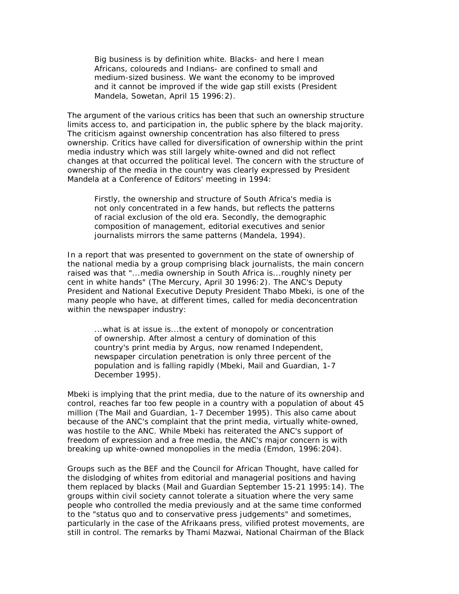Big business is by definition white. Blacks- and here I mean Africans, coloureds and Indians- are confined to small and medium-sized business. We want the economy to be improved and it cannot be improved if the wide gap still exists (President Mandela, *Sowetan*, April 15 1996:2).

The argument of the various critics has been that such an ownership structure limits access to, and participation in, the public sphere by the black majority. The criticism against ownership concentration has also filtered to press ownership. Critics have called for diversification of ownership within the print media industry which was still largely white-owned and did not reflect changes at that occurred the political level. The concern with the structure of ownership of the media in the country was clearly expressed by President Mandela at a Conference of Editors' meeting in 1994:

Firstly, the ownership and structure of South Africa's media is not only concentrated in a few hands, but reflects the patterns of racial exclusion of the old era. Secondly, the demographic composition of management, editorial executives and senior journalists mirrors the same patterns (Mandela, 1994).

In a report that was presented to government on the state of ownership of the national media by a group comprising black journalists, the main concern raised was that "...media ownership in South Africa is...roughly ninety per cent in white hands" (*The Mercury*, April 30 1996:2). The ANC's Deputy President and National Executive Deputy President Thabo Mbeki, is one of the many people who have, at different times, called for media deconcentration within the newspaper industry:

...what is at issue is...the extent of monopoly or concentration of ownership. After almost a century of domination of this country's print media by Argus, now renamed Independent, newspaper circulation penetration is only three percent of the population and is falling rapidly (Mbeki, *Mail and Guardian,* 1-7 December 1995).

Mbeki is implying that the print media, due to the nature of its ownership and control, reaches far too few people in a country with a population of about 45 million (*The Mail and Guardian*, 1-7 December 1995). This also came about because of the ANC's complaint that the print media, virtually white-owned, was hostile to the ANC. While Mbeki has reiterated the ANC's support of freedom of expression and a free media, the ANC's major concern is with breaking up white-owned monopolies in the media (Emdon, 1996:204).

Groups such as the BEF and the Council for African Thought, have called for the dislodging of whites from editorial and managerial positions and having them replaced by blacks (*Mail and Guardian* September 15-21 1995:14). The groups within civil society cannot tolerate a situation where the very same people who controlled the media previously and at the same time conformed to the "status quo and to conservative press judgements" and sometimes, particularly in the case of the Afrikaans press, vilified protest movements, are still in control. The remarks by Thami Mazwai, National Chairman of the Black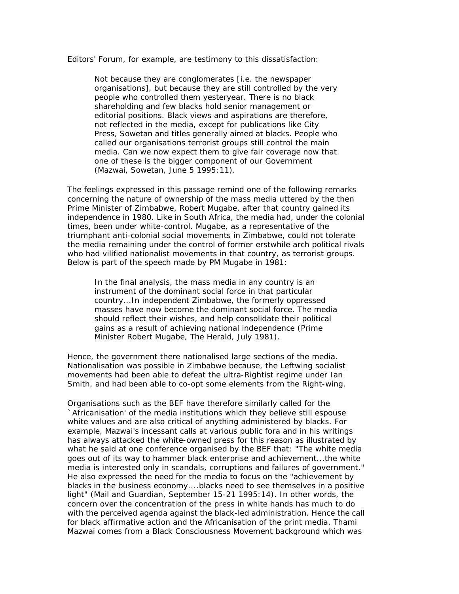Editors' Forum, for example, are testimony to this dissatisfaction:

Not because they are conglomerates [i.e. the newspaper organisations], but because they are still controlled by the very people who controlled them yesteryear. There is no black shareholding and few blacks hold senior management or editorial positions. Black views and aspirations are therefore, not reflected in the media, except for publications like *City Press*, *Sowetan* and titles generally aimed at blacks. People who called our organisations terrorist groups still control the main media. Can we now expect them to give fair coverage now that one of these is the bigger component of our Government (Mazwai, *Sowetan*, June 5 1995:11).

The feelings expressed in this passage remind one of the following remarks concerning the nature of ownership of the mass media uttered by the then Prime Minister of Zimbabwe, Robert Mugabe, after that country gained its independence in 1980. Like in South Africa, the media had, under the colonial times, been under white-control. Mugabe, as a representative of the triumphant anti-colonial social movements in Zimbabwe, could not tolerate the media remaining under the control of former erstwhile arch political rivals who had vilified nationalist movements in that country, as terrorist groups. Below is part of the speech made by PM Mugabe in 1981:

In the final analysis, the mass media in any country is an instrument of the dominant social force in that particular country...In independent Zimbabwe, the formerly oppressed masses have now become the dominant social force. The media should reflect their wishes, and help consolidate their political gains as a result of achieving national independence (Prime Minister Robert Mugabe, *The Herald*, July 1981).

Hence, the government there nationalised large sections of the media. Nationalisation was possible in Zimbabwe because, the Leftwing socialist movements had been able to defeat the ultra-Rightist regime under Ian Smith, and had been able to co-opt some elements from the Right-wing.

Organisations such as the BEF have therefore similarly called for the `Africanisation' of the media institutions which they believe still espouse white values and are also critical of anything administered by blacks. For example, Mazwai's incessant calls at various public fora and in his writings has always attacked the white-owned press for this reason as illustrated by what he said at one conference organised by the BEF that: "The white media goes out of its way to hammer black enterprise and achievement...the white media is interested only in scandals, corruptions and failures of government." He also expressed the need for the media to focus on the "achievement by blacks in the business economy....blacks need to see themselves in a positive light" (*Mail and Guardian*, September 15-21 1995:14). In other words, the concern over the concentration of the press in white hands has much to do with the perceived agenda against the black-led administration. Hence the call for black affirmative action and the Africanisation of the print media. Thami Mazwai comes from a Black Consciousness Movement background which was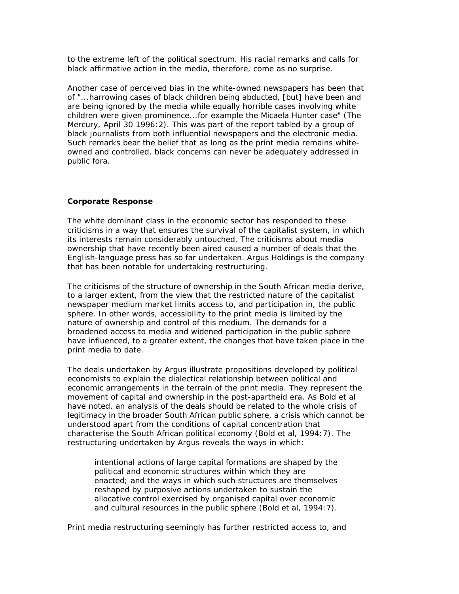to the extreme left of the political spectrum. His racial remarks and calls for black affirmative action in the media, therefore, come as no surprise.

Another case of perceived bias in the white-owned newspapers has been that of "...harrowing cases of black children being abducted, [but] have been and are being ignored by the media while equally horrible cases involving white children were given prominence...for example the Micaela Hunter case" (*The Mercury*, April 30 1996:2). This was part of the report tabled by a group of black journalists from both influential newspapers and the electronic media. Such remarks bear the belief that as long as the print media remains whiteowned and controlled, black concerns can never be adequately addressed in public fora.

### **Corporate Response**

The white dominant class in the economic sector has responded to these criticisms in a way that ensures the survival of the capitalist system, in which its interests remain considerably untouched. The criticisms about media ownership that have recently been aired caused a number of deals that the English-language press has so far undertaken. Argus Holdings is the company that has been notable for undertaking restructuring.

The criticisms of the structure of ownership in the South African media derive, to a larger extent, from the view that the restricted nature of the capitalist newspaper medium market limits access to, and participation in, the public sphere. In other words, accessibility to the print media is limited by the nature of ownership and control of this medium. The demands for a broadened access to media and widened participation in the public sphere have influenced, to a greater extent, the changes that have taken place in the print media to date.

The deals undertaken by Argus illustrate propositions developed by political economists to explain the dialectical relationship between political and economic arrangements in the terrain of the print media. They represent the movement of capital and ownership in the post-apartheid era. As Bold et al have noted, an analysis of the deals should be related to the whole crisis of legitimacy in the broader South African public sphere, a crisis which cannot be understood apart from the conditions of capital concentration that characterise the South African political economy (Bold et al, 1994:7). The restructuring undertaken by Argus reveals the ways in which:

intentional actions of large capital formations are shaped by the political and economic structures within which they are enacted; and the ways in which such structures are themselves reshaped by purposive actions undertaken to sustain the allocative control exercised by organised capital over economic and cultural resources in the public sphere (Bold et al, 1994:7).

Print media restructuring seemingly has further restricted access to, and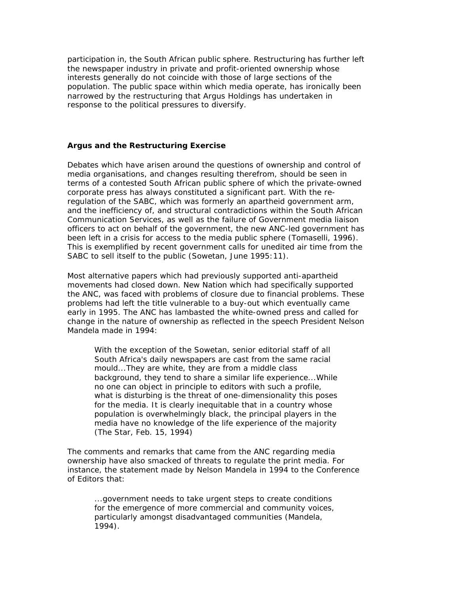participation in, the South African public sphere. Restructuring has further left the newspaper industry in private and profit-oriented ownership whose interests generally do not coincide with those of large sections of the population. The public space within which media operate, has ironically been narrowed by the restructuring that Argus Holdings has undertaken in response to the political pressures to diversify.

### **Argus and the Restructuring Exercise**

Debates which have arisen around the questions of ownership and control of media organisations, and changes resulting therefrom, should be seen in terms of a contested South African public sphere of which the private-owned corporate press has always constituted a significant part. With the reregulation of the SABC, which was formerly an apartheid government arm, and the inefficiency of, and structural contradictions within the South African Communication Services, as well as the failure of Government media liaison officers to act on behalf of the government, the new ANC-led government has been left in a crisis for access to the media public sphere (Tomaselli, 1996). This is exemplified by recent government calls for unedited air time from the SABC to sell itself to the public (*Sowetan*, June 1995:11).

Most alternative papers which had previously supported anti-apartheid movements had closed down. *New Nation* which had specifically supported the ANC, was faced with problems of closure due to financial problems. These problems had left the title vulnerable to a buy-out which eventually came early in 1995. The ANC has lambasted the white-owned press and called for change in the nature of ownership as reflected in the speech President Nelson Mandela made in 1994:

With the exception of the *Sowetan*, senior editorial staff of all South Africa's daily newspapers are cast from the same racial mould...They are white, they are from a middle class background, they tend to share a similar life experience...While no one can object in principle to editors with such a profile, what is disturbing is the threat of one-dimensionality this poses for the media. It is clearly inequitable that in a country whose population is overwhelmingly black, the principal players in the media have no knowledge of the life experience of the majority (*The Star,* Feb. 15, 1994)

The comments and remarks that came from the ANC regarding media ownership have also smacked of threats to regulate the print media. For instance, the statement made by Nelson Mandela in 1994 to the Conference of Editors that:

...government needs to take urgent steps to create conditions for the emergence of more commercial and community voices, particularly amongst disadvantaged communities (Mandela, 1994).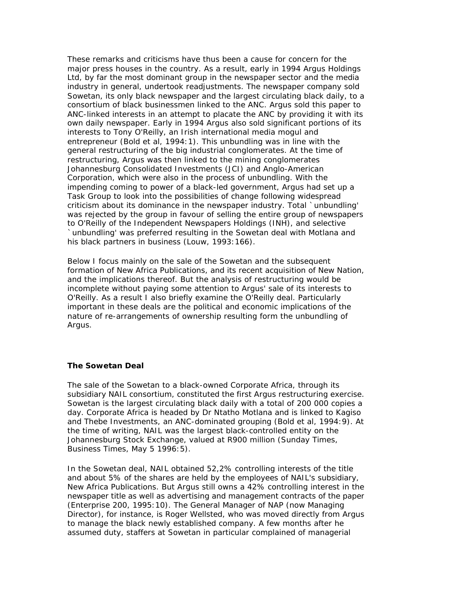These remarks and criticisms have thus been a cause for concern for the major press houses in the country. As a result, early in 1994 Argus Holdings Ltd, by far the most dominant group in the newspaper sector and the media industry in general, undertook readjustments. The newspaper company sold *Sowetan*, its only black newspaper and the largest circulating black daily, to a consortium of black businessmen linked to the ANC. Argus sold this paper to ANC-linked interests in an attempt to placate the ANC by providing it with its own daily newspaper. Early in 1994 Argus also sold significant portions of its interests to Tony O'Reilly, an Irish international media mogul and entrepreneur (Bold et al, 1994:1). This unbundling was in line with the general restructuring of the big industrial conglomerates. At the time of restructuring, Argus was then linked to the mining conglomerates Johannesburg Consolidated Investments (JCI) and Anglo-American Corporation, which were also in the process of unbundling. With the impending coming to power of a black-led government, Argus had set up a Task Group to look into the possibilities of change following widespread criticism about its dominance in the newspaper industry. Total `unbundling' was rejected by the group in favour of selling the entire group of newspapers to O'Reilly of the Independent Newspapers Holdings (INH), and selective `unbundling' was preferred resulting in the *Sowetan* deal with Motlana and his black partners in business (Louw, 1993:166).

Below I focus mainly on the sale of the *Sowetan* and the subsequent formation of New Africa Publications, and its recent acquisition of *New Nation*, and the implications thereof. But the analysis of restructuring would be incomplete without paying some attention to Argus' sale of its interests to O'Reilly. As a result I also briefly examine the O'Reilly deal. Particularly important in these deals are the political and economic implications of the nature of re-arrangements of ownership resulting form the unbundling of Argus.

### **The Sowetan Deal**

The sale of the Sowetan to a black-owned Corporate Africa, through its subsidiary NAIL consortium, constituted the first Argus restructuring exercise. *Sowetan* is the largest circulating black daily with a total of 200 000 copies a day. Corporate Africa is headed by Dr Ntatho Motlana and is linked to Kagiso and Thebe Investments, an ANC-dominated grouping (Bold et al, 1994:9). At the time of writing, NAIL was the largest black-controlled entity on the Johannesburg Stock Exchange, valued at R900 million (*Sunday Times*, Business Times, May 5 1996:5).

In the *Sowetan* deal, NAIL obtained 52,2% controlling interests of the title and about 5% of the shares are held by the employees of NAIL's subsidiary, New Africa Publications. But Argus still owns a 42% controlling interest in the newspaper title as well as advertising and management contracts of the paper (*Enterprise 200*, 1995:10). The General Manager of NAP (now Managing Director), for instance, is Roger Wellsted, who was moved directly from Argus to manage the black newly established company. A few months after he assumed duty, staffers at *Sowetan* in particular complained of managerial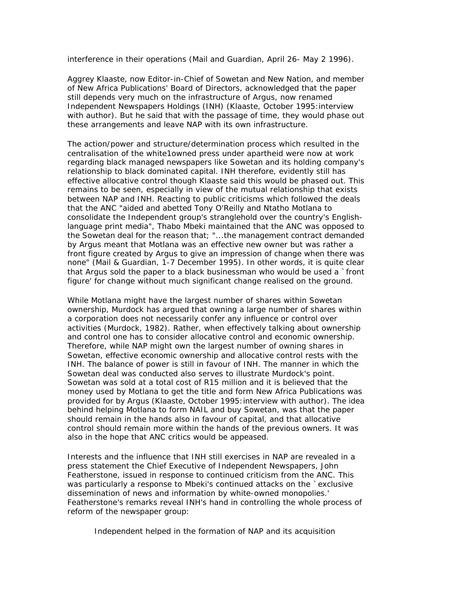interference in their operations (*Mail and Guardian,* April 26- May 2 1996).

Aggrey Klaaste, now Editor-in-Chief of *Sowetan* and *New Nation*, and member of New Africa Publications' Board of Directors, acknowledged that the paper still depends very much on the infrastructure of Argus, now renamed Independent Newspapers Holdings (INH) (Klaaste, October 1995:interview with author). But he said that with the passage of time, they would phase out these arrangements and leave NAP with its own infrastructure.

The action/power and structure/determination process which resulted in the centralisation of the white1owned press under apartheid were now at work regarding black managed newspapers like *Sowetan* and its holding company's relationship to black dominated capital. INH therefore, evidently still has effective allocative control though Klaaste said this would be phased out. This remains to be seen, especially in view of the mutual relationship that exists between NAP and INH. Reacting to public criticisms which followed the deals that the ANC "aided and abetted Tony O'Reilly and Ntatho Motlana to consolidate the Independent group's stranglehold over the country's Englishlanguage print media", Thabo Mbeki maintained that the ANC was opposed to the *Sowetan* deal for the reason that; "...the management contract demanded by Argus meant that Motlana was an effective new owner but was rather a front figure created by Argus to give an impression of change when there was none" (*Mail & Guardian,* 1-7 December 1995). In other words, it is quite clear that Argus sold the paper to a black businessman who would be used a `front figure' for change without much significant change realised on the ground.

While Motlana might have the largest number of shares within *Sowetan* ownership, Murdock has argued that owning a large number of shares within a corporation does not necessarily confer any influence or control over activities (Murdock, 1982). Rather, when effectively talking about ownership and control one has to consider allocative control and economic ownership. Therefore, while NAP might own the largest number of owning shares in *Sowetan*, effective economic ownership and allocative control rests with the INH. The balance of power is still in favour of INH. The manner in which the *Sowetan* deal was conducted also serves to illustrate Murdock's point. *Sowetan* was sold at a total cost of R15 million and it is believed that the money used by Motlana to get the title and form New Africa Publications was provided for by Argus (Klaaste, October 1995:interview with author). The idea behind helping Motlana to form NAIL and buy *Sowetan*, was that the paper should remain in the hands also in favour of capital, and that allocative control should remain more within the hands of the previous owners. It was also in the hope that ANC critics would be appeased.

Interests and the influence that INH still exercises in NAP are revealed in a press statement the Chief Executive of Independent Newspapers, John Featherstone, issued in response to continued criticism from the ANC. This was particularly a response to Mbeki's continued attacks on the sexclusive dissemination of news and information by white-owned monopolies.' Featherstone's remarks reveal INH's hand in controlling the whole process of reform of the newspaper group:

Independent helped in the formation of NAP and its acquisition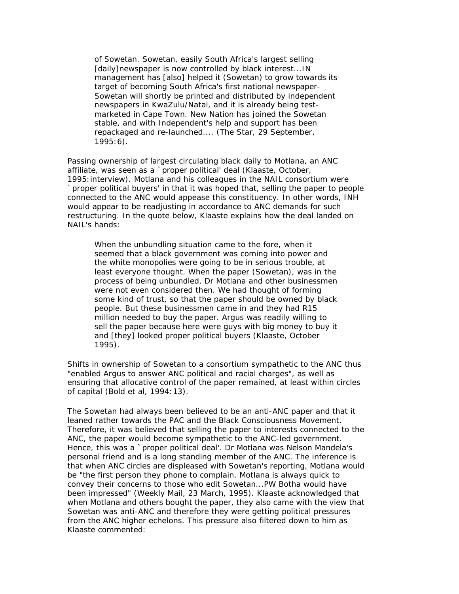of *Sowetan. Sowetan,* easily South Africa's largest selling [daily]newspaper is now controlled by black interest...IN management has [also] helped it (*Sowetan*) to grow towards its target of becoming South Africa's first national newspaper-*Sowetan* will shortly be printed and distributed by independent newspapers in KwaZulu/Natal, and it is already being testmarketed in Cape Town. *New Nation* has joined the *Sowetan*  stable, and with Independent's help and support has been repackaged and re-launched.... (*The Star,* 29 September, 1995:6).

Passing ownership of largest circulating black daily to Motlana, an ANC affiliate, was seen as a `proper political' deal (Klaaste, October, 1995:interview). Motlana and his colleagues in the NAIL consortium were `proper political buyers' in that it was hoped that, selling the paper to people connected to the ANC would appease this constituency. In other words, INH would appear to be readjusting in accordance to ANC demands for such restructuring. In the quote below, Klaaste explains how the deal landed on NAIL's hands:

When the unbundling situation came to the fore, when it seemed that a black government was coming into power and the white monopolies were going to be in serious trouble, at least everyone thought. When the paper (*Sowetan)*, was in the process of being unbundled, Dr Motlana and other businessmen were not even considered then. We had thought of forming some kind of trust, so that the paper should be owned by black people. But these businessmen came in and they had R15 million needed to buy the paper. Argus was readily willing to sell the paper because here were guys with big money to buy it and [they] looked proper political buyers (Klaaste, October 1995).

Shifts in ownership of *Sowetan* to a consortium sympathetic to the ANC thus "enabled Argus to answer ANC political and racial charges", as well as ensuring that allocative control of the paper remained, at least within circles of capital (Bold et al, 1994:13).

The *Sowetan* had always been believed to be an anti-ANC paper and that it leaned rather towards the PAC and the Black Consciousness Movement. Therefore, it was believed that selling the paper to interests connected to the ANC, the paper would become sympathetic to the ANC-led government. Hence, this was a `proper political deal'. Dr Motlana was Nelson Mandela's personal friend and is a long standing member of the ANC. The inference is that when ANC circles are displeased with *Sowetan*'s reporting, Motlana would be "the first person they phone to complain. Motlana is always quick to convey their concerns to those who edit *Sowetan*...PW Botha would have been impressed" (*Weekly Mail*, 23 March, 1995). Klaaste acknowledged that when Motlana and others bought the paper, they also came with the view that *Sowetan* was anti-ANC and therefore they were getting political pressures from the ANC higher echelons. This pressure also filtered down to him as Klaaste commented: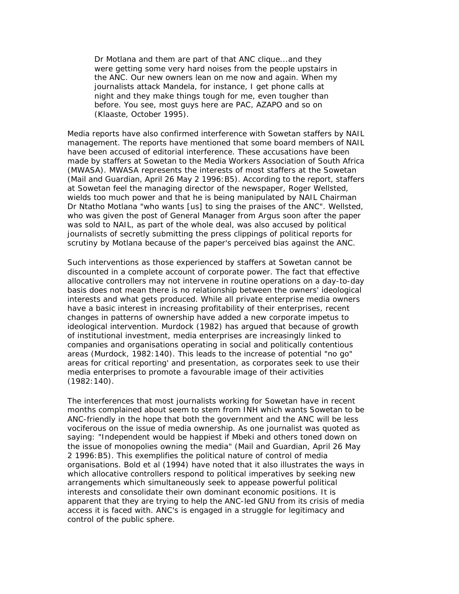Dr Motlana and them are part of that ANC clique...and they were getting some very hard noises from the people upstairs in the ANC. Our new owners lean on me now and again. When my journalists attack Mandela, for instance, I get phone calls at night and they make things tough for me, even tougher than before. You see, most guys here are PAC, AZAPO and so on (Klaaste, October 1995).

Media reports have also confirmed interference with *Sowetan* staffers by NAIL management. The reports have mentioned that some board members of NAIL have been accused of editorial interference. These accusations have been made by staffers at *Sowetan* to the Media Workers Association of South Africa (MWASA). MWASA represents the interests of most staffers at the Sowetan (*Mail and Guardian*, April 26 May 2 1996:B5). According to the report, staffers at Sowetan feel the managing director of the newspaper, Roger Wellsted, wields too much power and that he is being manipulated by NAIL Chairman Dr Ntatho Motlana "who wants [us] to sing the praises of the ANC". Wellsted, who was given the post of General Manager from Argus soon after the paper was sold to NAIL, as part of the whole deal, was also accused by political journalists of secretly submitting the press clippings of political reports for scrutiny by Motlana because of the paper's perceived bias against the ANC.

Such interventions as those experienced by staffers at *Sowetan* cannot be discounted in a complete account of corporate power. The fact that effective allocative controllers may not intervene in routine operations on a day-to-day basis does not mean there is no relationship between the owners' ideological interests and what gets produced. While all private enterprise media owners have a basic interest in increasing profitability of their enterprises, recent changes in patterns of ownership have added a new corporate impetus to ideological intervention. Murdock (1982) has argued that because of growth of institutional investment, media enterprises are increasingly linked to companies and organisations operating in social and politically contentious areas (Murdock, 1982:140). This leads to the increase of potential "no go" areas for critical reporting' and presentation, as corporates seek to use their media enterprises to promote a favourable image of their activities (1982:140).

The interferences that most journalists working for *Sowetan* have in recent months complained about seem to stem from INH which wants *Sowetan* to be ANC-friendly in the hope that both the government and the ANC will be less vociferous on the issue of media ownership. As one journalist was quoted as saying: "Independent would be happiest if Mbeki and others toned down on the issue of monopolies owning the media" (*Mail and Guardian*, April 26 May 2 1996:B5). This exemplifies the political nature of control of media organisations. Bold et al (1994) have noted that it also illustrates the ways in which allocative controllers respond to political imperatives by seeking new arrangements which simultaneously seek to appease powerful political interests and consolidate their own dominant economic positions. It is apparent that they are trying to help the ANC-led GNU from its crisis of media access it is faced with. ANC's is engaged in a struggle for legitimacy and control of the public sphere.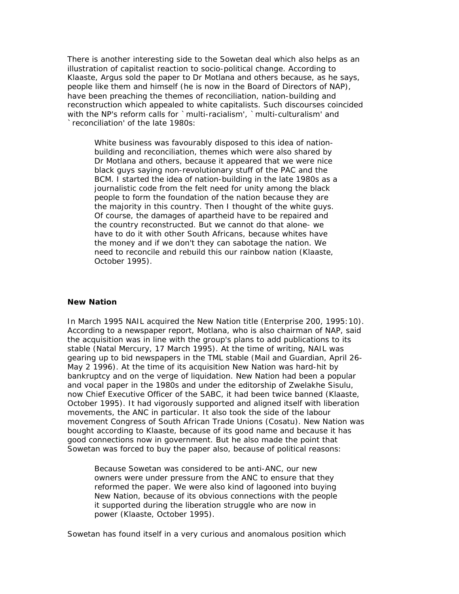There is another interesting side to the *Sowetan* deal which also helps as an illustration of capitalist reaction to socio-political change. According to Klaaste, Argus sold the paper to Dr Motlana and others because, as he says, people like them and himself (he is now in the Board of Directors of NAP), have been preaching the themes of reconciliation, nation-building and reconstruction which appealed to white capitalists. Such discourses coincided with the NP's reform calls for `multi-racialism', `multi-culturalism' and `reconciliation' of the late 1980s:

White business was favourably disposed to this idea of nationbuilding and reconciliation, themes which were also shared by Dr Motlana and others, because it appeared that we were nice black guys saying non-revolutionary stuff of the PAC and the BCM. I started the idea of nation-building in the late 1980s as a journalistic code from the felt need for unity among the black people to form the foundation of the nation because they are the majority in this country. Then I thought of the white guys. Of course, the damages of apartheid have to be repaired and the country reconstructed. But we cannot do that alone- we have to do it with other South Africans, because whites have the money and if we don't they can sabotage the nation. We need to reconcile and rebuild this our rainbow nation (Klaaste, October 1995).

# **New Nation**

In March 1995 NAIL acquired the *New Nation* title (*Enterprise 200*, 1995:10). According to a newspaper report, Motlana, who is also chairman of NAP, said the acquisition was in line with the group's plans to add publications to its stable (*Natal Mercury*, 17 March 1995). At the time of writing, NAIL was gearing up to bid newspapers in the TML stable (*Mail and Guardian*, April 26- May 2 1996). At the time of its acquisition *New Nation* was hard-hit by bankruptcy and on the verge of liquidation. *New Nation* had been a popular and vocal paper in the 1980s and under the editorship of Zwelakhe Sisulu, now Chief Executive Officer of the SABC, it had been twice banned (Klaaste, October 1995). It had vigorously supported and aligned itself with liberation movements, the ANC in particular. It also took the side of the labour movement Congress of South African Trade Unions (Cosatu). *New Nation* was bought according to Klaaste, because of its good name and because it has good connections now in government. But he also made the point that *Sowetan* was forced to buy the paper also, because of political reasons:

Because *Sowetan* was considered to be anti-ANC, our new owners were under pressure from the ANC to ensure that they reformed the paper. We were also kind of lagooned into buying *New Nation*, because of its obvious connections with the people it supported during the liberation struggle who are now in power (Klaaste, October 1995).

*Sowetan* has found itself in a very curious and anomalous position which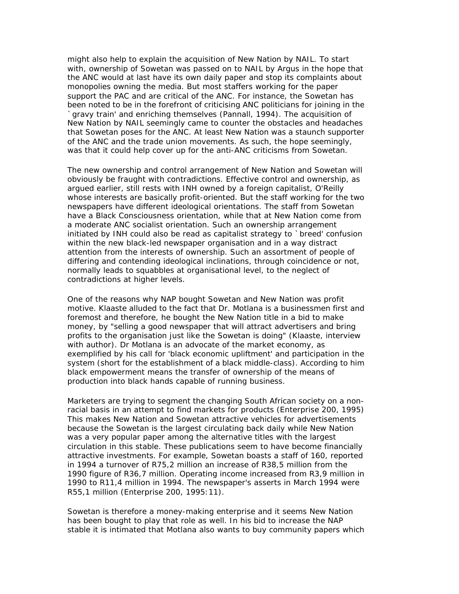might also help to explain the acquisition of *New Nation* by NAIL. To start with, ownership of *Sowetan* was passed on to NAIL by Argus in the hope that the ANC would at last have its own daily paper and stop its complaints about monopolies owning the media. But most staffers working for the paper support the PAC and are critical of the ANC. For instance, the *Sowetan* has been noted to be in the forefront of criticising ANC politicians for joining in the `gravy train' and enriching themselves (Pannall, 1994). The acquisition of *New Nation* by NAIL seemingly came to counter the obstacles and headaches that *Sowetan* poses for the ANC. At least *New Nation* was a staunch supporter of the ANC and the trade union movements. As such, the hope seemingly, was that it could help cover up for the anti-ANC criticisms from *Sowetan.*

The new ownership and control arrangement of *New Nation* and *Sowetan* will obviously be fraught with contradictions. Effective control and ownership, as argued earlier, still rests with INH owned by a foreign capitalist, O'Reilly whose interests are basically profit-oriented. But the staff working for the two newspapers have different ideological orientations. The staff from *Sowetan*  have a Black Consciousness orientation, while that at *New Nation* come from a moderate ANC socialist orientation. Such an ownership arrangement initiated by INH could also be read as capitalist strategy to `breed' confusion within the new black-led newspaper organisation and in a way distract attention from the interests of ownership. Such an assortment of people of differing and contending ideological inclinations, through coincidence or not, normally leads to squabbles at organisational level, to the neglect of contradictions at higher levels.

One of the reasons why NAP bought *Sowetan* and *New Nation* was profit motive. Klaaste alluded to the fact that Dr. Motlana is a businessmen first and foremost and therefore, he bought the *New Nation* title in a bid to make money, by "selling a good newspaper that will attract advertisers and bring profits to the organisation just like the *Sowetan* is doing" (Klaaste, interview with author). Dr Motlana is an advocate of the market economy, as exemplified by his call for 'black economic upliftment' and participation in the system (short for the establishment of a black middle-class). According to him black empowerment means the transfer of ownership of the means of production into black hands capable of running business.

Marketers are trying to segment the changing South African society on a nonracial basis in an attempt to find markets for products (*Enterprise 200*, 1995) This makes *New Nation* and *Sowetan* attractive vehicles for advertisements because the *Sowetan* is the largest circulating back daily while *New Nation* was a very popular paper among the alternative titles with the largest circulation in this stable. These publications seem to have become financially attractive investments. For example, *Sowetan* boasts a staff of 160, reported in 1994 a turnover of R75,2 million an increase of R38,5 million from the 1990 figure of R36,7 million. Operating income increased from R3,9 million in 1990 to R11,4 million in 1994. The newspaper's asserts in March 1994 were R55,1 million (*Enterprise 200*, 1995:11).

*Sowetan* is therefore a money-making enterprise and it seems *New Nation* has been bought to play that role as well. In his bid to increase the NAP stable it is intimated that Motlana also wants to buy community papers which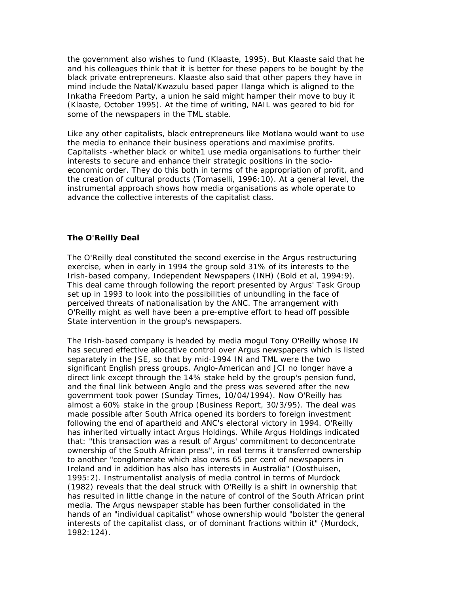the government also wishes to fund (Klaaste, 1995). But Klaaste said that he and his colleagues think that it is better for these papers to be bought by the black private entrepreneurs. Klaaste also said that other papers they have in mind include the Natal/Kwazulu based paper *Ilanga* which is aligned to the Inkatha Freedom Party, a union he said might hamper their move to buy it (Klaaste, October 1995). At the time of writing, NAIL was geared to bid for some of the newspapers in the TML stable.

Like any other capitalists, black entrepreneurs like Motlana would want to use the media to enhance their business operations and maximise profits. Capitalists -whether black or white1 use media organisations to further their interests to secure and enhance their strategic positions in the socioeconomic order. They do this both in terms of the appropriation of profit, and the creation of cultural products (Tomaselli, 1996:10). At a general level, the instrumental approach shows how media organisations as whole operate to advance the collective interests of the capitalist class.

### **The O'Reilly Deal**

The O'Reilly deal constituted the second exercise in the Argus restructuring exercise, when in early in 1994 the group sold 31% of its interests to the Irish-based company, Independent Newspapers (INH) (Bold et al, 1994:9). This deal came through following the report presented by Argus' Task Group set up in 1993 to look into the possibilities of unbundling in the face of perceived threats of nationalisation by the ANC. The arrangement with O'Reilly might as well have been a pre-emptive effort to head off possible State intervention in the group's newspapers.

The Irish-based company is headed by media mogul Tony O'Reilly whose IN has secured effective allocative control over Argus newspapers which is listed separately in the JSE, so that by mid-1994 IN and TML were the two significant English press groups. Anglo-American and JCI no longer have a direct link except through the 14% stake held by the group's pension fund, and the final link between Anglo and the press was severed after the new government took power (*Sunday Times*, 10/04/1994). Now O'Reilly has almost a 60% stake in the group (*Business Report*, 30/3/95). The deal was made possible after South Africa opened its borders to foreign investment following the end of apartheid and ANC's electoral victory in 1994. O'Reilly has inherited virtually intact Argus Holdings. While Argus Holdings indicated that: "this transaction was a result of Argus' commitment to deconcentrate ownership of the South African press", in real terms it transferred ownership to another "conglomerate which also owns 65 per cent of newspapers in Ireland and in addition has also has interests in Australia" (Oosthuisen, 1995:2). Instrumentalist analysis of media control in terms of Murdock (1982) reveals that the deal struck with O'Reilly is a shift in ownership that has resulted in little change in the nature of control of the South African print media. The Argus newspaper stable has been further consolidated in the hands of an "individual capitalist" whose ownership would "bolster the general interests of the capitalist class, or of dominant fractions within it" (Murdock, 1982:124).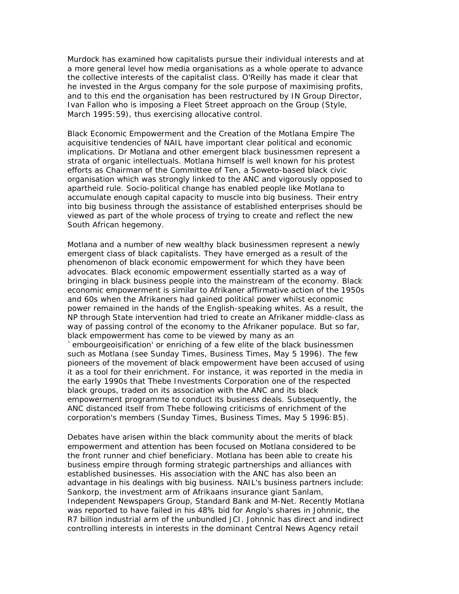Murdock has examined how capitalists pursue their individual interests and at a more general level how media organisations as a whole operate to advance the collective interests of the capitalist class. O'Reilly has made it clear that he invested in the Argus company for the sole purpose of maximising profits, and to this end the organisation has been restructured by IN Group Director, Ivan Fallon who is imposing a Fleet Street approach on the Group (*Style*, March 1995:59), thus exercising allocative control.

*Black Economic Empowerment and the Creation of the Motlana Empire* The acquisitive tendencies of NAIL have important clear political and economic implications. Dr Motlana and other emergent black businessmen represent a strata of organic intellectuals. Motlana himself is well known for his protest efforts as Chairman of the Committee of Ten, a Soweto-based black civic organisation which was strongly linked to the ANC and vigorously opposed to apartheid rule. Socio-political change has enabled people like Motlana to accumulate enough capital capacity to muscle into big business. Their entry into big business through the assistance of established enterprises should be viewed as part of the whole process of trying to create and reflect the new South African hegemony.

Motlana and a number of new wealthy black businessmen represent a newly emergent class of black capitalists. They have emerged as a result of the phenomenon of black economic empowerment for which they have been advocates. Black economic empowerment essentially started as a way of bringing in black business people into the mainstream of the economy. Black economic empowerment is similar to Afrikaner affirmative action of the 1950s and 60s when the Afrikaners had gained political power whilst economic power remained in the hands of the English-speaking whites. As a result, the NP through State intervention had tried to create an Afrikaner middle-class as way of passing control of the economy to the Afrikaner populace. But so far, black empowerment has come to be viewed by many as an `embourgeoisification' or enriching of a few elite of the black businessmen such as Motlana (see *Sunday Times*, Business Times, May 5 1996). The few pioneers of the movement of black empowerment have been accused of using it as a tool for their enrichment. For instance, it was reported in the media in the early 1990s that Thebe Investments Corporation one of the respected black groups, traded on its association with the ANC and its black empowerment programme to conduct its business deals. Subsequently, the ANC distanced itself from Thebe following criticisms of enrichment of the corporation's members (*Sunday Times*, Business Times, May 5 1996:B5).

Debates have arisen within the black community about the merits of black empowerment and attention has been focused on Motlana considered to be the front runner and chief beneficiary. Motlana has been able to create his business empire through forming strategic partnerships and alliances with established businesses. His association with the ANC has also been an advantage in his dealings with big business. NAIL's business partners include: Sankorp, the investment arm of Afrikaans insurance giant Sanlam, Independent Newspapers Group, Standard Bank and M-Net. Recently Motlana was reported to have failed in his 48% bid for Anglo's shares in Johnnic, the R7 billion industrial arm of the unbundled JCI. Johnnic has direct and indirect controlling interests in interests in the dominant Central News Agency retail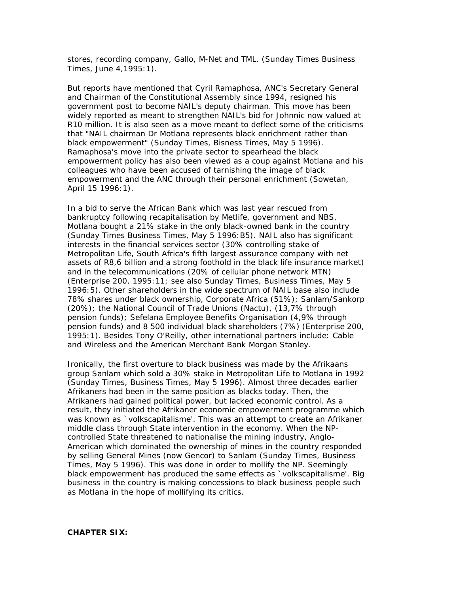stores, recording company, Gallo, M-Net and TML. (*Sunday Times* Business Times, June 4,1995:1).

But reports have mentioned that Cyril Ramaphosa, ANC's Secretary General and Chairman of the Constitutional Assembly since 1994, resigned his government post to become NAIL's deputy chairman. This move has been widely reported as meant to strengthen NAIL's bid for Johnnic now valued at R10 million. It is also seen as a move meant to deflect some of the criticisms that "NAIL chairman Dr Motlana represents black enrichment rather than black empowerment" (*Sunday Times*, Bisness Times, May 5 1996). Ramaphosa's move into the private sector to spearhead the black empowerment policy has also been viewed as a *coup* against Motlana and his colleagues who have been accused of tarnishing the image of black empowerment and the ANC through their personal enrichment (*Sowetan*, April 15 1996:1).

In a bid to serve the African Bank which was last year rescued from bankruptcy following recapitalisation by Metlife, government and NBS, Motlana bought a 21% stake in the only black-owned bank in the country (*Sunday Times* Business Times, May 5 1996:B5). NAIL also has significant interests in the financial services sector (30% controlling stake of Metropolitan Life, South Africa's fifth largest assurance company with net assets of R8,6 billion and a strong foothold in the black life insurance market) and in the telecommunications (20% of cellular phone network MTN) (*Enterprise 200*, 1995:11; see also *Sunday Times*, Business Times, May 5 1996:5). Other shareholders in the wide spectrum of NAIL base also include 78% shares under black ownership, Corporate Africa (51%); Sanlam/Sankorp (20%); the National Council of Trade Unions (Nactu), (13,7% through pension funds); Sefelana Employee Benefits Organisation (4,9% through pension funds) and 8 500 individual black shareholders (7%) *(Enterprise 200*, 1995:1). Besides Tony O'Reilly, other international partners include: Cable and Wireless and the American Merchant Bank Morgan Stanley.

Ironically, the first overture to black business was made by the Afrikaans group Sanlam which sold a 30% stake in Metropolitan Life to Motlana in 1992 (*Sunday Times*, Business Times, May 5 1996). Almost three decades earlier Afrikaners had been in the same position as blacks today. Then, the Afrikaners had gained political power, but lacked economic control. As a result, they initiated the Afrikaner economic empowerment programme which was known as `volkscapitalisme'. This was an attempt to create an Afrikaner middle class through State intervention in the economy. When the NPcontrolled State threatened to nationalise the mining industry, Anglo-American which dominated the ownership of mines in the country responded by selling General Mines (now Gencor) to Sanlam (*Sunday Times*, Business Times, May 5 1996). This was done in order to mollify the NP. Seemingly black empowerment has produced the same effects as `volkscapitalisme'. Big business in the country is making concessions to black business people such as Motlana in the hope of mollifying its critics.

# **CHAPTER SIX:**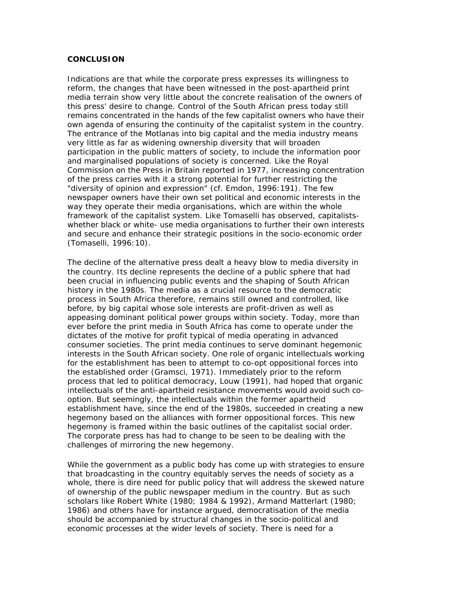#### **CONCLUSION**

Indications are that while the corporate press expresses its willingness to reform, the changes that have been witnessed in the post-apartheid print media terrain show very little about the concrete realisation of the owners of this press' desire to change. Control of the South African press today still remains concentrated in the hands of the few capitalist owners who have their own agenda of ensuring the continuity of the capitalist system in the country. The entrance of the Motlanas into big capital and the media industry means very little as far as widening ownership diversity that will broaden participation in the public matters of society, to include the information poor and marginalised populations of society is concerned. Like the Royal Commission on the Press in Britain reported in 1977, increasing concentration of the press carries with it a strong potential for further restricting the "diversity of opinion and expression" (cf. Emdon, 1996:191). The few newspaper owners have their own set political and economic interests in the way they operate their media organisations, which are within the whole framework of the capitalist system. Like Tomaselli has observed, capitalistswhether black or white- use media organisations to further their own interests and secure and enhance their strategic positions in the socio-economic order (Tomaselli, 1996:10).

The decline of the alternative press dealt a heavy blow to media diversity in the country. Its decline represents the decline of a public sphere that had been crucial in influencing public events and the shaping of South African history in the 1980s. The media as a crucial resource to the democratic process in South Africa therefore, remains still owned and controlled, like before, by big capital whose sole interests are profit-driven as well as appeasing dominant political power groups within society. Today, more than ever before the print media in South Africa has come to operate under the dictates of the motive for profit typical of media operating in advanced consumer societies. The print media continues to serve dominant hegemonic interests in the South African society. One role of organic intellectuals working for the establishment has been to attempt to co-opt oppositional forces into the established order (Gramsci, 1971). Immediately prior to the reform process that led to political democracy, Louw (1991), had hoped that organic intellectuals of the anti-apartheid resistance movements would avoid such cooption. But seemingly, the intellectuals within the former apartheid establishment have, since the end of the 1980s, succeeded in creating a new hegemony based on the alliances with former oppositional forces. This new hegemony is framed within the basic outlines of the capitalist social order. The corporate press has had to change to be seen to be dealing with the challenges of mirroring the new hegemony.

While the government as a public body has come up with strategies to ensure that broadcasting in the country equitably serves the needs of society as a whole, there is dire need for public policy that will address the skewed nature of ownership of the public newspaper medium in the country. But as such scholars like Robert White (1980; 1984 & 1992), Armand Matterlart (1980; 1986) and others have for instance argued, democratisation of the media should be accompanied by structural changes in the socio-political and economic processes at the wider levels of society. There is need for a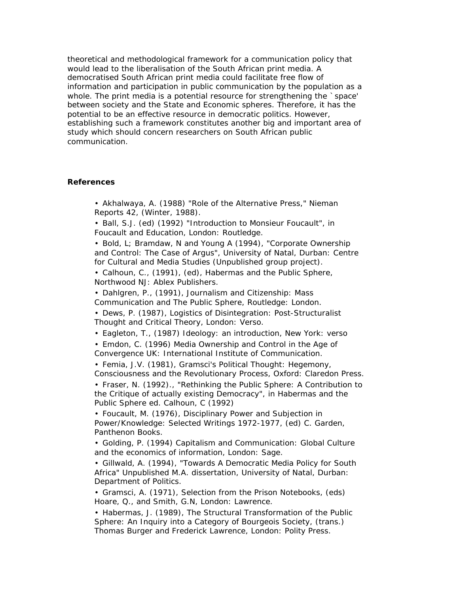theoretical and methodological framework for a communication policy that would lead to the liberalisation of the South African print media. A democratised South African print media could facilitate free flow of information and participation in public communication by the population as a whole. The print media is a potential resource for strengthening the `space' between society and the State and Economic spheres. Therefore, it has the potential to be an effective resource in democratic politics. However, establishing such a framework constitutes another big and important area of study which should concern researchers on South African public communication.

### **References**

- Akhalwaya, A. (1988) "Role of the Alternative Press," *Nieman Reports 42,* (Winter, 1988).
- Ball, S.J. (ed) (1992) "Introduction to Monsieur Foucault", in *Foucault and Education,* London: Routledge.

• Bold, L; Bramdaw, N and Young A (1994), "Corporate Ownership and Control: The Case of Argus", University of Natal, Durban: Centre for Cultural and Media Studies (Unpublished group project).

• Calhoun, C., (1991), (ed), *Habermas and the Public Sphere*, Northwood NJ: Ablex Publishers.

• Dahlgren, P., (1991), *Journalism and Citizenship: Mass Communication and The Public Sphere*, Routledge: London.

• Dews, P. (1987), *Logistics of Disintegration: Post-Structuralist Thought and Critical Theory*, London: Verso.

• Eagleton, T., (1987) *Ideology: an introduction*, New York: verso

• Emdon, C. (1996) *Media Ownership and Control in the Age of Convergence* UK: International Institute of Communication.

• Femia, J.V. (1981), *Gramsci's Political Thought: Hegemony, Consciousness and the Revolutionary Process*, Oxford: Claredon Press.

• Fraser, N. (1992)., "Rethinking the Public Sphere: A Contribution to the Critique of actually existing Democracy", in *Habermas and the Public Sphere* ed. Calhoun, C (1992)

• Foucault, M. (1976), *Disciplinary Power and Subjection in Power/Knowledge: Selected Writings 1972-1977*, (ed) C. Garden, Panthenon Books.

• Golding, P. (1994) *Capitalism and Communication: Global Culture and the economics of information*, London: Sage.

• Gillwald, A. (1994), "Towards A Democratic Media Policy for South Africa" Unpublished M.A. dissertation, University of Natal, Durban: Department of Politics.

• Gramsci, A. (1971), *Selection from the Prison Notebooks*, (eds) Hoare, Q., and Smith, G.N, London: Lawrence.

• Habermas, J. (1989), *The Structural Transformation of the Public Sphere: An Inquiry into a Category of Bourgeois Society,* (trans.) Thomas Burger and Frederick Lawrence, London: Polity Press.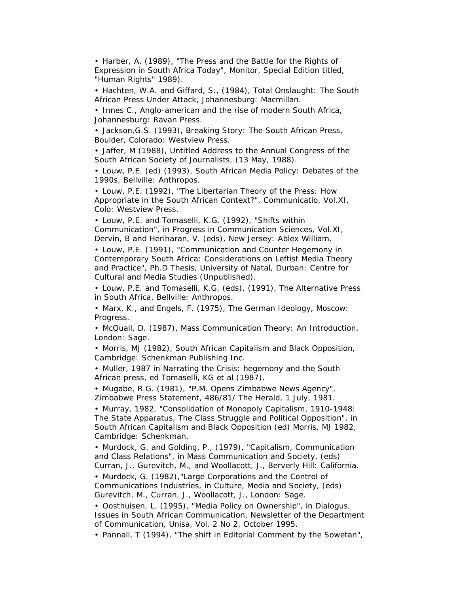• Harber, A. (1989), "The Press and the Battle for the Rights of Expression in South Africa Today", *Monitor*, Special Edition titled, "Human Rights" 1989).

• Hachten, W.A. and Giffard, S., (1984), *Total Onslaught: The South African Press Under Attack*, Johannesburg: Macmillan.

• Innes C., *Anglo-american and the rise of modern South Africa*, Johannesburg: Ravan Press.

• Jackson,G.S. (1993), *Breaking Story: The South African Press*, Boulder, Colorado: Westview Press.

• Jaffer, M (1988), Untitled Address to the Annual Congress of the South African Society of Journalists, (13 May, 1988).

• Louw, P.E. (ed) (1993), *South African Media Policy: Debates of the 1990s*, Bellville: Anthropos.

• Louw, P.E. (1992), "The Libertarian Theory of the Press: How Appropriate in the South African Context?", *Communicatio, Vol.XI*, Colo: Westview Press.

• Louw, P.E. and Tomaselli, K.G. (1992), "Shifts within Communication", in *Progress in Communication Sciences, Vol.XI,* Dervin, B and Heriharan, V. (eds), New Jersey: Ablex William.

• Louw, P.E. (1991), "Communication and Counter Hegemony in Contemporary South Africa: Considerations on Leftist Media Theory and Practice", Ph.D Thesis, University of Natal, Durban: Centre for Cultural and Media Studies (Unpublished).

• Louw, P.E. and Tomaselli, K.G. (eds), (1991), *The Alternative Press in South Africa*, Bellville: Anthropos.

• Marx, K., and Engels, F. (1975), *The German Ideology*, Moscow: Progress.

• McQuail, D. (1987), Mass Communication Theory: An Introduction, London: Sage.

• Morris, MJ (1982), *South African Capitalism and Black Opposition*, Cambridge: Schenkman Publishing Inc.

• Muller, 1987 in *Narrating the Crisis: hegemony and the South African press*, ed Tomaselli, KG et al (1987).

• Mugabe, R.G. (1981), "P.M. Opens Zimbabwe News Agency", Zimbabwe Press Statement, 486/81/ *The Herald*, 1 July, 1981.

• Murray, 1982, "Consolidation of Monopoly Capitalism, 1910-1948: The State Apparatus, The Class Struggle and Political Opposition", in *South African Capitalism and Black Opposition* (ed) Morris, MJ 1982, Cambridge: Schenkman.

• Murdock, G. and Golding, P., (1979), "Capitalism, Communication and Class Relations", in *Mass Communication and Society,* (eds) Curran, J., Gurevitch, M., and Woollacott, J., Berverly Hill: California.

• Murdock, G. (1982),"Large Corporations and the Control of Communications Industries, in *Culture, Media and Society*, (eds) Gurevitch, M., Curran, J., Woollacott, J., London: Sage.

• Oosthuisen, L. (1995), "Media Policy on Ownership", in *Dialogus, Issues in South African Communication,* Newsletter of the Department of Communication, Unisa, Vol. 2 No 2, October 1995.

• Pannall, T (1994), "The shift in Editorial Comment by the *Sowetan*",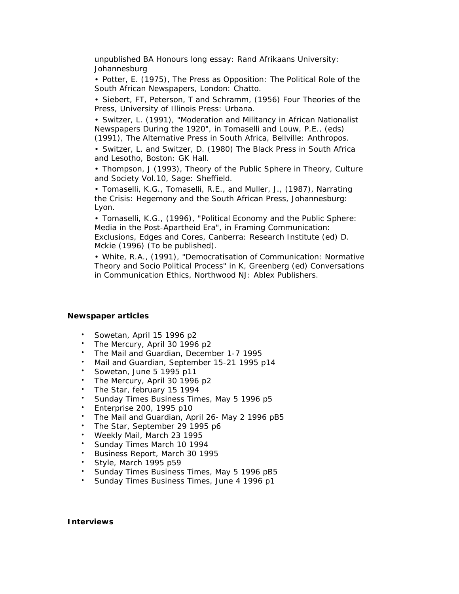unpublished BA Honours long essay: Rand Afrikaans University: Johannesburg

• Potter, E. (1975), *The Press as Opposition: The Political Role of the South African Newspapers*, London: Chatto.

• Siebert, FT, Peterson, T and Schramm, (1956) *Four Theories of the Press*, University of Illinois Press: Urbana.

• Switzer, L. (1991), "Moderation and Militancy in African Nationalist Newspapers During the 1920", in Tomaselli and Louw, P.E., (eds) (1991), *The Alternative Press in South Africa*, Bellville: Anthropos.

• Switzer, L. and Switzer, D. (1980) *The Black Press in South Africa and Lesotho*, Boston: GK Hall.

• Thompson, J (1993), Theory of the Public Sphere in *Theory, Culture and Society Vol.10,* Sage: Sheffield.

• Tomaselli, K.G., Tomaselli, R.E., and Muller, J., (1987), *Narrating the Crisis: Hegemony and the South African Press*, Johannesburg: Lyon.

• Tomaselli, K.G., (1996), "Political Economy and the Public Sphere: Media in the Post-Apartheid Era", in *Framing Communication: Exclusions, Edges and Cores*, Canberra: Research Institute (ed) D. Mckie (1996) (To be published).

• White, R.A., (1991), "Democratisation of Communication: Normative Theory and Socio Political Process" in K, Greenberg (ed) *Conversations in Communication Ethics*, Northwood NJ: Ablex Publishers.

### *Newspaper articles*

- *Sowetan,* April 15 1996 p2
- *The Mercury*, April 30 1996 p2
- *The Mail and Guardian*, December 1-7 1995
- *Mail and Guardian*, September 15-21 1995 p14
- *Sowetan*, June 5 1995 p11
- *The Mercury*, April 30 1996 p2
- *The Star*, february 15 1994
- *Sunday Times* Business Times, May 5 1996 p5
- *Enterprise 200*, 1995 p10
- *The Mail and Guardian*, April 26- May 2 1996 pB5
- *The Star*, September 29 1995 p6
- *Weekly Mail*, March 23 1995
- *Sunday Times* March 10 1994
- *Business Report*, March 30 1995
- *Style*, March 1995 p59
- *Sunday Times* Business Times, May 5 1996 pB5
- *Sunday Times* Business Times, June 4 1996 p1

### *Interviews*